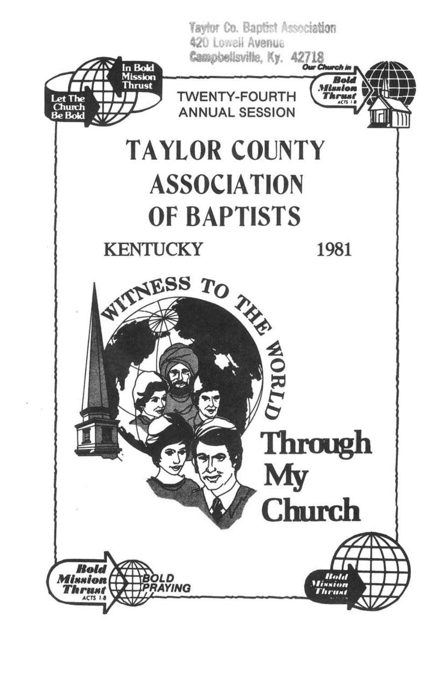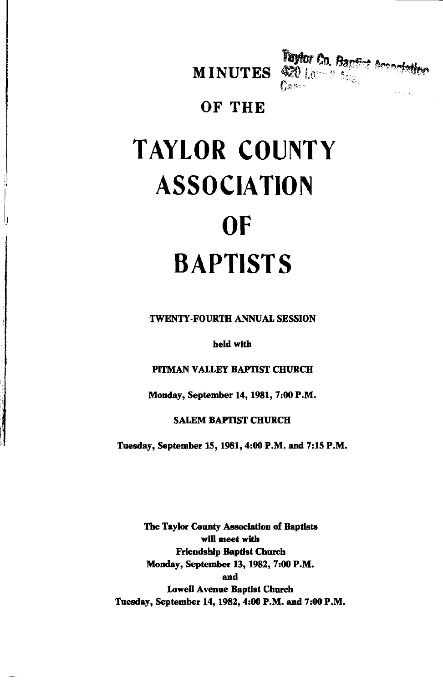



### OF THE

# **TAYLOR COUNTY ASSOCIATION OF BAPTISTS**

**TWENTY-FOURTH ANNUAL SESSION** 

held with

PITMAN VALLEY BAPTIST CHURCH

Monday, September 14, 1981, 7:00 P.M.

#### **SALEM BAPTIST CHURCH**

Tuesday, September 15, 1981, 4:00 P.M. and 7:15 P.M.

The Taylor County Association of Baptists will meet with **Friendship Baptist Church** Monday, September 13, 1982, 7:00 P.M. and **Lowell Avenue Baptist Church** Tuesday, September 14, 1982, 4:00 P.M. and 7:00 P.M.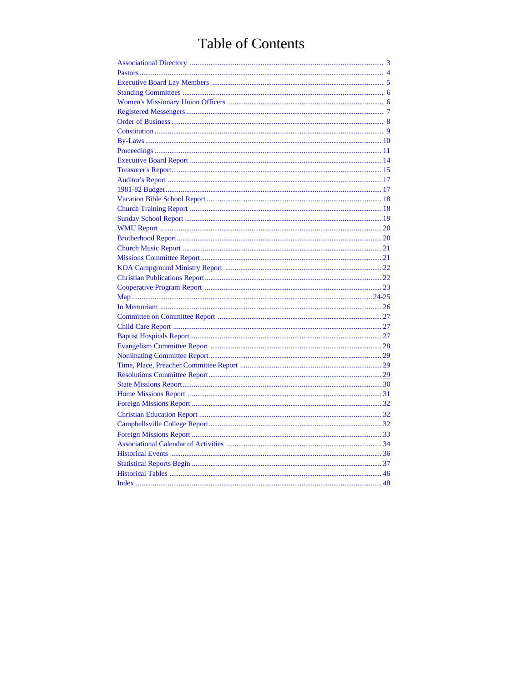# **Table of Contents**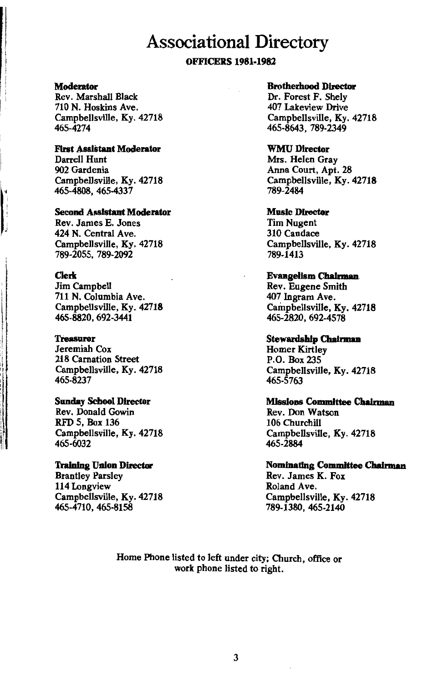### **Associational Directory**

#### **OFFICERS 1981-1982**

#### **Moderator**

Rev. Marshall Black 710 N. Hoskins Ave. Campbellsville, Ky. 42718 465-4274

#### **First Assistant Moderator**

Darrell Hunt 902 Gardenia Campbellsville, Ky. 42718 465-4808, 465-4337

#### **Second Assistant Moderator**

Rev. James E. Jones 424 N. Central Ave. Campbellsville, Ky. 42718 789-2055. 789-2092

#### **Clerk**

**Jim Campbell** 711 N. Columbia Ave. Campbellsville, Kv. 42718 465-8820, 692-3441

#### **Treasurer**

Jeremiah Cox 218 Carnation Street Campbellsville, Ky. 42718 465-8237

#### **Sunday School Director** Rev. Donald Gowin RFD 5, Box 136 Campbellsville, Ky. 42718 465-6032

#### **Training Union Director**

**Brantley Parsley** 114 Longview Campbellsville, Ky. 42718 465-4710, 465-8158

#### **Brotherhood Director**

Dr. Forest F. Shely 407 Lakeview Drive Campbellsville, Ky. 42718 465-8643. 789-2349

#### **WMU Director**

Mrs. Helen Grav Anna Court, Apt. 28 Campbellsville, Ky. 42718 789-2484

#### **Music Director**

**Tim Nugent** 310 Candace Campbellsville, Ky. 42718 789-1413

#### **Evangelism Chairman**

Rev. Eugene Smith 407 Ingram Ave. Campbellsville, Ky. 42718 465-2820, 692-4578

#### **Stewardship Chairman**

**Homer Kirtley** P.O. Box 235 Campbellsville, Ky. 42718 465-5763

#### **Missions Committee Chairman**

Rev. Don Watson 106 Churchill Campbellsville, Ky. 42718 465-2884

#### **Nominating Committee Chairman**

Rev. James K. Fox Roland Ave. Campbellsville, Ky. 42718 789-1380, 465-2140

Home Phone listed to left under city; Church, office or work phone listed to right.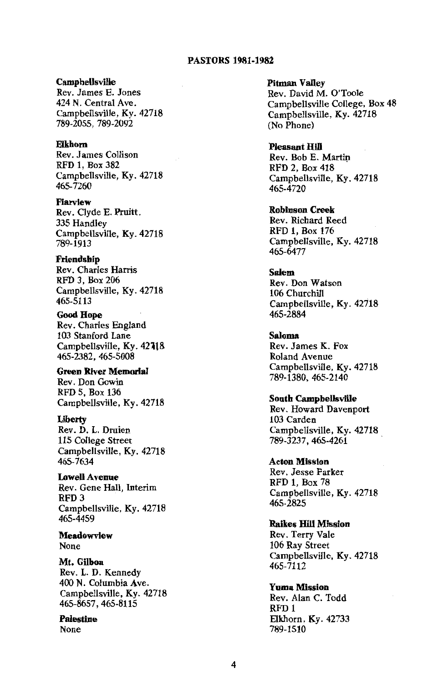#### **PASTORS 1981-1982**

#### **Campbellsville**

Rev. James E. Jones 424 N. Central Ave. Campbellsville, Ky. 42718 789-2055, 789-2092

#### Elkhorn

Rev. James Collison RFD 1, Box 382 Campbellsville, Kv. 42718 465-7260

Fiarview Rev. Clyde E. Pruitt. 335 Handley Campbellsville, Ky. 42718 789-1913

Friendship Rev. Charles Harris RFD 3, Box 206 Campbellsville, Ky. 42718 465-5113

**Good Hope** Rev. Charles England 103 Stanford Lane Campbellsville, Kv. 42718 465-2382, 465-5008

**Green River Memorial** Rev. Don Gowin RFD 5, Box 136 Campbellsville, Kv. 42718

#### Liberty

Rev. D. L. Druien 115 College Street Campbellsville, Ky. 42718 465-7634

**Lowell Avenue** 

Rev. Gene Hall, Interim RFD<sub>3</sub> Campbellsville, Ky. 42718 465-4459

**Meadowview** None

Mt. Gilboa Rev. L. D. Kennedy 400 N. Columbia Ave. Campbellsville, Ky. 42718 465-8657, 465-8115

**Palestine** 

**None** 

**Pitman Valley** Rev. David M. O'Toole Campbellsville College, Box 48 Campbellsville, Ky. 42718  $(No Phone)$ 

**Pleasant Hill** Rev. Bob E. Martin RFD 2. Box 418 Campbellsville, Ky. 42718 465-4720

**Robinson Creek** Rev. Richard Reed RFD 1. Box 176 Campbellsville, Ky. 42718  $465 - 6477$ 

**Salem** Rev. Don Watson 106 Churchill Campbellsville, Ky. 42718 465-2884

**Saloma** Rev. James K. Fox Roland Avenue Campbellsville, Ky. 42718 789-1380, 465-2140

**South Campbellsville** 

Rev. Howard Davenport 103 Carden Campbellsville, Kv. 42718 789-3237, 465-4261

**Acton Mission** Rev. Jesse Parker **RFD 1. Box 78** Campbellsville, Kv. 42718  $465 - 2825$ 

**Raikes Hill Mission** 

Rev. Terry Vale 106 Ray Street Campbellsville, Ky. 42718 465-7112

**Yuma Mission** Rev. Alan C. Todd RFD<sub>1</sub> Elkhorn, Ky. 42733 789-1510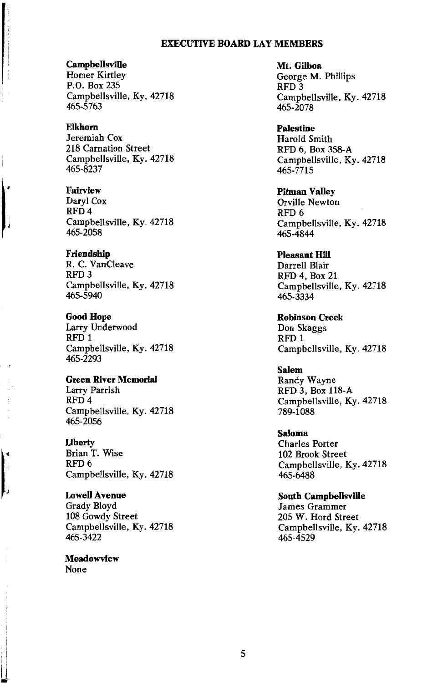#### **EXECUTIVE BOARD LAY MEMBERS**

Campbellsville

**Homer Kirtley** P.O. Box 235 Campbellsville, Ky. 42718  $465 - 5763$ 

**Elkhorn** Jeremiah Cox 218 Carnation Street Campbellsville, Ky. 42718 465-8237

Fairview Daryl Cox RFD<sub>4</sub> Campbellsville, Ky. 42718 465-2058

Friendship R. C. VanCleave RFD<sub>3</sub> Campbellsville, Ky. 42718 465-5940

**Good Hope** Larry Underwood RFD<sub>1</sub> Campbellsville, Ky. 42718 465-2293

**Green River Memorial** Larry Parrish RFD<sub>4</sub> Campbellsville, Ky. 42718 465-2056

Liberty Brian T. Wise RFD<sub>6</sub> Campbellsville, Ky. 42718

**Lowell Avenue** Grady Blovd 108 Gowdy Street Campbellsville, Ky. 42718 465-3422

Meadowview None

Mt. Gilboa George M. Phillips RFD<sub>3</sub> Campbellsville, Ky. 42718 465-2078

**Palestine** Harold Smith RFD 6, Box 358-A Campbellsville, Ky. 42718 465-7715

**Pitman Valley Orville Newton** RFD<sub>6</sub> Campbellsville, Kv. 42718 465-4844

**Pleasant Hill** Darrell Blair RFD 4, Box 21 Campbellsville, Ky. 42718 465-3334

**Robinson Creek** Don Skaggs RFD<sub>1</sub> Campbellsville, Ky. 42718

**Salem** Randy Wayne RFD 3, Box 118-A Campbellsville, Ky. 42718 789-1088

**Saloma Charles Porter** 102 Brook Street Campbellsville, Ky. 42718  $465 - 6488$ 

**South Campbellsville James Grammer** 205 W. Hord Street Campbellsville, Ky. 42718 465-4529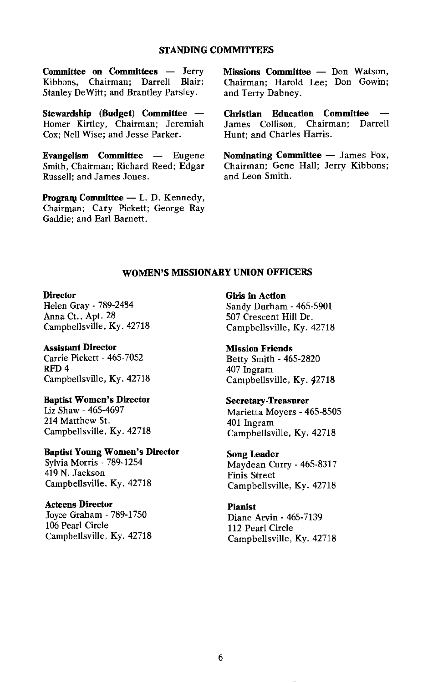#### **STANDING COMMITTEES**

Committee on Committees - Jerry Kibbons. Chairman: Darrell Blair: Stanley DeWitt; and Brantley Parsley.

Stewardship (Budget) Committee -Homer Kirtley, Chairman; Jeremiah Cox; Nell Wise; and Jesse Parker.

Evangelism Committee — Eugene Smith. Chairman: Richard Reed: Edgar Russell; and James Jones.

Program Committee - L. D. Kennedy, Chairman; Cary Pickett; George Ray Gaddie: and Earl Barnett.

Missions Committee - Don Watson, Chairman; Harold Lee; Don Gowin; and Terry Dabney.

Christian Education Committee James Collison, Chairman; Darrell Hunt: and Charles Harris.

Nominating Committee - James Fox, Chairman: Gene Hall: Jerry Kibbons: and Leon Smith.

#### WOMEN'S MISSIONARY UNION OFFICERS

#### **Director**

Helen Gray - 789-2484 Anna Ct., Apt. 28 Campbellsville, Ky. 42718

**Assistant Director** Carrie Pickett - 465-7052 RFD<sub>4</sub> Campbellsville, Ky. 42718

#### **Baptist Women's Director**

Liz Shaw - 465-4697 214 Matthew St. Campbellsville, Ky. 42718

**Baptist Young Women's Director** 

Sylvia Morris - 789-1254 419 N. Jackson Campbellsville, Ky. 42718

#### **Acteens Director**

Joyce Graham - 789-1750 106 Pearl Circle Campbellsville, Ky. 42718 **Girls** in Action Sandy Durham - 465-5901 507 Crescent Hill Dr. Campbellsville, Ky. 42718

**Mission Friends** Betty Smith - 465-2820 407 Ingram Campbellsville, Ky. 42718

#### **Secretary-Treasurer**

Marietta Movers - 465-8505 401 Ingram Campbellsville, Ky. 42718

#### **Song Leader**

Maydean Curry - 465-8317 **Finis Street** Campbellsville, Ky. 42718

#### **Pianist**

Diane Arvin - 465-7139 112 Pearl Circle Campbellsville, Ky. 42718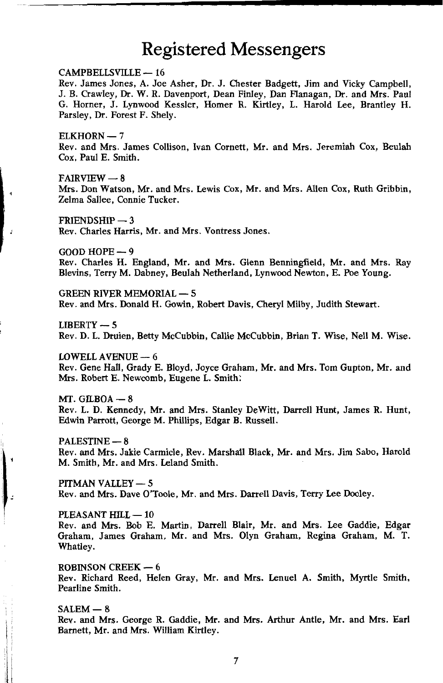### **Registered Messengers**

#### CAMPBELLSVILLE - 16

Rev. James Jones, A. Joe Asher, Dr. J. Chester Badgett, Jim and Vicky Campbell. J. B. Crawley, Dr. W. R. Davenport, Dean Finley, Dan Flanagan, Dr. and Mrs. Paul G. Horner, J. Lynwood Kessler, Homer R. Kirtley, L. Harold Lee, Brantley H. Parsley, Dr. Forest F. Shely.

#### $EIKHORN - 7$

Rev. and Mrs. James Collison, Ivan Cornett, Mr. and Mrs. Jeremiah Cox, Beulah Cox. Paul E. Smith.

#### $FAIRVIEW - 8$

Mrs. Don Watson, Mr. and Mrs. Lewis Cox, Mr. and Mrs. Allen Cox, Ruth Gribbin, Zelma Sallee. Connie Tucker.

#### $FRIENDSHIP - 3$

 $\overline{1}$ 

Rev. Charles Harris, Mr. and Mrs. Vontress Jones.

#### GOOD HOPE  $-9$

Rev. Charles H. England, Mr. and Mrs. Glenn Benningfield, Mr. and Mrs. Ray Blevins, Terry M. Dabney, Beulah Netherland, Lynwood Newton, E. Poe Young.

**GREEN RIVER MEMORIAL - 5** Rev. and Mrs. Donald H. Gowin, Robert Davis, Cheryl Milby, Judith Stewart.

 $LIBERTY - 5$ Rev. D. L. Druien, Betty McCubbin, Callie McCubbin, Brian T. Wise, Nell M. Wise.

**LOWELL AVENUE - 6** Rev. Gene Hall, Grady E. Bloyd, Joyce Graham, Mr. and Mrs. Tom Gupton, Mr. and Mrs. Robert E. Newcomb, Eugene L. Smith.

 $MT. GILBOA - 8$ Rev. L. D. Kennedy, Mr. and Mrs. Stanley DeWitt, Darrell Hunt, James R. Hunt, Edwin Parrott, George M. Phillips, Edgar B. Russell.

PALESTINE - 8 Rev. and Mrs. Jakie Carmicle, Rev. Marshall Black, Mr. and Mrs. Jim Sabo, Harold M. Smith, Mr. and Mrs. Leland Smith.

PITMAN VALLEY - 5 Rev. and Mrs. Dave O'Toole, Mr. and Mrs. Darrell Davis, Terry Lee Dooley.

#### PLEASANT HILL - 10

Rev. and Mrs. Bob E. Martin, Darrell Blair, Mr. and Mrs. Lee Gaddie, Edgar Graham, James Graham, Mr. and Mrs. Olyn Graham, Regina Graham, M. T. Whatley.

#### **ROBINSON CREEK - 6**

Rev. Richard Reed, Helen Gray, Mr. and Mrs. Lenuel A. Smith, Myrtle Smith, Pearline Smith.

#### $SALEM - 8$

Rev. and Mrs. George R. Gaddie, Mr. and Mrs. Arthur Antle, Mr. and Mrs. Earl Barnett, Mr. and Mrs. William Kirtley.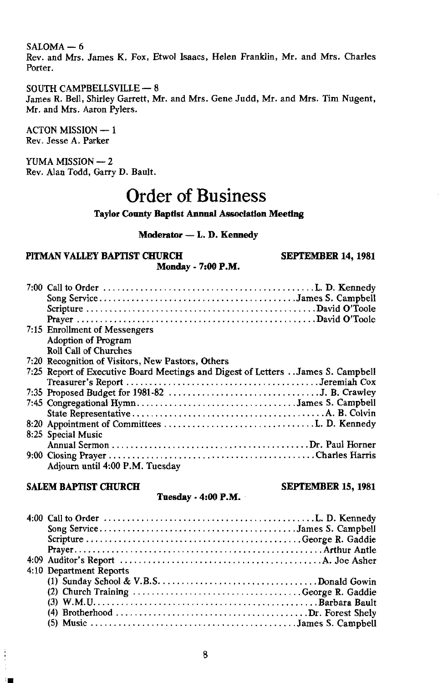$SALOMA - 6$ 

Rev. and Mrs. James K. Fox. Etwol Isaacs. Helen Franklin. Mr. and Mrs. Charles Porter.

SOUTH CAMPBELLSVILLE - 8 James R. Bell, Shirley Garrett, Mr. and Mrs. Gene Judd, Mr. and Mrs. Tim Nugent, Mr. and Mrs. Aaron Pylers.

**ACTON MISSION - 1** Rev. Jesse A. Parker

YUMA MISSION - 2 Rev. Alan Todd, Garry D. Bault.

### **Order of Business**

**Taylor County Baptist Annual Association Meeting** 

#### Moderator - L. D. Kennedy

#### PITMAN VALLEY BAPTIST CHURCH Monday - 7:00 P.M.

SEPTEMBER 14, 1981

**SEPTEMBER 15, 1981** 

| 7:15 Enrollment of Messengers                                                   |
|---------------------------------------------------------------------------------|
| Adoption of Program                                                             |
| <b>Roll Call of Churches</b>                                                    |
| 7:20 Recognition of Visitors, New Pastors, Others                               |
| 7:25 Report of Executive Board Meetings and Digest of Letters James S. Campbell |
|                                                                                 |
|                                                                                 |
|                                                                                 |
|                                                                                 |
|                                                                                 |
| 8:25 Special Music                                                              |
|                                                                                 |
|                                                                                 |
| Adjourn until 4:00 P.M. Tuesday                                                 |

#### **SALEM BAPTIST CHURCH**

Tuesday - 4:00 P.M.

| 4:10 Department Reports |
|-------------------------|
|                         |
|                         |
|                         |
|                         |
|                         |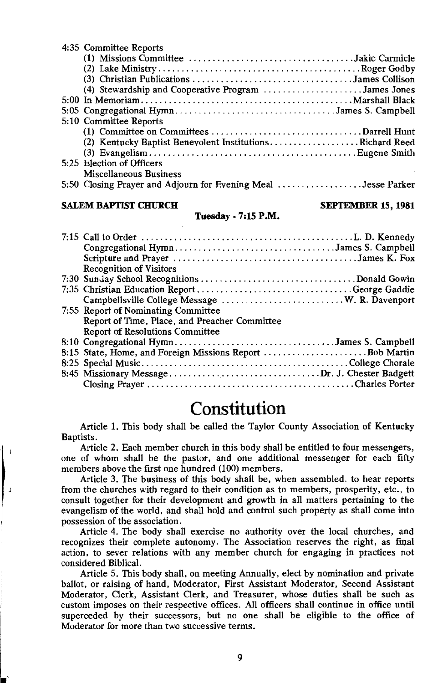| 4:35 Committee Reports                                                                                   |  |
|----------------------------------------------------------------------------------------------------------|--|
| $(1)$ Missions Committee $\ldots \ldots \ldots \ldots \ldots \ldots \ldots \ldots \ldots$ Jakie Carmicle |  |
|                                                                                                          |  |
| (3) Christian Publications James Collison                                                                |  |
| (4) Stewardship and Cooperative Program James Jones                                                      |  |
|                                                                                                          |  |
| 5:05 Congregational HymnJames S. Campbell                                                                |  |
| 5:10 Committee Reports                                                                                   |  |
|                                                                                                          |  |
| (2) Kentucky Baptist Benevolent InstitutionsRichard Reed                                                 |  |
|                                                                                                          |  |
| 5:25 Election of Officers                                                                                |  |
| Miscellaneous Business                                                                                   |  |
| 5:50 Closing Prayer and Adjourn for Evening Meal Jesse Parker                                            |  |

#### **SALEM BAPTIST CHURCH**

#### **SEPTEMBER 15, 1981**

#### Tuesday - 7:15 P.M.

| Congregational HymnJames S. Campbell          |
|-----------------------------------------------|
|                                               |
| <b>Recognition of Visitors</b>                |
|                                               |
| 7:35 Christian Education ReportGeorge Gaddie  |
|                                               |
| 7:55 Report of Nominating Committee           |
| Report of Time, Place, and Preacher Committee |
| Report of Resolutions Committee               |
| 8:10 Congregational HymnJames S. Campbell     |
|                                               |
|                                               |
| 8:45 Missionary MessageDr. J. Chester Badgett |
|                                               |

### Constitution

Article 1. This body shall be called the Taylor County Association of Kentucky Baptists.

Article 2. Each member church in this body shall be entitled to four messengers, one of whom shall be the pastor, and one additional messenger for each fifty members above the first one hundred (100) members.

Article 3. The business of this body shall be, when assembled, to hear reports from the churches with regard to their condition as to members, prosperity, etc., to consult together for their development and growth in all matters pertaining to the evangelism of the world, and shall hold and control such property as shall come into possession of the association.

Article 4. The body shall exercise no authority over the local churches, and recognizes their complete autonomy. The Association reserves the right, as final action, to sever relations with any member church for engaging in practices not considered Biblical.

Article 5. This body shall, on meeting Annually, elect by nomination and private ballot, or raising of hand, Moderator, First Assistant Moderator, Second Assistant Moderator, Clerk, Assistant Clerk, and Treasurer, whose duties shall be such as custom imposes on their respective offices. All officers shall continue in office until superceded by their successors, but no one shall be eligible to the office of Moderator for more than two successive terms.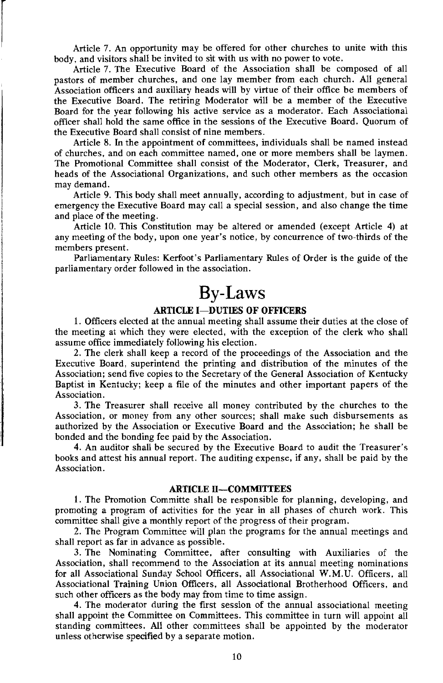Article 7. An opportunity may be offered for other churches to unite with this body, and visitors shall be invited to sit with us with no power to vote.

Article 7. The Executive Board of the Association shall be composed of all pastors of member churches, and one lay member from each church. All general Association officers and auxiliary heads will by virtue of their office be members of the Executive Board. The retiring Moderator will be a member of the Executive Board for the year following his active service as a moderator. Each Associational officer shall hold the same office in the sessions of the Executive Board. Ouorum of the Executive Board shall consist of nine members.

Article 8. In the appointment of committees, individuals shall be named instead of churches, and on each committee named, one or more members shall be laymen. The Promotional Committee shall consist of the Moderator, Clerk, Treasurer, and heads of the Associational Organizations, and such other members as the occasion may demand.

Article 9. This body shall meet annually, according to adjustment, but in case of emergency the Executive Board may call a special session, and also change the time and place of the meeting.

Article 10. This Constitution may be altered or amended (except Article 4) at any meeting of the body, upon one year's notice, by concurrence of two-thirds of the members present.

Parliamentary Rules: Kerfoot's Parliamentary Rules of Order is the guide of the parliamentary order followed in the association.

### **By-Laws**

#### **ARTICLE I-DUTIES OF OFFICERS**

1. Officers elected at the annual meeting shall assume their duties at the close of the meeting at which they were elected, with the exception of the clerk who shall assume office immediately following his election.

2. The clerk shall keep a record of the proceedings of the Association and the Executive Board, superintend the printing and distribution of the minutes of the Association; send five copies to the Secretary of the General Association of Kentucky Baptist in Kentucky; keep a file of the minutes and other important papers of the Association.

3. The Treasurer shall receive all money contributed by the churches to the Association, or money from any other sources; shall make such disbursements as authorized by the Association or Executive Board and the Association; he shall be bonded and the bonding fee paid by the Association.

4. An auditor shall be secured by the Executive Board to audit the Treasurer's books and attest his annual report. The auditing expense, if any, shall be paid by the Association.

#### **ARTICLE II-COMMITTEES**

1. The Promotion Committe shall be responsible for planning, developing, and promoting a program of activities for the year in all phases of church work. This committee shall give a monthly report of the progress of their program.

2. The Program Committee will plan the programs for the annual meetings and shall report as far in advance as possible.

3. The Nominating Committee, after consulting with Auxiliaries of the Association, shall recommend to the Association at its annual meeting nominations for all Associational Sunday School Officers, all Associational W.M.U. Officers, all Associational Training Union Officers, all Associational Brotherhood Officers, and such other officers as the body may from time to time assign.

4. The moderator during the first session of the annual associational meeting shall appoint the Committee on Committees. This committee in turn will appoint all standing committees. All other committees shall be appointed by the moderator unless otherwise specified by a separate motion.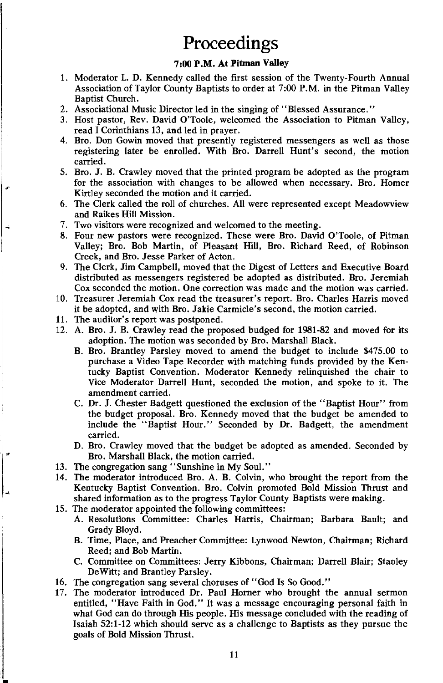### Proceedings

#### 7:00 P.M. At Pitman Valley

- 1. Moderator L. D. Kennedy called the first session of the Twenty-Fourth Annual Association of Taylor County Baptists to order at 7:00 P.M. in the Pitman Valley Baptist Church.
- 2. Associational Music Director led in the singing of "Blessed Assurance."
- 3. Host pastor, Rev. David O'Toole, welcomed the Association to Pitman Valley, read I Corinthians 13, and led in prayer.
- 4. Bro. Don Gowin moved that presently registered messengers as well as those registering later be enrolled. With Bro. Darrell Hunt's second, the motion carried.
- 5. Bro. J. B. Crawley moved that the printed program be adopted as the program for the association with changes to be allowed when necessary. Bro. Homer Kirtley seconded the motion and it carried.
- 6. The Clerk called the roll of churches. All were represented except Meadowview and Raikes Hill Mission.
- 7. Two visitors were recognized and welcomed to the meeting.
- 8. Four new pastors were recognized. These were Bro. David O'Toole, of Pitman Valley; Bro. Bob Martin, of Pleasant Hill, Bro. Richard Reed, of Robinson Creek, and Bro. Jesse Parker of Acton.
- 9. The Clerk, Jim Campbell, moved that the Digest of Letters and Executive Board distributed as messengers registered be adopted as distributed. Bro. Jeremiah Cox seconded the motion. One correction was made and the motion was carried.
- 10. Treasurer Jeremiah Cox read the treasurer's report. Bro. Charles Harris moved it be adopted, and with Bro. Jakie Carmicle's second, the motion carried.
- 11. The auditor's report was postponed.

 $\mathbf{a}^*$ 

- 12. A. Bro. J. B. Crawley read the proposed budged for 1981-82 and moved for its adoption. The motion was seconded by Bro. Marshall Black.
	- B. Bro. Brantley Parsley moved to amend the budget to include \$475.00 to purchase a Video Tape Recorder with matching funds provided by the Kentucky Baptist Convention. Moderator Kennedy relinquished the chair to Vice Moderator Darrell Hunt, seconded the motion, and spoke to it. The amendment carried.
	- C. Dr. J. Chester Badgett questioned the exclusion of the "Baptist Hour" from the budget proposal. Bro. Kennedy moved that the budget be amended to include the "Baptist Hour." Seconded by Dr. Badgett, the amendment carried.
	- D. Bro. Crawley moved that the budget be adopted as amended. Seconded by Bro. Marshall Black, the motion carried.
- 13. The congregation sang "Sunshine in My Soul."
- 14. The moderator introduced Bro. A. B. Colvin, who brought the report from the Kentucky Baptist Convention. Bro. Colvin promoted Bold Mission Thrust and shared information as to the progress Taylor County Baptists were making.
- 15. The moderator appointed the following committees:
	- A. Resolutions Committee: Charles Harris, Chairman; Barbara Bault; and Grady Bloyd.
	- B. Time, Place, and Preacher Committee: Lynwood Newton, Chairman; Richard Reed: and Bob Martin.
	- C. Committee on Committees: Jerry Kibbons, Chairman; Darrell Blair; Stanley DeWitt; and Brantley Parsley.
- 16. The congregation sang several choruses of "God Is So Good."
- 17. The moderator introduced Dr. Paul Horner who brought the annual sermon entitled, "Have Faith in God." It was a message encouraging personal faith in what God can do through His people. His message concluded with the reading of Isaiah 52:1-12 which should serve as a challenge to Baptists as they pursue the goals of Bold Mission Thrust.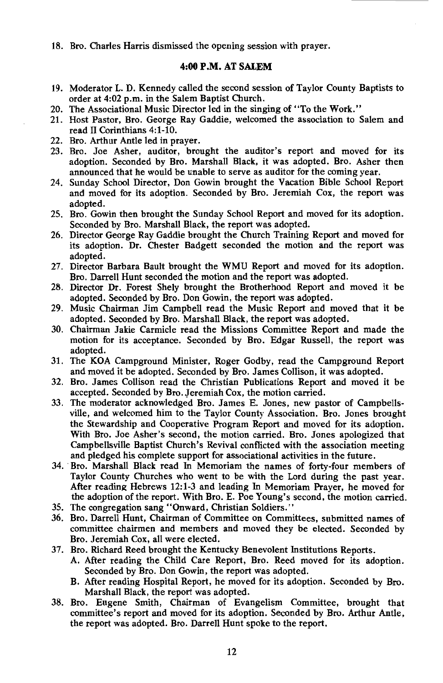#### 18. Bro. Charles Harris dismissed the opening session with prayer.

#### 4:00 P.M. AT SALEM

- 19. Moderator L. D. Kennedy called the second session of Taylor County Baptists to order at 4:02 p.m. in the Salem Baptist Church.
- 20. The Associational Music Director led in the singing of "To the Work."
- 21. Host Pastor, Bro. George Ray Gaddie, welcomed the association to Salem and read II Corinthians 4:1-10.
- 22. Bro. Arthur Antle led in prayer.
- 23. Bro. Joe Asher, auditor, brought the auditor's report and moved for its adontion. Seconded by Bro. Marshall Black, it was adopted, Bro. Asher then announced that he would be unable to serve as auditor for the coming year.
- 24. Sunday School Director, Don Gowin brought the Vacation Bible School Report and moved for its adoption. Seconded by Bro. Jeremiah Cox, the report was adopted.
- 25. Bro. Gowin then brought the Sunday School Report and moved for its adoption. Seconded by Bro. Marshall Black, the report was adopted.
- 26. Director George Ray Gaddie brought the Church Training Report and moved for its adoption. Dr. Chester Badgett seconded the motion and the report was adopted.
- 27. Director Barbara Bault brought the WMU Report and moved for its adoption. Bro. Darrell Hunt seconded the motion and the report was adopted.
- 28. Director Dr. Forest Shely brought the Brotherhood Report and moved it be adopted. Seconded by Bro. Don Gowin, the report was adopted.
- 29. Music Chairman Jim Campbell read the Music Report and moved that it be adopted. Seconded by Bro. Marshall Black, the report was adopted.
- 30. Chairman Jakie Carmicle read the Missions Committee Report and made the motion for its acceptance. Seconded by Bro. Edgar Russell, the report was adopted.
- 31. The KOA Campground Minister, Roger Godby, read the Campground Report and moved it be adopted. Seconded by Bro. James Collison, it was adopted.
- 32. Bro. James Collison read the Christian Publications Report and moved it be accepted. Seconded by Bro. Jeremiah Cox, the motion carried.
- 33. The moderator acknowledged Bro. James E. Jones, new pastor of Campbellsville, and welcomed him to the Taylor County Association. Bro. Jones brought the Stewardship and Cooperative Program Report and moved for its adoption. With Bro. Joe Asher's second, the motion carried. Bro. Jones apologized that Campbellsville Baptist Church's Revival conflicted with the association meeting and pledged his complete support for associational activities in the future.
- 34. Bro. Marshall Black read In Memoriam the names of forty-four members of Taylor County Churches who went to be with the Lord during the past year. After reading Hebrews 12:1-3 and leading In Memoriam Prayer, he moved for the adoption of the report. With Bro. E. Poe Young's second, the motion carried.
- 35. The congregation sang "Onward, Christian Soldiers."
- 36. Bro. Darrell Hunt, Chairman of Committee on Committees, submitted names of committee chairmen and members and moved they be elected. Seconded by Bro. Jeremiah Cox, all were elected.
- 37. Bro. Richard Reed brought the Kentucky Benevolent Institutions Reports.
	- A. After reading the Child Care Report, Bro. Reed moved for its adoption. Seconded by Bro. Don Gowin, the report was adopted.
	- B. After reading Hospital Report, he moved for its adoption. Seconded by Bro. Marshall Black, the report was adopted.
- 38. Bro. Eugene Smith, Chairman of Evangelism Committee, brought that committee's report and moved for its adoption. Seconded by Bro. Arthur Antle. the report was adopted. Bro. Darrell Hunt spoke to the report.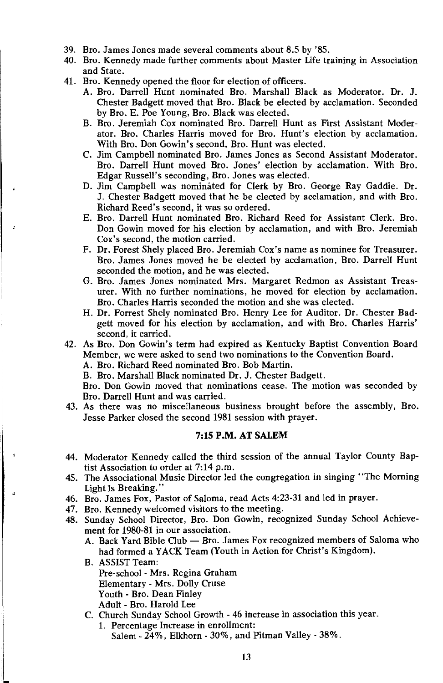- 39. Bro. James Jones made several comments about 8.5 by '85.
- 40. Bro. Kennedy made further comments about Master Life training in Association and State.
- 41. Bro. Kennedy opened the floor for election of officers.
	- A. Bro. Darrell Hunt nominated Bro. Marshall Black as Moderator. Dr. J. Chester Badgett moved that Bro. Black be elected by acclamation. Seconded by Bro. E. Poe Young, Bro. Black was elected.
	- B. Bro. Jeremiah Cox nominated Bro. Darrell Hunt as First Assistant Moderator. Bro. Charles Harris moved for Bro. Hunt's election by acclamation. With Bro. Don Gowin's second, Bro. Hunt was elected.
	- C. Jim Campbell nominated Bro. James Jones as Second Assistant Moderator. Bro. Darrell Hunt moved Bro. Jones' election by acclamation. With Bro. Edgar Russell's seconding, Bro. Jones was elected.
	- D. Jim Campbell was nominated for Clerk by Bro. George Ray Gaddie. Dr. J. Chester Badgett moved that he be elected by acclamation, and with Bro. Richard Reed's second, it was so ordered.
	- E. Bro. Darrell Hunt nominated Bro. Richard Reed for Assistant Clerk. Bro. Don Gowin moved for his election by acclamation, and with Bro. Jeremiah Cox's second, the motion carried.
	- F. Dr. Forest Shely placed Bro. Jeremiah Cox's name as nominee for Treasurer. Bro. James Jones moved he be elected by acclamation, Bro. Darrell Hunt seconded the motion, and he was elected.
	- G. Bro. James Jones nominated Mrs. Margaret Redmon as Assistant Treasurer. With no further nominations, he moved for election by acclamation. Bro. Charles Harris seconded the motion and she was elected.
	- H. Dr. Forrest Shely nominated Bro. Henry Lee for Auditor. Dr. Chester Badgett moved for his election by acclamation, and with Bro. Charles Harris' second, it carried.
- 42. As Bro. Don Gowin's term had expired as Kentucky Baptist Convention Board Member, we were asked to send two nominations to the Convention Board. A. Bro. Richard Reed nominated Bro. Bob Martin.

B. Bro. Marshall Black nominated Dr. J. Chester Badgett.

Bro. Don Gowin moved that nominations cease. The motion was seconded by Bro. Darrell Hunt and was carried.

43. As there was no miscellaneous business brought before the assembly, Bro. Jesse Parker closed the second 1981 session with prayer.

#### 7:15 P.M. AT SALEM

- 44. Moderator Kennedy called the third session of the annual Taylor County Baptist Association to order at 7:14 p.m.
- 45. The Associational Music Director led the congregation in singing "The Morning Light Is Breaking."
- 46. Bro. James Fox, Pastor of Saloma, read Acts 4:23-31 and led in prayer.
- 47. Bro. Kennedy welcomed visitors to the meeting.
- 48. Sunday School Director, Bro. Don Gowin, recognized Sunday School Achievement for 1980-81 in our association.
	- A. Back Yard Bible Club Bro. James Fox recognized members of Saloma who had formed a YACK Team (Youth in Action for Christ's Kingdom).
	- **B.** ASSIST Team: Pre-school - Mrs. Regina Graham **Elementary - Mrs. Dolly Cruse** Youth - Bro. Dean Finley Adult - Bro. Harold Lee
	- C. Church Sunday School Growth 46 increase in association this year.
		- 1. Percentage Increase in enrollment: Salem - 24%, Elkhorn - 30%, and Pitman Valley - 38%.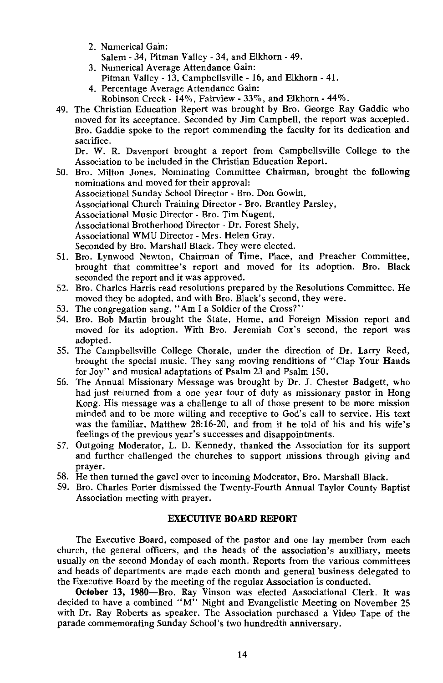2. Numerical Gain:

Salem - 34. Pitman Valley - 34. and Elkhorn - 49.

- 3. Numerical Average Attendance Gain:
- Pitman Valley 13, Campbellsville 16, and Elkhorn 41.
- 4. Percentage Average Attendance Gain:
	- Robinson Creek 14%, Fairview 33%, and Elkhorn 44%.
- 49. The Christian Education Report was brought by Bro. George Ray Gaddie who moved for its acceptance. Seconded by Jim Campbell, the report was accepted. Bro. Gaddie spoke to the report commending the faculty for its dedication and sacrifice.

Dr. W. R. Davenport brought a report from Campbellsville College to the Association to be included in the Christian Education Report.

- 50. Bro. Milton Jones, Nominating Committee Chairman, brought the following nominations and moved for their approval: Associational Sunday School Director - Bro. Don Gowin, Associational Church Training Director - Bro. Brantley Parsley. Associational Music Director - Bro. Tim Nugent, Associational Brotherhood Director - Dr. Forest Shely, Associational WMU Director - Mrs. Helen Gray. Seconded by Bro. Marshall Black. They were elected.
- 51. Bro. Lynwood Newton, Chairman of Time, Place, and Preacher Committee, brought that committee's report and moved for its adoption. Bro. Black seconded the report and it was approved.
- 52. Bro. Charles Harris read resolutions prepared by the Resolutions Committee. He moved they be adopted, and with Bro. Black's second, they were.
- 53. The congregation sang, "Am I a Soldier of the Cross?"
- 54. Bro. Bob Martin brought the State, Home, and Foreign Mission report and moved for its adoption. With Bro. Jeremiah Cox's second, the report was adopted.
- 55. The Campbellsville College Chorale, under the direction of Dr. Larry Reed, brought the special music. They sang moving renditions of "Clap Your Hands for Joy" and musical adaptations of Psalm 23 and Psalm 150.
- 56. The Annual Missionary Message was brought by Dr. J. Chester Badgett, who had just returned from a one year tour of duty as missionary pastor in Hong Kong. His message was a challenge to all of those present to be more mission minded and to be more willing and receptive to God's call to service. His text was the familiar. Matthew 28:16-20, and from it he told of his and his wife's feelings of the previous year's successes and disappointments.
- 57. Outgoing Moderator, L. D. Kennedy, thanked the Association for its support and further challenged the churches to support missions through giving and praver.
- 58. He then turned the gavel over to incoming Moderator, Bro. Marshall Black.
- 59. Bro. Charles Porter dismissed the Twenty-Fourth Annual Taylor County Baptist Association meeting with prayer.

#### **EXECUTIVE BOARD REPORT**

The Executive Board, composed of the pastor and one lay member from each church, the general officers, and the heads of the association's auxilliary, meets usually on the second Monday of each month. Reports from the various committees and heads of departments are made each month and general business delegated to the Executive Board by the meeting of the regular Association is conducted.

October 13, 1980-Bro. Ray Vinson was elected Associational Clerk. It was decided to have a combined " $M''$ . Night and Evangelistic Meeting on November 25 with Dr. Ray Roberts as speaker. The Association purchased a Video Tape of the parade commemorating Sunday School's two hundredth anniversary.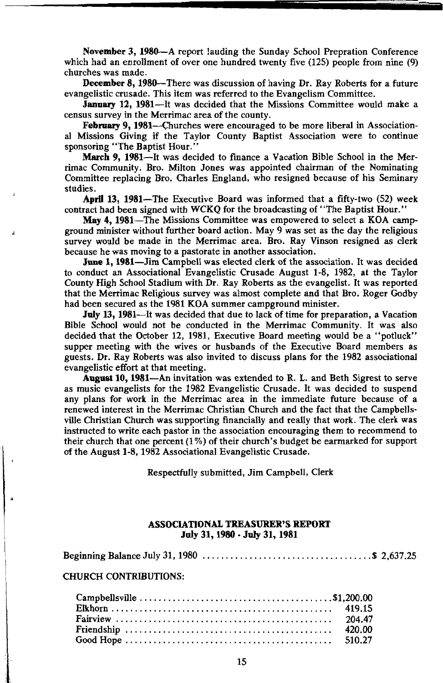November 3, 1980—A report lauding the Sunday School Prepration Conference which had an enrollment of over one hundred twenty five (125) people from nine (9) churches was made.

**December 8. 1980—There was discussion of having Dr. Ray Roberts for a future** evangelistic crusade. This item was referred to the Evangelism Committee.

January 12, 1981—It was decided that the Missions Committee would make a census survey in the Merrimac area of the county.

February 9, 1981—Churches were encouraged to be more liberal in Associational Missions Giving if the Taylor County Baptist Association were to continue sponsoring "The Baptist Hour."

March 9, 1981—It was decided to finance a Vacation Bible School in the Merrimac Community. Bro. Milton Jones was appointed chairman of the Nominating Committee replacing Bro. Charles England, who resigned because of his Seminary studies.

April 13, 1981-The Executive Board was informed that a fifty-two (52) week contract had been signed with WCKQ for the broadcasting of "The Baptist Hour."

May 4, 1981—The Missions Committee was empowered to select a KOA campground minister without further board action. May 9 was set as the day the religious survey would be made in the Merrimac area. Bro. Ray Vinson resigned as clerk because he was moving to a pastorate in another association.

June 1, 1981-Jim Campbell was elected clerk of the association. It was decided to conduct an Associational Evangelistic Crusade August 1-8, 1982, at the Taylor County High School Stadium with Dr. Ray Roberts as the evangelist. It was reported that the Merrimac Religious survey was almost complete and that Bro. Roger Godby had been secured as the 1981 KOA summer campground minister.

July 13, 1981—It was decided that due to lack of time for preparation, a Vacation Bible School would not be conducted in the Merrimac Community. It was also decided that the October 12, 1981, Executive Board meeting would be a "potluck" supper meeting with the wives or husbands of the Executive Board members as guests. Dr. Ray Roberts was also invited to discuss plans for the 1982 associational evangelistic effort at that meeting.

August 10, 1981—An invitation was extended to R. L. and Beth Sigrest to serve as music evangelists for the 1982 Evangelistic Crusade. It was decided to suspend any plans for work in the Merrimac area in the immediate future because of a renewed interest in the Merrimac Christian Church and the fact that the Campbellsville Christian Church was supporting financially and really that work. The clerk was instructed to write each pastor in the association encouraging them to recommend to their church that one percent  $(1\%)$  of their church's budget be earmarked for support of the August 1-8, 1982 Associational Evangelistic Crusade.

Respectfully submitted, Jim Campbell, Clerk

#### **ASSOCIATIONAL TREASURER'S REPORT** July 31, 1980 - July 31, 1981

#### **CHURCH CONTRIBUTIONS:**

| 420.00 |
|--------|
|        |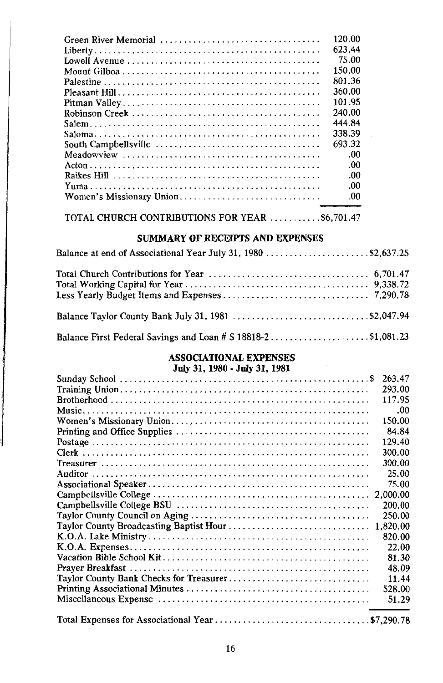| Green River Memorial     | 120.00 |
|--------------------------|--------|
|                          | 623.44 |
|                          | 75.00  |
|                          | 150.00 |
|                          | 801.36 |
|                          | 360.00 |
|                          | 101.95 |
|                          | 240.00 |
|                          | 444.84 |
|                          | 338.39 |
|                          | 693.32 |
|                          | .00    |
|                          | .00    |
|                          | .00    |
|                          | .00    |
| Women's Missionary Union | .00    |

TOTAL CHURCH CONTRIBUTIONS FOR YEAR ...........\$6,701.47

#### SUMMARY OF RECEIPTS AND EXPENSES

| Balance at end of Associational Year July 31, 1980 \$2,637.25 |  |
|---------------------------------------------------------------|--|
|                                                               |  |
| Balance Taylor County Bank July 31, 1981 \$2,047.94           |  |
|                                                               |  |

# **ASSOCIATIONAL EXPENSES**<br>July 31, 1980 - July 31, 1981

| 263.47 |
|--------|
| 293.00 |
| 117.95 |
| .00    |
| 150.00 |
| 84.84  |
| 129.40 |
| 300.00 |
| 300.00 |
| 25.00  |
| 75.00  |
|        |
| 200.00 |
| 250.00 |
|        |
| 820.00 |
| 22.00  |
| 81.30  |
| 48.09  |
| 11.44  |
| 528.00 |
| 51.29  |
|        |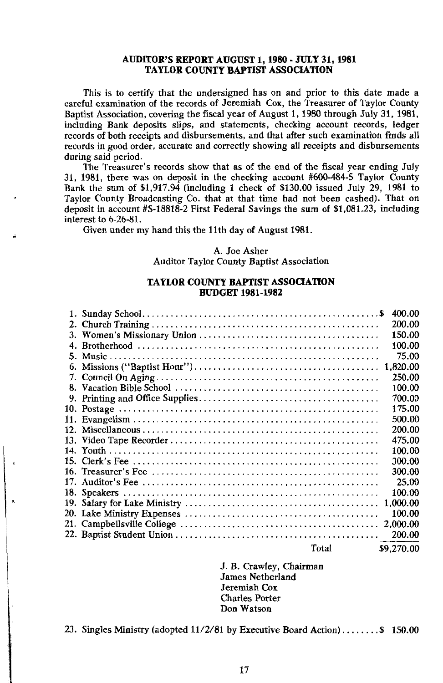#### **AUDITOR'S REPORT AUGUST 1, 1980 - JULY 31, 1981 TAYLOR COUNTY BAPTIST ASSOCIATION**

This is to certify that the undersigned has on and prior to this date made a careful examination of the records of Jeremiah Cox, the Treasurer of Taylor County Baptist Association, covering the fiscal year of August 1, 1980 through July 31, 1981, including Bank deposits slips, and statements, checking account records, ledger records of both receipts and disbursements, and that after such examination finds all records in good order, accurate and correctly showing all receipts and disbursements during said period.

The Treasurer's records show that as of the end of the fiscal year ending July 31, 1981, there was on deposit in the checking account  $#600-484-5$  Taylor County Bank the sum of \$1,917.94 (including 1 check of \$130.00 issued July 29, 1981 to Taylor County Broadcasting Co. that at that time had not been cashed). That on deposit in account  $#S-18818-2$  First Federal Savings the sum of \$1,081.23, including interest to 6-26-81.

Given under my hand this the 11th day of August 1981.

#### A. Joe Asher **Auditor Taylor County Baptist Association**

#### **TAYLOR COUNTY BAPTIST ASSOCIATION BUDGET 1981-1982**

|     |       | 400.00     |
|-----|-------|------------|
|     |       | 200.00     |
|     |       | 150.00     |
| 4.  |       | 100.00     |
|     |       | 75.00      |
| 6.  |       |            |
|     |       | 250.00     |
|     |       | 100.00     |
|     |       | 700.00     |
|     |       | 175.00     |
|     |       | 500.00     |
|     |       | 200.00     |
|     |       | 475.00     |
|     |       | 100.00     |
|     |       | 300.00     |
|     |       | 300.00     |
| 17. |       | 25.00      |
|     |       | 100.00     |
|     |       | 1,000.00   |
|     |       | 100.00     |
| 21. |       | 2.000.00   |
|     |       | 200.00     |
|     | Total | \$9,270.00 |

J. B. Crawley, Chairman **James Netherland** Jeremiah Cox **Charles Porter** Don Watson

23. Singles Ministry (adopted 11/2/81 by Executive Board Action)........ \$ 150.00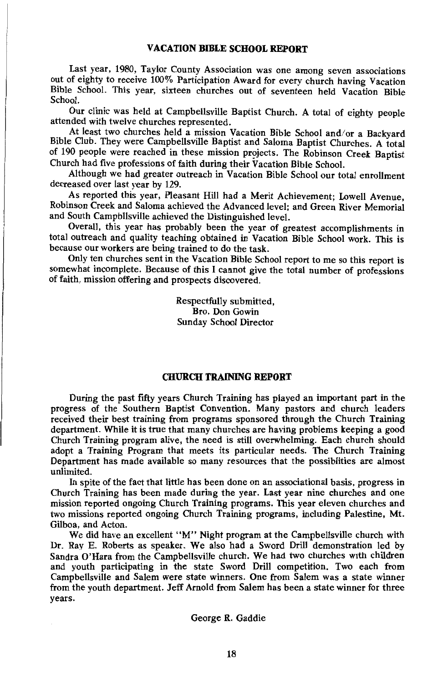Last year, 1980, Taylor County Association was one among seven associations out of eighty to receive 100% Participation Award for every church having Vacation Bible School. This year, sixteen churches out of seventeen held Vacation Bible School.

Our clinic was held at Campbellsville Baptist Church. A total of eighty people attended with twelve churches represented.

At least two churches held a mission Vacation Bible School and/or a Backyard Bible Club. They were Campbellsville Baptist and Saloma Baptist Churches. A total of 190 people were reached in these mission projects. The Robinson Creek Baptist Church had five professions of faith during their Vacation Bible School.

Although we had greater outreach in Vacation Bible School our total enrollment decreased over last year by 129.

As reported this year, Pleasant Hill had a Merit Achievement; Lowell Avenue. Robinson Creek and Saloma achieved the Advanced level; and Green River Memorial and South Campbllsville achieved the Distinguished level.

Overall, this year has probably been the year of greatest accomplishments in total outreach and quality teaching obtained in Vacation Bible School work. This is because our workers are being trained to do the task.

Only ten churches sent in the Vacation Bible School report to me so this report is somewhat incomplete. Because of this I cannot give the total number of professions of faith, mission offering and prospects discovered.

> Respectfully submitted, Bro. Don Gowin Sunday School Director

#### **CHURCH TRAINING REPORT**

During the past fifty years Church Training has played an important part in the progress of the Southern Baptist Convention. Many pastors and church leaders received their best training from programs sponsored through the Church Training department. While it is true that many churches are having problems keeping a good Church Training program alive, the need is still overwhelming. Each church should adopt a Training Program that meets its particular needs. The Church Training Department has made available so many resources that the possibilities are almost unlimited.

In spite of the fact that little has been done on an associational basis, progress in Church Training has been made during the year. Last year nine churches and one mission reported ongoing Church Training programs. This year eleven churches and two missions reported ongoing Church Training programs, including Palestine, Mt. Gilboa. and Acton.

We did have an excellent "M" Night program at the Campbellsville church with Dr. Ray E. Roberts as speaker. We also had a Sword Drill demonstration led by Sandra O'Hara from the Campbellsville church. We had two churches with children and youth participating in the state Sword Drill competition. Two each from Campbellsville and Salem were state winners. One from Salem was a state winner from the youth department. Jeff Arnold from Salem has been a state winner for three vears.

George R. Gaddie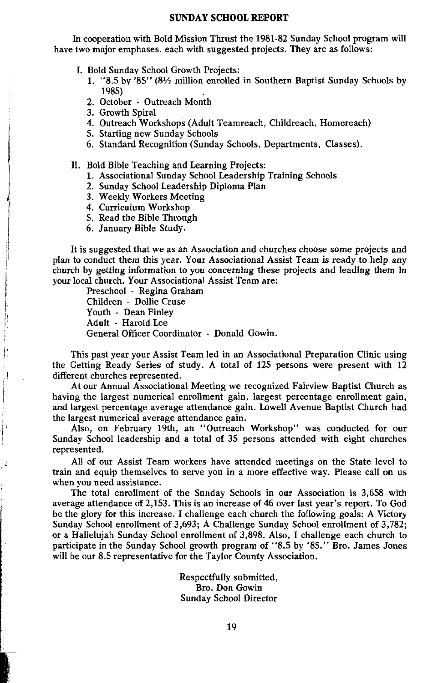#### **SUNDAY SCHOOL REPORT**

In cooperation with Bold Mission Thrust the 1981-82 Sunday School program will have two major emphases, each with suggested projects. They are as follows:

- I. Bold Sunday School Growth Projects:
	- 1. "8.5 by '85" (81/2 million enrolled in Southern Baptist Sunday Schools by 1985)
	- 2. October Outreach Month
	- 3. Growth Spiral
	- 4. Outreach Workshops (Adult Teamreach, Childreach, Homereach)
	- 5. Starting new Sunday Schools
	- 6. Standard Recognition (Sunday Schools, Departments, Classes).
- II. Bold Bible Teaching and Learning Projects:
	- 1. Associational Sunday School Leadership Training Schools
	- 2. Sundav School Leadership Diploma Plan
	- 3. Weekly Workers Meeting
	- 4. Curriculum Workshop
	- 5. Read the Bible Through
	- 6. January Bible Study.

It is suggested that we as an Association and churches choose some projects and plan to conduct them this year. Your Associational Assist Team is ready to help any church by getting information to you concerning these projects and leading them in vour local church. Your Associational Assist Team are:

Preschool - Regina Graham Children - Dollie Cruse Youth - Dean Finley Adult - Harold Lee General Officer Coordinator - Donald Gowin.

This past year your Assist Team led in an Associational Preparation Clinic using the Getting Ready Series of study. A total of 125 persons were present with 12 different churches represented.

At our Annual Associational Meeting we recognized Fairview Baptist Church as having the largest numerical enrollment gain, largest percentage enrollment gain, and largest percentage average attendance gain. Lowell Avenue Baptist Church had the largest numerical average attendance gain.

Also, on February 19th, an "Outreach Workshop" was conducted for our Sunday School leadership and a total of 35 persons attended with eight churches represented.

All of our Assist Team workers have attended meetings on the State level to train and equip themselves to serve you in a more effective way. Please call on us when you need assistance.

The total enrollment of the Sunday Schools in our Association is 3,658 with average attendance of 2,153. This is an increase of 46 over last year's report. To God be the glory for this increase. I challenge each church the following goals: A Victory Sunday School enrollment of 3,693; A Challenge Sunday School enrollment of 3,782; or a Hallelujah Sunday School enrollment of 3,898. Also, I challenge each church to participate in the Sunday School growth program of "8.5 by '85." Bro. James Jones will be our 8.5 representative for the Taylor County Association.

> Respectfully submitted, Bro. Don Gowin Sunday School Director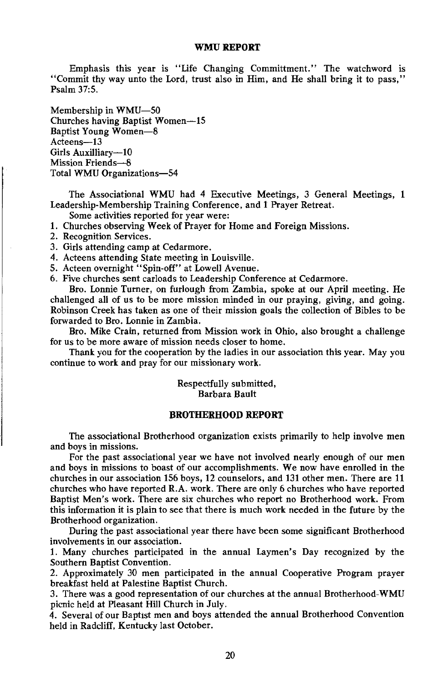#### WMU REPORT

Emphasis this year is "Life Changing Committment." The watchword is "Commit thy way unto the Lord, trust also in Him, and He shall bring it to pass," Psalm 37:5.

Membership in WMU-50 Churches having Baptist Women-15 Baptist Young Women-8 Acteens-13 Girls Auxilliary-10 Mission Friends-8 Total WMU Organizations-54

The Associational WMU had 4 Executive Meetings, 3 General Meetings, 1 Leadership-Membership Training Conference, and 1 Prayer Retreat.

Some activities reported for year were:

- 1. Churches observing Week of Praver for Home and Foreign Missions.
- 2. Recognition Services.
- 3. Girls attending camp at Cedarmore.
- 4. Acteens attending State meeting in Louisville.
- 5. Acteen overnight "Spin-off" at Lowell Avenue.
- 6. Five churches sent carloads to Leadership Conference at Cedarmore.

Bro. Lonnie Turner, on furlough from Zambia, spoke at our April meeting. He challenged all of us to be more mission minded in our praying, giving, and going. Robinson Creek has taken as one of their mission goals the collection of Bibles to be forwarded to Bro. Lonnie in Zambia.

Bro. Mike Crain, returned from Mission work in Ohio, also brought a challenge for us to be more aware of mission needs closer to home.

Thank you for the cooperation by the ladies in our association this year. May you continue to work and pray for our missionary work.

> Respectfully submitted, **Barbara Bault**

#### **BROTHERHOOD REPORT**

The associational Brotherhood organization exists primarily to help involve men and boys in missions.

For the past associational year we have not involved nearly enough of our men and boys in missions to boast of our accomplishments. We now have enrolled in the churches in our association 156 boys, 12 counselors, and 131 other men. There are 11 churches who have reported R.A. work. There are only 6 churches who have reported Baptist Men's work. There are six churches who report no Brotherhood work. From this information it is plain to see that there is much work needed in the future by the Brotherhood organization.

During the past associational year there have been some significant Brotherhood involvements in our association.

1. Many churches participated in the annual Laymen's Day recognized by the Southern Baptist Convention.

2. Approximately 30 men participated in the annual Cooperative Program prayer breakfast held at Palestine Baptist Church.

3. There was a good representation of our churches at the annual Brotherhood-WMU picnic held at Pleasant Hill Church in July.

4. Several of our Baptist men and boys attended the annual Brotherhood Convention held in Radcliff, Kentucky last October.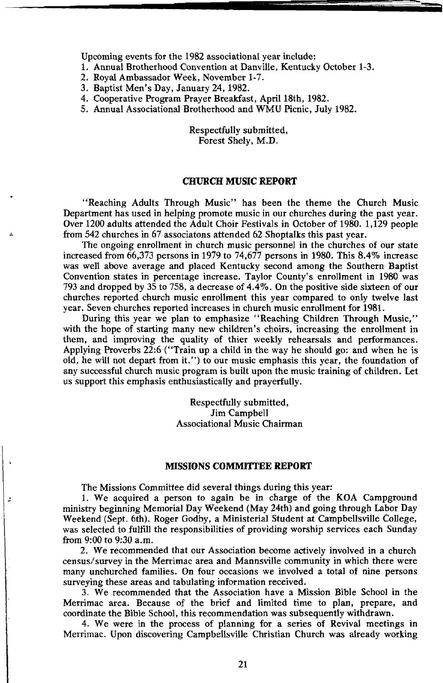Upcoming events for the 1982 associational year include:

1. Annual Brotherhood Convention at Danville, Kentucky October 1-3.

- 2. Roval Ambassador Week, November 1-7.
- 3. Baptist Men's Day, January 24, 1982.
- 4. Cooperative Program Prayer Breakfast, April 18th, 1982.

5. Annual Associational Brotherhood and WMU Picnic, July 1982.

Respectfully submitted. Forest Shelv. M.D.

#### **CHURCH MUSIC REPORT**

"Reaching Adults Through Music" has been the theme the Church Music Department has used in helping promote music in our churches during the past year. Over 1200 adults attended the Adult Choir Festivals in October of 1980, 1,129 people from 542 churches in 67 associatons attended 62 Shoptalks this past year.

The ongoing enrollment in church music personnel in the churches of our state increased from  $66,373$  persons in 1979 to 74,677 persons in 1980. This 8.4% increase was well above average and placed Kentucky second among the Southern Baptist Convention states in percentage increase. Taylor County's enrollment in 1980 was 793 and dropped by 35 to 758, a decrease of  $4.4\%$ . On the positive side sixteen of our churches reported church music enrollment this year compared to only twelve last year. Seven churches reported increases in church music enrollment for 1981.

During this year we plan to emphasize "Reaching Children Through Music," with the hope of starting many new children's choirs, increasing the enrollment in them, and improving the quality of thier weekly rehearsals and performances. Applying Proverbs 22:6 ("Train up a child in the way he should go: and when he is old, he will not depart from it.") to our music emphasis this year, the foundation of any successful church music program is built upon the music training of children. Let us support this emphasis enthusiastically and prayerfully.

> Respectfully submitted, Jim Campbell **Associational Music Chairman**

#### **MISSIONS COMMITTEE REPORT**

The Missions Committee did several things during this year:

 $\Lambda$ 

1. We acquired a person to again be in charge of the KOA Campground ministry beginning Memorial Day Weekend (May 24th) and going through Labor Day Weekend (Sept. 6th). Roger Godby, a Ministerial Student at Campbellsville College, was selected to fulfill the responsibilities of providing worship services each Sunday from 9:00 to 9:30 a.m.

2. We recommended that our Association become actively involved in a church census/survey in the Merrimac area and Mannsville community in which there were many unchurched families. On four occasions we involved a total of nine persons surveying these areas and tabulating information received.

3. We recommended that the Association have a Mission Bible School in the Merrimac area. Because of the brief and limited time to plan, prepare, and coordinate the Bible School, this recommendation was subsequently withdrawn.

4. We were in the process of planning for a series of Revival meetings in Merrimac. Upon discovering Campbellsville Christian Church was already working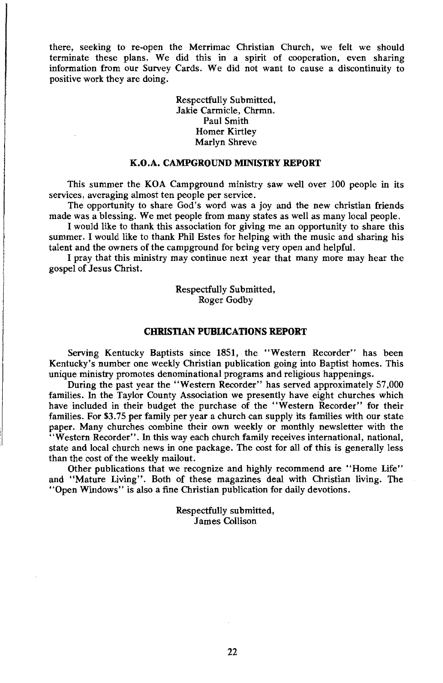there, seeking to re-open the Merrimac Christian Church, we felt we should terminate these plans. We did this in a spirit of cooperation, even sharing information from our Survey Cards. We did not want to cause a discontinuity to positive work they are doing.

> Respectfully Submitted. Jakie Carmicle, Chrmn. Paul Smith Homer Kirtley Marlyn Shreve

#### K.O.A. CAMPGROUND MINISTRY REPORT

This summer the KOA Campground ministry saw well over 100 people in its services, averaging almost ten people per service.

The opportunity to share God's word was a joy and the new christian friends made was a blessing. We met people from many states as well as many local people.

I would like to thank this association for giving me an opportunity to share this summer. I would like to thank Phil Estes for helping with the music and sharing his talent and the owners of the campground for being very open and helpful.

I pray that this ministry may continue next year that many more may hear the gospel of Jesus Christ.

> Respectfully Submitted, Roger Godby

#### **CHRISTIAN PUBLICATIONS REPORT**

Serving Kentucky Baptists since 1851, the "Western Recorder" has been Kentucky's number one weekly Christian publication going into Baptist homes. This unique ministry promotes denominational programs and religious happenings.

During the past year the "Western Recorder" has served approximately 57,000 families. In the Taylor County Association we presently have eight churches which have included in their budget the purchase of the "Western Recorder" for their families. For \$3.75 per family per year a church can supply its families with our state paper. Many churches combine their own weekly or monthly newsletter with the "Western Recorder". In this way each church family receives international, national, state and local church news in one package. The cost for all of this is generally less than the cost of the weekly mailout.

Other publications that we recognize and highly recommend are "Home Life" and "Mature Living". Both of these magazines deal with Christian living. The "Open Windows" is also a fine Christian publication for daily devotions.

> Respectfully submitted, James Collison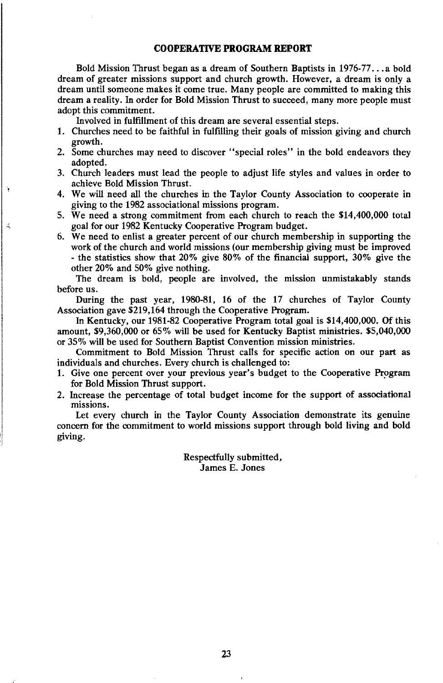#### **COOPERATIVE PROGRAM REPORT**

Bold Mission Thrust began as a dream of Southern Baptists in 1976-77...a bold dream of greater missions support and church growth. However, a dream is only a dream until someone makes it come true. Many people are committed to making this dream a reality. In order for Bold Mission Thrust to succeed, many more people must adopt this commitment.

Involved in fulfillment of this dream are several essential steps.

 $\mathbb Z$ 

- 1. Churches need to be faithful in fulfilling their goals of mission giving and church growth.
- 2. Some churches may need to discover "special roles" in the bold endeavors they adopted.
- 3. Church leaders must lead the people to adjust life styles and values in order to achieve Bold Mission Thrust.
- 4. We will need all the churches in the Taylor County Association to cooperate in giving to the 1982 associational missions program.
- 5. We need a strong commitment from each church to reach the \$14,400,000 total goal for our 1982 Kentucky Cooperative Program budget.
- 6. We need to enlist a greater percent of our church membership in supporting the work of the church and world missions (our membership giving must be improved - the statistics show that 20% give 80% of the financial support, 30% give the other 20% and 50% give nothing.

The dream is bold, people are involved, the mission unmistakably stands before us.

During the past year, 1980-81, 16 of the 17 churches of Taylor County Association gave \$219,164 through the Cooperative Program.

In Kentucky, our 1981-82 Cooperative Program total goal is \$14,400,000. Of this amount, \$9,360,000 or 65% will be used for Kentucky Baptist ministries. \$5,040,000 or 35% will be used for Southern Baptist Convention mission ministries.

Commitment to Bold Mission Thrust calls for specific action on our part as individuals and churches. Every church is challenged to:

- 1. Give one percent over your previous year's budget to the Cooperative Program for Bold Mission Thrust support.
- 2. Increase the percentage of total budget income for the support of associational missions.

Let every church in the Taylor County Association demonstrate its genuine concern for the commitment to world missions support through bold living and bold giving.

> Respectfully submitted, James E. Jones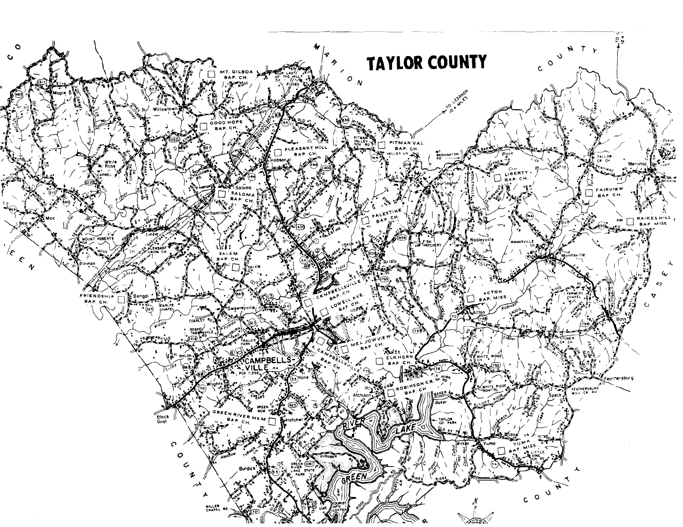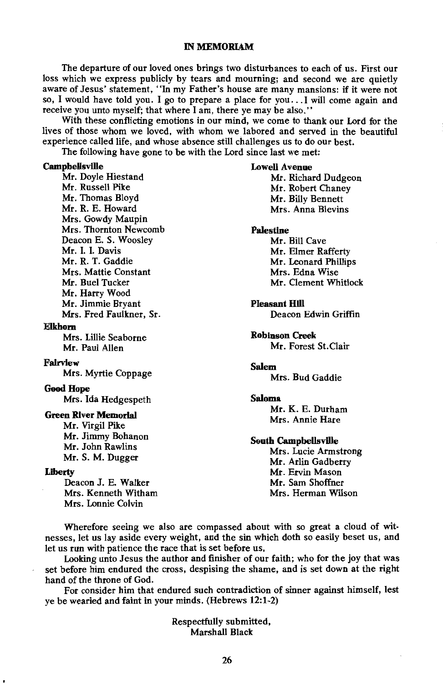#### **IN MEMORIAM**

The departure of our loved ones brings two disturbances to each of us. First our loss which we express publicly by tears and mourning; and second we are quietly aware of Jesus' statement, "In my Father's house are many mansions: if it were not so, I would have told you. I go to prepare a place for you... I will come again and receive you unto myself; that where I am, there ye may be also."

With these conflicting emotions in our mind, we come to thank our Lord for the lives of those whom we loved, with whom we labored and served in the beautiful experience called life, and whose absence still challenges us to do our best.

The following have gone to be with the Lord since last we met:

#### **Campbellsville**

Mr. Doyle Hiestand Mr. Russell Pike Mr. Thomas Bloyd Mr. R. E. Howard Mrs. Gowdy Maupin Mrs. Thornton Newcomb Deacon E. S. Woosley Mr. I. I. Davis Mr. R. T. Gaddie Mrs. Mattie Constant Mr. Buel Tucker Mr. Harry Wood Mr. Jimmie Bryant Mrs. Fred Faulkner, Sr.

#### **Elkhorn**

Mrs. Lillie Seaborne Mr. Paul Allen

#### Fairview

Mrs. Myrtie Coppage

#### **Good Hope**

Mrs. Ida Hedgespeth

#### **Green River Memorial**

Mr. Virgil Pike Mr. Jimmy Bohanon Mr. John Rawlins Mr. S. M. Dugger

#### **Liberty**

Deacon J. E. Walker Mrs. Kenneth Witham Mrs. Lonnie Colvin

#### **Lowell Avenue**

Mr. Richard Dudgeon Mr. Robert Chanev Mr. Billy Bennett Mrs. Anna Blevins

#### **Palestine**

Mr. Bill Cave Mr. Elmer Rafferty Mr. Leonard Phillips Mrs. Edna Wise Mr. Clement Whitlock

#### **Pleasant Hill**

Deacon Edwin Griffin

#### **Robinson Creek**

Mr. Forest St.Clair

#### **Salem**

Mrs. Bud Gaddie

#### Saloma

Mr. K. E. Durham Mrs. Annie Hare

#### **South Campbellsville**

Mrs. Lucie Armstrong Mr. Arlin Gadberry Mr. Ervin Mason Mr. Sam Shoffner Mrs. Herman Wilson

Wherefore seeing we also are compassed about with so great a cloud of witnesses, let us lay aside every weight, and the sin which doth so easily beset us, and let us run with patience the race that is set before us,

Looking unto Jesus the author and finisher of our faith; who for the joy that was set before him endured the cross, despising the shame, and is set down at the right hand of the throne of God

For consider him that endured such contradiction of sinner against himself, lest ve be wearied and faint in your minds. (Hebrews 12:1-2)

> Respectfully submitted. Marshall Black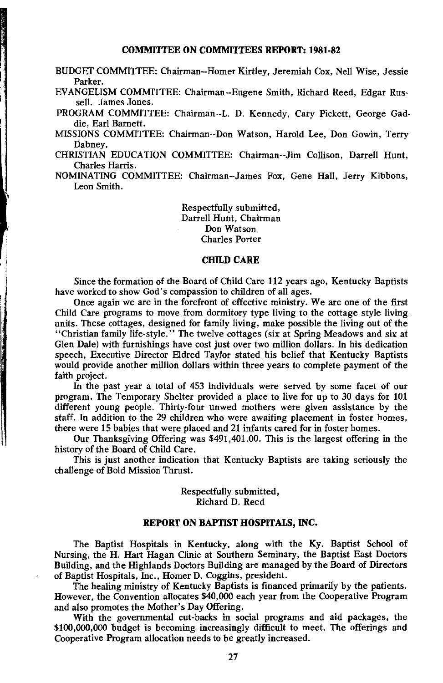#### **COMMITTEE ON COMMITTEES REPORT: 1981-82**

BUDGET COMMITTEE: Chairman--Homer Kirtley, Jeremiah Cox, Nell Wise, Jessie Parker.

EVANGELISM COMMITTEE: Chairman--Eugene Smith, Richard Reed, Edgar Russell. James Jones.

PROGRAM COMMITTEE: Chairman--L. D. Kennedy. Cary Pickett. George Gaddie. Earl Barnett.

MISSIONS COMMITTEE: Chairman--Don Watson, Harold Lee, Don Gowin, Terry Dabney.

CHRISTIAN EDUCATION COMMITTEE: Chairman--Jim Collison, Darrell Hunt, Charles Harris.

NOMINATING COMMITTEE: Chairman-James Fox, Gene Hall, Jerry Kibbons, Leon Smith.

> Respectfully submitted. Darrell Hunt, Chairman Don Watson **Charles Porter**

#### **CHILD CARE**

Since the formation of the Board of Child Care 112 years ago, Kentucky Baptists have worked to show God's compassion to children of all ages.

Once again we are in the forefront of effective ministry. We are one of the first Child Care programs to move from dormitory type living to the cottage style living units. These cottages, designed for family living, make possible the living out of the "Christian family life-style." The twelve cottages (six at Spring Meadows and six at Glen Dale) with furnishings have cost just over two million dollars. In his dedication speech. Executive Director Eldred Taylor stated his belief that Kentucky Baptists would provide another million dollars within three years to complete payment of the faith project.

In the past year a total of 453 individuals were served by some facet of our program. The Temporary Shelter provided a place to live for up to 30 days for 101 different young people. Thirty-four unwed mothers were given assistance by the staff. In addition to the 29 children who were awaiting placement in foster homes. there were 15 babies that were placed and 21 infants cared for in foster homes.

Our Thanksgiving Offering was \$491,401.00. This is the largest offering in the history of the Board of Child Care.

This is iust another indication that Kentucky Baptists are taking seriously the challenge of Bold Mission Thrust.

> Respectfully submitted. Richard D. Reed

#### REPORT ON BAPTIST HOSPITALS. INC.

The Baptist Hospitals in Kentucky, along with the Ky. Baptist School of Nursing, the H. Hart Hagan Clinic at Southern Seminary, the Baptist East Doctors Building, and the Highlands Doctors Building are managed by the Board of Directors of Baptist Hospitals, Inc., Homer D. Coggins, president.

The healing ministry of Kentucky Baptists is financed primarily by the patients. However, the Convention allocates \$40,000 each year from the Cooperative Program and also promotes the Mother's Day Offering.

With the governmental cut-backs in social programs and aid packages, the \$100,000,000 budget is becoming increasingly difficult to meet. The offerings and Cooperative Program allocation needs to be greatly increased.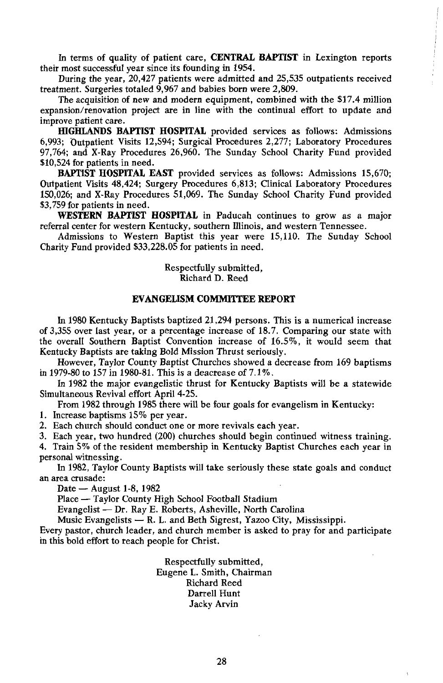In terms of quality of patient care, CENTRAL BAPTIST in Lexington reports their most successful year since its founding in 1954.

During the year, 20,427 patients were admitted and 25,535 outpatients received treatment. Surgeries totaled 9,967 and babies born were 2,809.

The acquisition of new and modern equipment, combined with the \$17.4 million expansion/renovation project are in line with the continual effort to update and improve patient care.

HIGHLANDS BAPTIST HOSPITAL provided services as follows: Admissions 6,993; Outpatient Visits 12,594; Surgical Procedures 2,277; Laboratory Procedures 97,764; and X-Ray Procedures 26,960. The Sunday School Charity Fund provided \$10,524 for patients in need.

BAPTIST HOSPITAL EAST provided services as follows: Admissions 15,670; Outpatient Visits 48,424; Surgery Procedures 6,813; Clinical Laboratory Procedures 150,026; and X-Ray Procedures 51,069. The Sunday School Charity Fund provided \$3.759 for patients in need.

WESTERN BAPTIST HOSPITAL in Paducah continues to grow as a major referral center for western Kentucky, southern Illinois, and western Tennessee.

Admissions to Western Baptist this year were 15,110. The Sunday School Charity Fund provided \$33,228.05 for patients in need.

> Respectfully submitted, Richard D. Reed

#### **EVANGELISM COMMITTEE REPORT**

In 1980 Kentucky Baptists baptized 21,294 persons. This is a numerical increase of 3,355 over last year, or a percentage increase of 18.7. Comparing our state with the overall Southern Baptist Convention increase of 16.5%, it would seem that Kentucky Baptists are taking Bold Mission Thrust seriously.

However, Taylor County Baptist Churches showed a decrease from 169 baptisms in 1979-80 to 157 in 1980-81. This is a deacrease of  $7.1\%$ .

In 1982 the major evangelistic thrust for Kentucky Baptists will be a statewide Simultaneous Revival effort April 4-25.

From 1982 through 1985 there will be four goals for evangelism in Kentucky:

1. Increase baptisms 15% per year.

2. Each church should conduct one or more revivals each year.

3. Each year, two hundred (200) churches should begin continued witness training.

4. Train 5% of the resident membership in Kentucky Baptist Churches each year in personal witnessing.

In 1982, Taylor County Baptists will take seriously these state goals and conduct an area crusade:

Date — August 1-8, 1982

Place - Taylor County High School Football Stadium

Evangelist - Dr. Ray E. Roberts, Asheville, North Carolina

Music Evangelists - R. L. and Beth Sigrest, Yazoo City, Mississippi.

Every pastor, church leader, and church member is asked to pray for and participate in this bold effort to reach people for Christ.

> Respectfully submitted, Eugene L. Smith, Chairman Richard Reed Darrell Hunt Jacky Arvin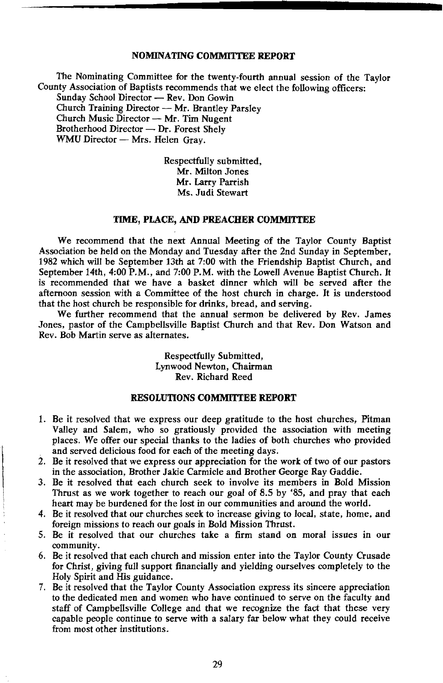#### **NOMINATING COMMITTEE REPORT**

The Nominating Committee for the twenty-fourth annual session of the Taylor County Association of Baptists recommends that we elect the following officers: Sunday School Director - Rev. Don Gowin Church Training Director - Mr. Brantley Parsley Church Music Director - Mr. Tim Nugent Brotherhood Director - Dr. Forest Shelv WMU Director - Mrs. Helen Gray.

> Respectfully submitted. Mr. Milton Jones Mr. Larry Parrish Ms. Judi Stewart

#### TIME, PLACE, AND PREACHER COMMITTEE

We recommend that the next Annual Meeting of the Taylor County Baptist Association be held on the Monday and Tuesday after the 2nd Sunday in September, 1982 which will be September 13th at 7:00 with the Friendship Baptist Church, and September 14th, 4:00 P.M., and 7:00 P.M. with the Lowell Avenue Baptist Church. It is recommended that we have a basket dinner which will be served after the afternoon session with a Committee of the host church in charge. It is understood that the host church be responsible for drinks, bread, and serving.

We further recommend that the annual sermon be delivered by Rev. James Jones, pastor of the Campbellsville Baptist Church and that Rev. Don Watson and Rev. Bob Martin serve as alternates.

> Respectfully Submitted, Lynwood Newton, Chairman Rev. Richard Reed

#### **RESOLUTIONS COMMITTEE REPORT**

- 1. Be it resolved that we express our deep gratitude to the host churches, Pitman Valley and Salem, who so gratiously provided the association with meeting places. We offer our special thanks to the ladies of both churches who provided and served delicious food for each of the meeting days.
- 2. Be it resolved that we express our appreciation for the work of two of our pastors in the association, Brother Jakie Carmicle and Brother George Ray Gaddie.
- 3. Be it resolved that each church seek to involve its members in Bold Mission Thrust as we work together to reach our goal of 8.5 by '85, and pray that each heart may be burdened for the lost in our communities and around the world.
- 4. Be it resolved that our churches seek to increase giving to local, state, home, and foreign missions to reach our goals in Bold Mission Thrust.
- 5. Be it resolved that our churches take a firm stand on moral issues in our community.
- 6. Be it resolved that each church and mission enter into the Taylor County Crusade for Christ, giving full support financially and yielding ourselves completely to the Holy Spirit and His guidance.
- 7. Be it resolved that the Taylor County Association express its sincere appreciation to the dedicated men and women who have continued to serve on the faculty and staff of Campbellsville College and that we recognize the fact that these very capable people continue to serve with a salary far below what they could receive from most other institutions.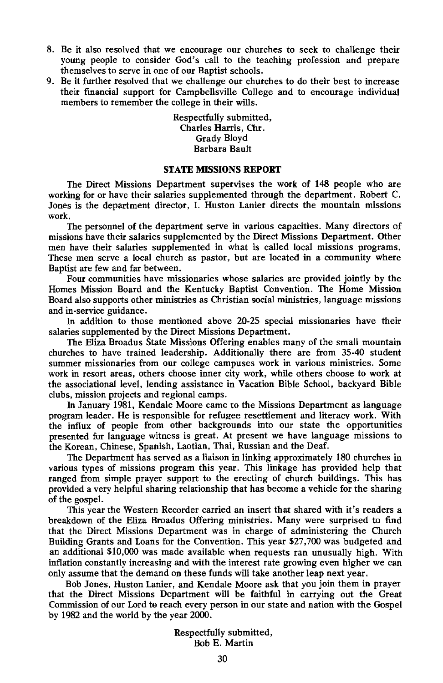- 8. Be it also resolved that we encourage our churches to seek to challenge their young people to consider God's call to the teaching profession and prepare themselves to serve in one of our Baptist schools.
- 9. Be it further resolved that we challenge our churches to do their best to increase their financial support for Campbellsville College and to encourage individual members to remember the college in their wills.

Respectfully submitted, Charles Harris. Chr. Grady Bloyd **Barbara Bault** 

#### **STATE MISSIONS REPORT**

The Direct Missions Department supervises the work of 148 people who are working for or have their salaries supplemented through the department. Robert C. Jones is the department director, I. Huston Lanier directs the mountain missions work.

The personnel of the department serve in various capacities. Many directors of missions have their salaries supplemented by the Direct Missions Department. Other men have their salaries supplemented in what is called local missions programs. These men serve a local church as pastor, but are located in a community where Baptist are few and far between.

Four communities have missionaries whose salaries are provided jointly by the Homes Mission Board and the Kentucky Baptist Convention. The Home Mission Board also supports other ministries as Christian social ministries, language missions and in-service guidance.

In addition to those mentioned above 20-25 special missionaries have their salaries supplemented by the Direct Missions Department.

The Eliza Broadus State Missions Offering enables many of the small mountain churches to have trained leadership. Additionally there are from 35-40 student summer missionaries from our college campuses work in various ministries. Some work in resort areas, others choose inner city work, while others choose to work at the associational level, lending assistance in Vacation Bible School, backyard Bible clubs, mission projects and regional camps.

In January 1981, Kendale Moore came to the Missions Department as language program leader. He is responsible for refugee resettlement and literacy work. With the influx of people from other backgrounds into our state the opportunities presented for language witness is great. At present we have language missions to the Korean, Chinese, Spanish, Laotian, Thai, Russian and the Deaf.

The Department has served as a liaison in linking approximately 180 churches in various types of missions program this year. This linkage has provided help that ranged from simple prayer support to the erecting of church buildings. This has provided a very helpful sharing relationship that has become a vehicle for the sharing of the gospel.

This year the Western Recorder carried an insert that shared with it's readers a breakdown of the Eliza Broadus Offering ministries. Many were surprised to find that the Direct Missions Department was in charge of administering the Church Building Grants and Loans for the Convention. This year \$27,700 was budgeted and an additional \$10,000 was made available when requests ran unusually high. With inflation constantly increasing and with the interest rate growing even higher we can only assume that the demand on these funds will take another leap next year.

Bob Jones, Huston Lanier, and Kendale Moore ask that you join them in prayer that the Direct Missions Department will be faithful in carrying out the Great Commission of our Lord to reach every person in our state and nation with the Gospel by 1982 and the world by the year 2000.

> Respectfully submitted, Bob E. Martin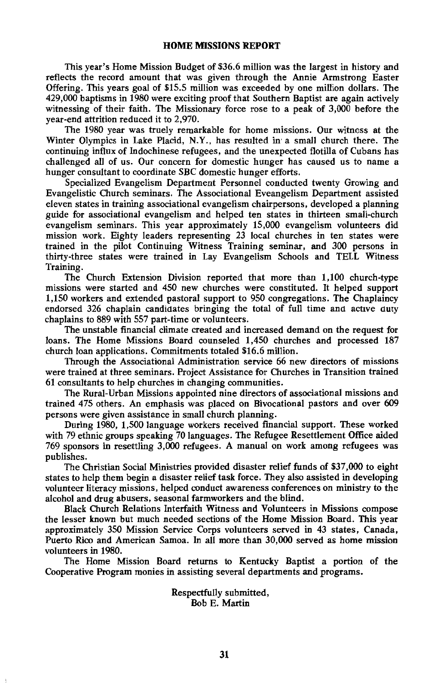This year's Home Mission Budget of \$36.6 million was the largest in history and reflects the record amount that was given through the Annie Armstrong Easter Offering. This years goal of \$15.5 million was exceeded by one million dollars. The 429,000 baptisms in 1980 were exciting proof that Southern Baptist are again actively witnessing of their faith. The Missionary force rose to a peak of 3,000 before the year-end attrition reduced it to 2,970.

The 1980 year was truely remarkable for home missions. Our witness at the Winter Olympics in Lake Placid, N.Y., has resulted in a small church there. The continuing influx of Indochinese refugees, and the unexpected flotilla of Cubans has challenged all of us. Our concern for domestic hunger has caused us to name a hunger consultant to coordinate SBC domestic hunger efforts.

Specialized Evangelism Department Personnel conducted twenty Growing and Evangelistic Church seminars. The Associational Eveangelism Department assisted eleven states in training associational evangelism chairpersons, developed a planning guide for associational evangelism and helped ten states in thirteen small-church evangelism seminars. This year approximately 15,000 evangelism volunteers did mission work. Eighty leaders representing 23 local churches in ten states were trained in the pilot Continuing Witness Training seminar, and 300 persons in thirty-three states were trained in Lay Evangelism Schools and TELL Witness Training.

The Church Extension Division reported that more than 1,100 church-type missions were started and 450 new churches were constituted. It helped support 1,150 workers and extended pastoral support to 950 congregations. The Chaplaincy endorsed 326 chaplain candidates bringing the total of full time and active duty chaplains to 889 with 557 part-time or volunteers.

The unstable financial climate created and increased demand on the request for loans. The Home Missions Board counseled 1,450 churches and processed 187 church loan applications. Commitments totaled \$16.6 million.

Through the Associational Administration service 66 new directors of missions were trained at three seminars. Project Assistance for Churches in Transition trained 61 consultants to help churches in changing communities.

The Rural-Urban Missions appointed nine directors of associational missions and trained 475 others. An emphasis was placed on Bivocational pastors and over 609 persons were given assistance in small church planning.

During 1980, 1,500 language workers received financial support. These worked with 79 ethnic groups speaking 70 languages. The Refugee Resettlement Office aided 769 sponsors in resettling 3,000 refugees. A manual on work among refugees was publishes.

The Christian Social Ministries provided disaster relief funds of \$37,000 to eight states to help them begin a disaster relief task force. They also assisted in developing volunteer literacy missions, helped conduct awareness conferences on ministry to the alcohol and drug abusers, seasonal farmworkers and the blind.

Black Church Relations Interfaith Witness and Volunteers in Missions compose the lesser known but much needed sections of the Home Mission Board. This year approximately 350 Mission Service Corps volunteers served in 43 states, Canada, Puerto Rico and American Samoa. In all more than 30,000 served as home mission volunteers in 1980.

The Home Mission Board returns to Kentucky Baptist a portion of the Cooperative Program monies in assisting several departments and programs.

> Respectfully submitted, Bob E. Martin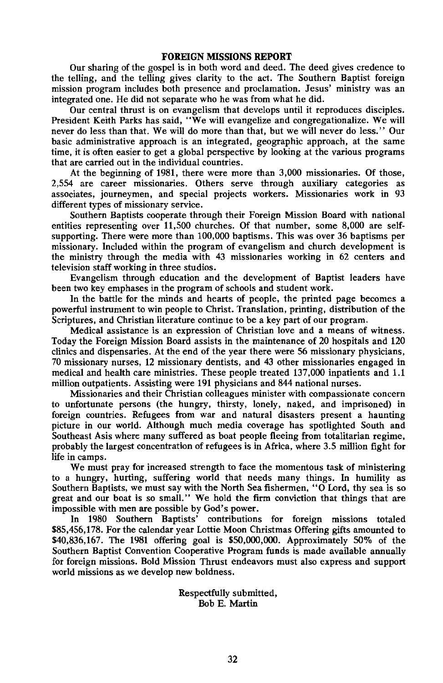#### **FOREIGN MISSIONS REPORT**

Our sharing of the gospel is in both word and deed. The deed gives credence to the telling, and the telling gives clarity to the act. The Southern Baptist foreign mission program includes both presence and proclamation. Jesus' ministry was an integrated one. He did not separate who he was from what he did.

Our central thrust is on evangelism that develops until it reproduces disciples. President Keith Parks has said, "We will evangelize and congregationalize. We will never do less than that. We will do more than that, but we will never do less." Our basic administrative approach is an integrated, geographic approach, at the same time, it is often easier to get a global perspective by looking at the various programs that are carried out in the individual countries.

At the beginning of 1981, there were more than 3,000 missionaries. Of those, 2,554 are career missionaries. Others serve through auxiliary categories as associates, journeymen, and special projects workers. Missionaries work in 93 different types of missionary service.

Southern Baptists cooperate through their Foreign Mission Board with national entities representing over 11,500 churches. Of that number, some 8,000 are selfsupporting. There were more than 100,000 baptisms. This was over 36 baptisms per missionary. Included within the program of evangelism and church development is the ministry through the media with 43 missionaries working in 62 centers and television staff working in three studios.

Evangelism through education and the development of Baptist leaders have been two key emphases in the program of schools and student work.

In the battle for the minds and hearts of people, the printed page becomes a powerful instrument to win people to Christ. Translation, printing, distribution of the Scriptures, and Christian literature continue to be a key part of our program.

Medical assistance is an expression of Christian love and a means of witness. Today the Foreign Mission Board assists in the maintenance of 20 hospitals and 120 clinics and dispensaries. At the end of the year there were 56 missionary physicians, 70 missionary nurses, 12 missionary dentists, and 43 other missionaries engaged in medical and health care ministries. These people treated 137,000 inpatients and 1.1 million outpatients. Assisting were 191 physicians and 844 national nurses.

Missionaries and their Christian colleagues minister with compassionate concern to unfortunate persons (the hungry, thirsty, lonely, naked, and imprisoned) in foreign countries. Refugees from war and natural disasters present a haunting picture in our world. Although much media coverage has spotlighted South and Southeast Asis where many suffered as boat people fleeing from totalitarian regime, probably the largest concentration of refugees is in Africa, where 3.5 million fight for life in camps.

We must pray for increased strength to face the momentous task of ministering to a hungry, hurting, suffering world that needs many things. In humility as Southern Baptists, we must say with the North Sea fishermen, "O Lord, thy sea is so great and our boat is so small." We hold the firm conviction that things that are impossible with men are possible by God's power.

In 1980 Southern Baptists' contributions for foreign missions totaled \$85,456,178. For the calendar year Lottie Moon Christmas Offering gifts amounted to \$40,836,167. The 1981 offering goal is \$50,000,000. Approximately 50% of the Southern Baptist Convention Cooperative Program funds is made available annually for foreign missions. Bold Mission Thrust endeavors must also express and support world missions as we develop new boldness.

> Respectfully submitted, Bob E. Martin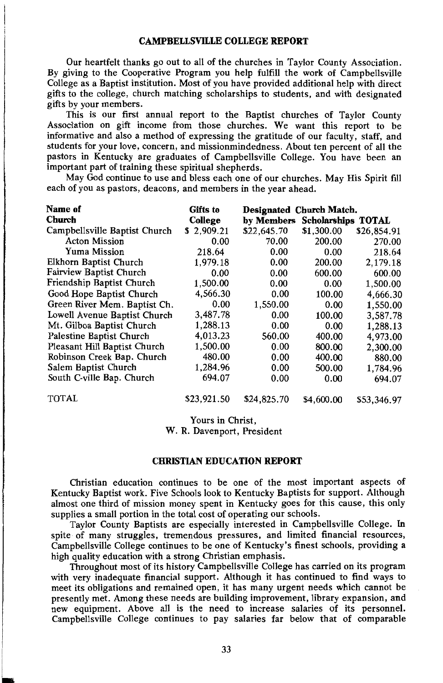#### **CAMPBELLSVILLE COLLEGE REPORT**

Our heartfelt thanks go out to all of the churches in Taylor County Association. By giving to the Cooperative Program you help fulfill the work of Campbellsville College as a Baptist institution. Most of you have provided additional help with direct gifts to the college, church matching scholarships to students, and with designated gifts by your members.

This is our first annual report to the Baptist churches of Taylor County Association on gift income from those churches. We want this report to be informative and also a method of expressing the gratitude of our faculty, staff, and students for your love, concern, and missionmindedness. About ten percent of all the pastors in Kentucky are graduates of Campbellsville College. You have been an important part of training these spiritual shepherds.

May God continue to use and bless each one of our churches. May His Spirit fill each of you as pastors, deacons, and members in the year ahead.

| Name of                        | Gifts to    | Designated Church Match. |                           |             |  |  |  |  |  |
|--------------------------------|-------------|--------------------------|---------------------------|-------------|--|--|--|--|--|
| <b>Church</b>                  | College     | by Members               | <b>Scholarships TOTAL</b> |             |  |  |  |  |  |
| Campbellsville Baptist Church  | \$2,909.21  | \$22,645.70              | \$1,300.00                | \$26,854.91 |  |  |  |  |  |
| <b>Acton Mission</b>           | 0.00        | 70.00                    | 200.00                    | 270.00      |  |  |  |  |  |
| Yuma Mission                   | 218.64      | 0.00                     | 0.00                      | 218.64      |  |  |  |  |  |
| Elkhorn Baptist Church         | 1,979.18    | 0.00                     | 200.00                    | 2,179.18    |  |  |  |  |  |
| <b>Fairview Baptist Church</b> | 0.00        | 0.00                     | 600.00                    | 600.00      |  |  |  |  |  |
| Friendship Baptist Church      | 1,500.00    | 0.00                     | 0.00                      | 1,500.00    |  |  |  |  |  |
| Good Hope Baptist Church       | 4,566.30    | 0.00                     | 100.00                    | 4,666.30    |  |  |  |  |  |
| Green River Mem. Baptist Ch.   | 0.00        | 1.550.00                 | 0.00                      | 1,550.00    |  |  |  |  |  |
| Lowell Avenue Baptist Church   | 3,487.78    | 0.00                     | 100.00                    | 3,587.78    |  |  |  |  |  |
| Mt. Gilboa Baptist Church      | 1,288.13    | 0.00                     | 0.00                      | 1,288.13    |  |  |  |  |  |
| Palestine Baptist Church       | 4,013.23    | 560.00                   | 400.00                    | 4,973.00    |  |  |  |  |  |
| Pleasant Hill Baptist Church   | 1,500.00    | 0.00                     | 800.00                    | 2,300.00    |  |  |  |  |  |
| Robinson Creek Bap. Church     | 480.00      | 0.00                     | 400.00                    | 880.00      |  |  |  |  |  |
| Salem Baptist Church           | 1,284.96    | 0.00                     | 500.00                    | 1,784.96    |  |  |  |  |  |
| South C-ville Bap. Church      | 694.07      | 0.00                     | 0.00                      | 694.07      |  |  |  |  |  |
| <b>TOTAL</b>                   | \$23,921.50 | \$24,825.70              | \$4,600.00                | \$53,346.97 |  |  |  |  |  |

Yours in Christ.

W. R. Davenport, President

#### **CHRISTIAN EDUCATION REPORT**

Christian education continues to be one of the most important aspects of Kentucky Baptist work. Five Schools look to Kentucky Baptists for support. Although almost one third of mission money spent in Kentucky goes for this cause, this only supplies a small portion in the total cost of operating our schools.

Taylor County Baptists are especially interested in Campbellsville College. In spite of many struggles, tremendous pressures, and limited financial resources, Campbellsville College continues to be one of Kentucky's finest schools, providing a high quality education with a strong Christian emphasis.

Throughout most of its history Campbellsville College has carried on its program with very inadequate financial support. Although it has continued to find ways to meet its obligations and remained open, it has many urgent needs which cannot be presently met. Among these needs are building improvement, library expansion, and new equipment. Above all is the need to increase salaries of its personnel. Campbellsville College continues to pay salaries far below that of comparable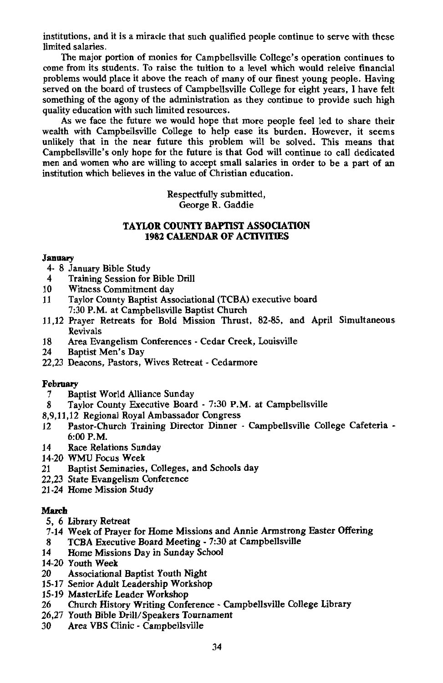institutions, and it is a miracle that such qualified people continue to serve with these limited salaries.

The major portion of monies for Campbellsville College's operation continues to come from its students. To raise the tuition to a level which would releive financial problems would place it above the reach of many of our finest young people. Having served on the board of trustees of Campbellsville College for eight years, I have felt something of the agony of the administration as they continue to provide such high quality education with such limited resources.

As we face the future we would hope that more people feel led to share their wealth with Campbellsville College to help ease its burden. However, it seems unlikely that in the near future this problem will be solved. This means that Campbellsville's only hope for the future is that God will continue to call dedicated men and women who are willing to accept small salaries in order to be a part of an institution which believes in the value of Christian education.

> Respectfully submitted. George R. Gaddie

#### TAYLOR COUNTY BAPTIST ASSOCIATION **1982 CALENDAR OF ACTIVITIES**

#### January

- 4- 8 January Bible Study
- Training Session for Bible Drill  $\overline{\mathbf{4}}$
- 10 Witness Commitment day
- Taylor County Baptist Associational (TCBA) executive board 11 7:30 P.M. at Campbellsville Baptist Church
- 11,12 Prayer Retreats for Bold Mission Thrust, 82-85, and April Simultaneous Revivals
- Area Evangelism Conferences Cedar Creek, Louisville 18
- 24 **Baptist Men's Day**
- 22.23 Deacons. Pastors. Wives Retreat Cedarmore

#### February

- **Baptist World Alliance Sunday**  $\overline{7}$
- Taylor County Executive Board 7:30 P.M. at Campbellsville 8
- 8,9,11,12 Regional Royal Ambassador Congress
- Pastor-Church Training Director Dinner Campbellsville College Cafeteria - $12$  $6:00$  P.M.
- 14 Race Relations Sunday
- 14-20 WMU Focus Week
- Baptist Seminaries, Colleges, and Schools day 21
- 22.23 State Evangelism Conference
- 21-24 Home Mission Study

#### March

- 5, 6 Library Retreat
- 7-14 Week of Prayer for Home Missions and Annie Armstrong Easter Offering
- TCBA Executive Board Meeting 7:30 at Campbellsville 8
- 14 Home Missions Day in Sunday School
- 14-20 Youth Week
- 20 Associational Baptist Youth Night
- 15-17 Senior Adult Leadership Workshop
- 15-19 MasterLife Leader Workshop
- Church History Writing Conference Campbellsville College Library 26
- 26.27 Youth Bible Drill/Speakers Tournament
- Area VBS Clinic Campbellsville 30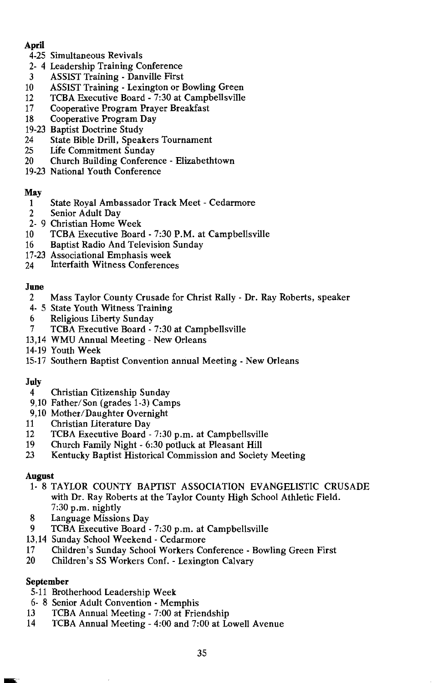#### April

- 4-25 Simultaneous Revivals
- 2-4 Leadership Training Conference
- **ASSIST Training Danville First** 3
- $10<sup>1</sup>$ ASSIST Training - Lexington or Bowling Green
- $12$ TCBA Executive Board - 7:30 at Campbellsville
- 17 Cooperative Program Prayer Breakfast
- 18 Cooperative Program Day

#### 19-23 Baptist Doctrine Study

- 24 State Bible Drill, Speakers Tournament
- 25 **Life Commitment Sunday**
- 20 Church Building Conference - Elizabethtown
- 19-23 National Youth Conference

#### May

- State Royal Ambassador Track Meet Cedarmore  $\mathbf{1}$
- $\overline{2}$ Senior Adult Day
- 2-9 Christian Home Week
- 10 TCBA Executive Board - 7:30 P.M. at Campbellsville
- 16 Baptist Radio And Television Sunday
- 17-23 Associational Emphasis week
- **Interfaith Witness Conferences** 24

#### June

- $\overline{2}$ Mass Taylor County Crusade for Christ Rally - Dr. Ray Roberts, speaker
- 4- 5 State Youth Witness Training
- 6 Religious Liberty Sunday
- TCBA Executive Board 7:30 at Campbellsville 7
- 13,14 WMU Annual Meeting New Orleans
- 14-19 Youth Week
- 15-17 Southern Baptist Convention annual Meeting New Orleans

#### July

- $\overline{4}$ Christian Citizenship Sunday
- 9,10 Father/Son (grades 1-3) Camps
- 9,10 Mother/Daughter Overnight
- 11 Christian Literature Dav
- TCBA Executive Board 7:30 p.m. at Campbellsville 12
- 19 Church Family Night - 6:30 potluck at Pleasant Hill
- 23 Kentucky Baptist Historical Commission and Society Meeting

#### **August**

- 1- 8 TAYLOR COUNTY BAPTIST ASSOCIATION EVANGELISTIC CRUSADE with Dr. Ray Roberts at the Taylor County High School Athletic Field.  $7:30$  p.m. nightly
- 8 Language Missions Day
- 9 TCBA Executive Board - 7:30 p.m. at Campbellsville
- 13,14 Sunday School Weekend Cedarmore
- 17 Children's Sunday School Workers Conference - Bowling Green First
- 20 Children's SS Workers Conf. - Lexington Calvary

#### September

- 5-11 Brotherhood Leadership Week
- 6-8 Senior Adult Convention Memphis
- TCBA Annual Meeting 7:00 at Friendship 13
- 14 TCBA Annual Meeting - 4:00 and 7:00 at Lowell Avenue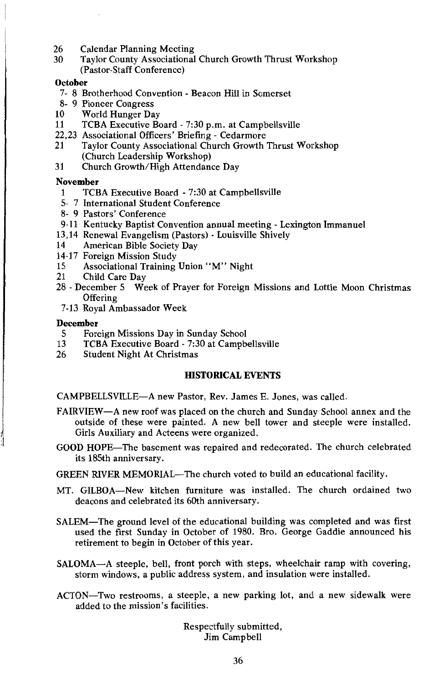- 26 **Calendar Planning Meeting**
- Taylor County Associational Church Growth Thrust Workshop 30 (Pastor-Staff Conference)

#### October

- 7- 8 Brotherhood Convention Beacon Hill in Somerset
- 8- 9 Pioneer Congress
- 10 World Hunger Day
- 11 TCBA Executive Board - 7:30 p.m. at Campbellsville
- 22,23 Associational Officers' Briefing Cedarmore
- 21 Taylor County Associational Church Growth Thrust Workshop (Church Leadership Workshop)
- 31 Church Growth/High Attendance Day

#### **November**

- TCBA Executive Board 7:30 at Campbellsville 1
- 5- 7 International Student Conference
- 8- 9 Pastors' Conference
- 9-11 Kentucky Baptist Convention annual meeting Lexington Immanuel
- 13,14 Renewal Evangelism (Pastors) Louisville Shively
- American Bible Society Day 14
- 14-17 Foreign Mission Study
- Associational Training Union "M" Night 15
- Child Care Dav 21
- 28 December 5 Week of Prayer for Foreign Missions and Lottie Moon Christmas Offering
- 7-13 Royal Ambassador Week

#### **December**

- 5 Foreign Missions Day in Sunday School
- $13$ TCBA Executive Board - 7:30 at Campbellsville
- 26 Student Night At Christmas

#### **HISTORICAL EVENTS**

CAMPBELLSVILLE-A new Pastor, Rev. James E. Jones, was called.

- FAIRVIEW—A new roof was placed on the church and Sunday School annex and the outside of these were painted. A new bell tower and steeple were installed. Girls Auxiliary and Acteens were organized.
- GOOD HOPE—The basement was repaired and redecorated. The church celebrated its 185th anniversary.

GREEN RIVER MEMORIAL—The church voted to build an educational facility.

- MT. GILBOA—New kitchen furniture was installed. The church ordained two deacons and celebrated its 60th anniversary.
- SALEM—The ground level of the educational building was completed and was first used the first Sunday in October of 1980. Bro. George Gaddie announced his retirement to begin in October of this vear.
- SALOMA-A steeple, bell, front porch with steps, wheelchair ramp with covering, storm windows, a public address system, and insulation were installed.
- ACTON—Two restrooms, a steeple, a new parking lot, and a new sidewalk were added to the mission's facilities.

Respectfully submitted, Jim Campbell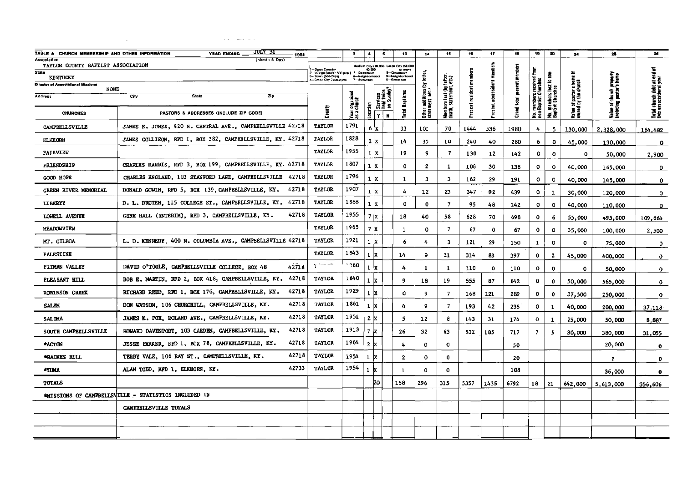| TABLE A CHURCH MEMBERSHIP AND OTHER INFORMATION       | JULY 31<br>YEAR ENDING<br>1981                              |                                                                                                                                                                         | $\bullet$                     | $\bullet$                    | $\pmb{\mathsf{s}}$                   | 13                                                        | 14                                    | 15                                                 | 16               | 17                 | 18           | 19                                           | 20                                           | 24                                            | 25                                                  | 28                                                  |
|-------------------------------------------------------|-------------------------------------------------------------|-------------------------------------------------------------------------------------------------------------------------------------------------------------------------|-------------------------------|------------------------------|--------------------------------------|-----------------------------------------------------------|---------------------------------------|----------------------------------------------------|------------------|--------------------|--------------|----------------------------------------------|----------------------------------------------|-----------------------------------------------|-----------------------------------------------------|-----------------------------------------------------|
| Association<br>TAYLOR COUNTY BAPTIST ASSOCIATION      | (Month & Day)                                               |                                                                                                                                                                         |                               |                              |                                      |                                                           |                                       |                                                    |                  |                    |              |                                              |                                              |                                               |                                                     |                                                     |
| State                                                 |                                                             | Open Count<br>— vyam commy<br>— villaga (under 500 pop.)   5—Downlown<br> --- Town (500-2499)               9—Neighborho<br> --- Small City 2600-9,996       7—Suburban |                               |                              |                                      | Medium City (10,000- Large City (50,000<br>49,999 or more |                                       |                                                    |                  |                    |              | Į                                            |                                              |                                               |                                                     | ъ                                                   |
| <b>KENTUGKY</b><br>Director of Associational Missions |                                                             |                                                                                                                                                                         |                               | 9—Neighborhaad<br>7—Suburban |                                      | -Malgnborho                                               | š<br>ε                                |                                                    | mumbers          |                    | present me   |                                              |                                              |                                               |                                                     |                                                     |
| NONE<br>Address                                       | City<br>Zip<br>Slate                                        |                                                                                                                                                                         |                               |                              |                                      |                                                           |                                       |                                                    |                  | nonresident member |              |                                              |                                              |                                               |                                                     |                                                     |
|                                                       |                                                             |                                                                                                                                                                         |                               |                              | Services<br>held twice<br>on Sunday? | Total Baptism                                             |                                       |                                                    |                  |                    | ē            |                                              |                                              |                                               |                                                     |                                                     |
| <b>CHURCHES</b>                                       | PASTORS & ADDRESSES (INCLUDE ZIP CODE)                      | County                                                                                                                                                                  | Year organized<br>as a church | Location                     | ادادا                                |                                                           | Other additions (<br>statement, etc.) | Members lost (by letter<br>death, statement, etc.) | Present resident | Present i          | <b>Crawl</b> | No. members received<br>non-Baptist Churches | No. members lost to non-<br>Baptist Churches | Value of pastor's home<br>owned by the church | Value of church property<br>Including pastor's home | Total church debt at end<br>this associational year |
| CAMPBELLSVILLE                                        | JAMES E. JONES, 420 N. CENTRAL AVE., CAMPBELLSVILLE 42718   | TAYLOR                                                                                                                                                                  | 1791                          |                              | 6   X                                | 33                                                        | 101                                   | 70                                                 | 1444             | 536                | 1980         | 4                                            | 5                                            | 130,000                                       | 2,328,000                                           | 164,482                                             |
| <b>ELKHORN</b>                                        | JAMES COLLISON, RFD 1, BOX 382, CAMPBELLSVILLE, KY. 42718   | TAYLOR                                                                                                                                                                  | 1828                          | 2x                           |                                      | 14                                                        | 35                                    | 10                                                 | 240              | 40                 | 280          | 6                                            | $\mathbf 0$                                  | 45,000                                        | 130,000                                             | $\circ$                                             |
| <b>FAIRVIEW</b>                                       |                                                             | TAYLOR                                                                                                                                                                  | 1955                          | $1 \times$                   |                                      | 19                                                        | 9                                     | $\overline{\phantom{a}}$                           | 130              | 12                 | 142          | 0                                            | $\mathbf 0$                                  | $\mathbf{o}$                                  | 50,000                                              | 2,900                                               |
| <b>FRIENDSHIP</b>                                     | CHARLES HARRIS, RFD 3, BOX 199, CAMPBELLSVILLE, KY. 42718   | <b>TAYLOR</b>                                                                                                                                                           | 1807                          | 1   x                        |                                      | 0                                                         | $\mathbf{z}$                          | 1                                                  | 108              | 30                 | 138          | $\mathbf{o}$                                 | 0                                            | 40,000                                        | 165,000                                             | $\bullet$                                           |
| <b>COOD HOPE</b>                                      | CHARLES ENGLAND, 103 STANFORD LANE, CAMPBELLSVILLE 42718    | TAYLOR                                                                                                                                                                  | 1796                          | 1 x                          |                                      | 1                                                         | 3                                     | 3                                                  | 162              | 29                 | 191          | $\circ$                                      | $\Omega$                                     | 40,000                                        | 145,000                                             | $\mathbf{0}$                                        |
| <b>GREEN RIVER MEMORIAL</b>                           | DONALD GOWIN, RFD 5, BOX 139, CAMPBELLSVILLE, KY.<br>42718  | <b>TAYLOR</b>                                                                                                                                                           | 1907                          | 1 x                          |                                      | 4                                                         | 12                                    | 23                                                 | 347              | -92                | 439          | ٥                                            | 1                                            | 30,000                                        | 120,000                                             | $\mathbf{o}$                                        |
| <b>LIBERTY</b>                                        | D. L. DRUIEN, 115 COLLEGE ST., CANPBELLSVILLE, KY. 42718    | TAYLOR                                                                                                                                                                  | 1888                          | 1 <sub>x</sub>               |                                      | 0                                                         | $\mathbf 0$                           | 7                                                  | 95               | 48                 | 142          | 0                                            | ٥                                            | 40,000                                        | 110,000                                             | $\mathbf{0}$                                        |
| LOWELL AVENUE                                         | 42718<br>GENE HALL (INTERIM), RFD 3, CAMPBELLSVILLE, KY.    | TAYLOR                                                                                                                                                                  | 1955                          | 7x                           |                                      | 18                                                        | 40                                    | 58                                                 | 628              | 70                 | 69B          | 0                                            | 6                                            | 55,000                                        | 495,000                                             | 109,664                                             |
| <b>MRADOWVIEW</b>                                     |                                                             | TAYLOR                                                                                                                                                                  | 1965                          | 7x                           |                                      | 1                                                         | 0                                     | $\overline{\phantom{a}}$                           | 67               | 0                  | 67           | 0                                            | $\mathbf{o}$                                 | 35,000                                        | 100,000                                             | 2,500                                               |
| MT. GILBOA                                            | L. D. KENNEDY, 400 N. COLUMBIA AVE., CAMPBELISVILLE 42718   | <b>TAYLOR</b>                                                                                                                                                           | 1921                          | $\mathbf{1}$                 | İΧ                                   | 6                                                         | 4                                     | 3                                                  | 121              | 29                 | 150          | 1                                            | 0                                            | 0                                             | 75,000                                              | $\mathbf{o}$                                        |
| <b>PALESTINE</b>                                      |                                                             | TAYLOR                                                                                                                                                                  | 1843                          | 1 <b>x</b>                   |                                      | 14                                                        | 9                                     | 21                                                 | 314              | 83                 | 397          | $\mathbf 0$                                  | $\mathbf{z}$                                 | 45,000                                        | 400,000                                             | $\mathbf{O}$                                        |
| <b>PITMAN VALLEY</b>                                  | 42718<br>DAVID O'TOOLE, CAMPBELLSVILLE COLLEGE, BOX 48      | $\tau$ – –                                                                                                                                                              | .060                          | $\mathbf 1$                  | Ιx                                   | 4                                                         | -1                                    | $\mathbf{1}$                                       | 110              | $\mathbf{o}$       | 110          | 0                                            | $\mathbf 0$                                  | ٥                                             | 50,000                                              | $\mathbf{0}$                                        |
| PLEASANT HILL                                         | 42718<br>BOB E. MARTIN, RFD 2, BOX 418, CAMPBELLSVILLE, KY. | TAYLOR                                                                                                                                                                  | 1840                          | $\mathbf{1}$                 | x                                    | 9                                                         | 18                                    | 19                                                 | 555              | 87                 | 642          | 0                                            | $\mathbf 0$                                  | 50,000                                        | 565,000                                             | $\mathbf{o}$                                        |
| <b>ROBINSON CREEK</b>                                 | 42718<br>RIGHARD REED, RFD 1, BOX 176, CAMPBELLSVILLE, KY.  | <b>TAYLOR</b>                                                                                                                                                           | 1929                          | 1 X                          |                                      | $\circ$                                                   | 9                                     | $\overline{7}$                                     | 168              | 121                | 289          | o                                            | 0                                            | 37,500                                        | 250,000                                             | $\bullet$                                           |
| <b>SALKN</b>                                          | 42718<br>DON WATSON, 106 CHURCHILL, CAMPBELLSVILLE, KY.     | TATLOR                                                                                                                                                                  | 1861                          | ıх                           |                                      | 4                                                         | 9                                     | $\overline{\phantom{a}}$                           | 193              | 42                 | 235          | $\circ$                                      | 1                                            | 40,000                                        | 200,000                                             | 37,118                                              |
| SALCHA                                                | 42718<br>JAMES K. FOX, ROLAND AVE., CAMPBELLSVILLE, KY.     | TAYLOR                                                                                                                                                                  | 1951                          | 2 X                          |                                      | 5                                                         | 12                                    | 8                                                  | 143              | 31                 | 174          | 0                                            | 1                                            | 25,000                                        | 50,000                                              | 8.887                                               |
| SOUTH CAMPBELLSVILLE                                  | 42718<br>HOWARD DAVENPORT, 103 CARDEN, CAMPBELLSVILLE, KY.  | TAYLOR                                                                                                                                                                  | 1913                          | 7 X                          |                                      | 26                                                        | 32                                    | 63                                                 | 532              | 185                | 717          | $\overline{7}$                               | -5                                           | 30,000                                        | 380,000                                             | 31,055                                              |
| *ACTON                                                | 42718<br>JESSE PARKER, RFD 1, BOX 78, CAMPBELLSVILLE, KY.   | TAYLOR                                                                                                                                                                  | 1964                          | 2 X                          |                                      | 4                                                         | $\Omega$                              | 0                                                  |                  |                    | 50           |                                              |                                              |                                               | 20,000                                              | ۰                                                   |
| *RAIKES HILL                                          | 42718<br>TERRY VALE, 106 RAY ST., CAMPBELLSVILLE, KY.       | <b>TAYLOR</b>                                                                                                                                                           | 1954                          | $\mathbf{1}$                 | x                                    | $\mathbf{z}$                                              | 0                                     | 0                                                  |                  |                    | 20           |                                              |                                              |                                               | q,                                                  | $\mathbf{0}$                                        |
| <b>AYLIMA</b>                                         | 42733<br>ALAN TODD, RFD 1, ELKHORN, KY.                     | TAYLOR                                                                                                                                                                  | 1954                          | $\mathbf{1}$                 |                                      | $\mathbf{1}$                                              | 0                                     | ٥                                                  |                  |                    | 108          |                                              |                                              |                                               | 36,000                                              | $\bullet$                                           |
| TOTALS                                                |                                                             |                                                                                                                                                                         |                               |                              | 20                                   | 158                                                       | 296                                   | 315                                                | 5357             | 1435               | 6792         | 18                                           | 21                                           | 642,000                                       | 5,613,000                                           | 356,606                                             |
|                                                       | MAISSIONS OF CAMPBELLSVILLE - STATISTICS INCLUDED IN        |                                                                                                                                                                         |                               |                              |                                      |                                                           |                                       |                                                    |                  |                    |              |                                              |                                              |                                               |                                                     |                                                     |
|                                                       | CAMPBELLSVILLE TOTALS                                       |                                                                                                                                                                         |                               |                              |                                      |                                                           |                                       |                                                    |                  |                    |              |                                              |                                              |                                               |                                                     |                                                     |
|                                                       |                                                             |                                                                                                                                                                         |                               |                              |                                      |                                                           |                                       |                                                    |                  |                    |              |                                              |                                              |                                               |                                                     |                                                     |
|                                                       |                                                             |                                                                                                                                                                         |                               |                              |                                      |                                                           |                                       |                                                    |                  |                    |              |                                              |                                              |                                               |                                                     |                                                     |

 $\sim 10^{-1}$ 

 $\mathcal{L}^{\mathcal{L}}(\mathcal{A})$  is a constraint of  $\mathcal{L}^{\mathcal{L}}(\mathcal{A})$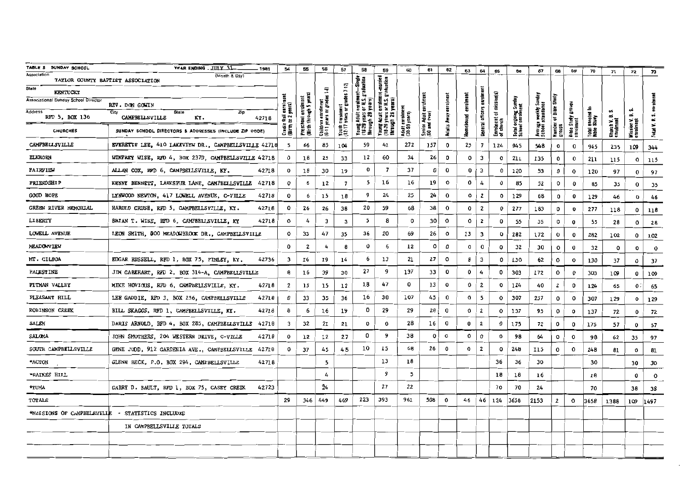| TABLE B SUNDAY SCHOOL                            | YEAR ENDING JIFY 31<br>1981                                         | 54                              | 55                                 | 56                                            | 57                                              | 58                                        | 59                                                  | 60                               | 61                            | 62           | 63           | 64                      | 65                                   | 66                                       | 67                                   | 68                       | 6g                       | 70                    | 71                       | 72                              | 73           |
|--------------------------------------------------|---------------------------------------------------------------------|---------------------------------|------------------------------------|-----------------------------------------------|-------------------------------------------------|-------------------------------------------|-----------------------------------------------------|----------------------------------|-------------------------------|--------------|--------------|-------------------------|--------------------------------------|------------------------------------------|--------------------------------------|--------------------------|--------------------------|-----------------------|--------------------------|---------------------------------|--------------|
| Association<br>TAYLOR COUNTY BAPTIST ASSOCIATION | (Month & Day)                                                       |                                 |                                    |                                               |                                                 | -Single<br>duation                        |                                                     |                                  |                               |              |              |                         |                                      |                                          |                                      |                          |                          |                       |                          |                                 |              |
| State<br>KENTUCKY                                |                                                                     |                                 |                                    | ş                                             |                                                 |                                           | 1-married<br>adustion<br>言言                         |                                  |                               |              |              |                         |                                      |                                          |                                      |                          |                          |                       |                          |                                 |              |
| <b>Associational Sunday School Director</b>      | REV. DON GOWIN                                                      |                                 | enrolment<br>wgh 5 years           |                                               |                                                 | ≣∽<br>흉문                                  | 를<br>12                                             |                                  |                               | enrolment    |              | enrolm                  |                                      |                                          |                                      |                          |                          |                       |                          |                                 |              |
| <b>Address</b><br>RFD 5, BOX 136                 | City<br>Zp<br><b>State</b><br><b>CAMPBELLSVILLE</b><br>KY.<br>42718 | enrolm<br>years)<br>$rac{1}{2}$ | Preschool enro<br>(Birth through ! | Children enrolment<br>(6-11 years or grades i | Youth enrolment<br>(12-17 years or grades 7-12) | Young Adult<br>(18-29 years<br>Ihrough 29 | 등등<br>Young Adult<br>(18:29 years i<br>through 29 y | Adult enrolment<br>(30-59 years) | Senior Adult<br>(60 and over) |              | 틍            | General officers        | Enrolment of mission(s)<br>of charch | Total ongoing Sunday<br>School enrolment | Average weekly S<br>School attendanc | $\overline{\phantom{a}}$ | g                        | ≘<br>enroled<br>Study |                          | نه<br>ø                         |              |
| <b>CHURCHES</b>                                  | SUNDAY SCHODL DIRECTORS & ADDRESSES (INCLUDE ZIP CODE)              | Cradle<br>(Birth I              |                                    |                                               |                                                 |                                           |                                                     |                                  |                               | Adults Away  | Homebou      |                         |                                      |                                          |                                      | annum<br>groups          | Bible Study<br>enrolment | Total<br>Bible        | Church V. I<br>enrolment | <b>Mission V.<br/>enrolment</b> | Total V.     |
| CAMPBELLSVILLE                                   | EVERETTE LEE, 410 LAKEVIEW DR., CAMPBELLSVILLE 42718                | - 5                             | 66                                 | 85                                            | 104                                             | 59                                        | 41                                                  | 272                              | 157                           | $\mathsf{o}$ | 25           | 7                       | 124                                  | 945                                      | 548                                  | $\mathbf{o}$             | 0                        | 945                   | 235                      | 109                             | 344          |
| <b>ELKHORN</b>                                   | WINFREY WISE, RFD 4, BOX 237D, CAMPBELLSVILLE 42718                 | 0                               | 18                                 | 25                                            | 33                                              | 12                                        | 60                                                  | 34                               | 26                            | 0            | $\mathbf{o}$ | $\mathbf{3}$            | 0                                    | 211                                      | 135                                  | $\mathbf{o}$             | 0                        | 211                   | 115                      | $\Omega$                        | 115          |
| <b>FAIRVIEW</b>                                  | ALLAN COX, RFD 6, CAMPBELLSVILLE, KY.<br>42718                      | 0                               | 18                                 | 30                                            | 19                                              | 0                                         | $\overline{\phantom{a}}$                            | 37                               | $\Omega$                      | $\bf{0}$     | 0            | 3                       | $\mathbf o$                          | 120                                      | 53                                   | 0                        | 0                        | 120                   | 97                       | 0                               | 97           |
| <b>FRIENDSHIP</b>                                | 42718<br>KENNY BENNETT, LARKSPUR LANE, CAMPBELLSVILLE               | 0                               | 6                                  | 12                                            | $\overline{7}$                                  | 5                                         | 16                                                  | 16                               | 19                            | $\mathbf{o}$ | o            | 4                       | $\bf{0}$                             | 85                                       | 52                                   | 0                        | $\mathbf 0$              | 85                    | 35                       | $\bf{0}$                        | 35           |
| <b>GOOD HOPE</b>                                 | LYNWOOD NEWTON, 417 LOWELL AVENUE, C-VILLE<br>42718                 | 0                               | 6                                  | 15                                            | 18                                              | 9                                         | 24                                                  | 25                               | 24                            | $\bf{0}$     | 0            | $\overline{\mathbf{c}}$ | 0                                    | 129                                      | 68                                   | 0                        | 0                        | 129                   | 46                       | $\bf{0}$                        | 46           |
| GREEN RIVER MEMORIAL                             | HARGID CRUSE, RFD 5, CAMPBELLSVILLE, KY.<br>42718                   | $\mathbf{o}$                    | 26                                 | 26                                            | 38                                              | 20                                        | 59                                                  | 68                               | 38                            | $\bf{o}$     | $\mathbf{o}$ | $\overline{2}$          | $\bf{0}$                             | 277                                      | 183                                  | o                        | 0                        | 277                   | 118                      | $\mathbf{o}$                    | 118          |
| LIBERTY                                          | 42718<br>BRIAN T. WISE, RFD 6, CAMPBELLSVILLE, KY                   | 0                               | 4                                  | 3                                             | 3                                               | 5                                         | 8                                                   | 0                                | 30                            | $\mathbf{o}$ | $\circ$      | $\mathbf{2}$            | 0                                    | 55                                       | 35                                   | 0                        | $\bf{0}$                 | 55                    | 28                       | 0                               | 28           |
| LOWELL AVENUE                                    | LEON SMITH, GOO MEADOWBROOK DR., CAMPBELLSVILLE                     | o                               | 33                                 | 47                                            | 35                                              | 36                                        | 20                                                  | 69                               | 26                            | $\circ$      | 13           | 3                       | 0                                    | 282                                      | 172                                  | $\circ$                  | $\bf{0}$                 | 282                   | 102                      | 0                               | 102          |
| <b>MEADOWVIEW</b>                                |                                                                     | 0                               | $\mathbf{2}$                       | 4                                             | 8                                               | 0                                         | 6                                                   | 12                               | $\mathbf{o}$                  | $\mathbf{o}$ | 0            | 0                       | 0                                    | 32                                       | 30                                   | 0                        | $\mathbf 0$              | 32                    | $\mathbf{o}$             | 0                               | $\mathbf{o}$ |
| MT. CILBOA                                       | EDGAR RUSSELL, RFD 1, BOX 75, FINLEY, KY.<br>42736                  | 3                               | <b>16</b>                          | 19                                            | 14                                              | 6                                         | 13                                                  | 21                               | 27                            | $\mathbf{o}$ | 8            | $\overline{3}$          | ٥                                    | 130                                      | 62                                   | $\circ$                  | $\mathbf{o}$             | 130                   | 37                       | 0                               | 37           |
| <b>PALESTINE</b>                                 | JIM GAREHART, RFD 2, BOX 314-A, CAMPBELLSVILLE                      | θ                               | 16                                 | 39                                            | 30                                              | 27                                        | 9                                                   | 137                              | 33                            | $\mathbf 0$  | $\bf{0}$     | 4                       | O                                    | 303                                      | 172                                  | 0                        | $\bf{0}$                 | 303                   | 109                      | 0                               | 109          |
| PITMAN VALLEY                                    | MIKE HOVIOUS, RFD 6, CAMPBELLSVILLE, KY.<br>42718                   | $\mathbf{2}$                    | 15                                 | 15                                            | 12                                              | 18                                        | 47                                                  | 0                                | 13                            | o            | $\mathbf{o}$ | $\overline{2}$          | $\mathbf{o}$                         | 124                                      | 40                                   | 2                        | $\circ$                  | 124                   | 65                       | 0                               | 65           |
| PLEASANT RILL                                    | LEE GADDIE, RFD 3, BOX 256, CAMPBELLSVILLE<br>42718                 | 0                               | 33                                 | 35                                            | 36                                              | 16                                        | 30                                                  | 107                              | 45                            | 0            | 0            | 5                       | 0                                    | 307                                      | 257                                  | $\circ$                  | o                        | 307                   | 129                      | 0                               | 129          |
| <b>ROBINSON CREEK</b>                            | BILL SKAGGS, RFD 1, CAMPBELLSVILLE, KY.<br>42718                    | 8                               | 6                                  | 16                                            | 19                                              | 0                                         | 29                                                  | 29                               | 28                            | 0            | $\mathbf{o}$ | $\mathbf{2}$            | o                                    | 137                                      | 95                                   | 0                        | 0                        | 137                   | 72                       | 0                               | 72           |
| SALEM                                            | DARIS ARNOLD, RFD 4, BOX 285, CAMPBELLSVILLE 42718                  | 3                               | 32                                 | 2I                                            | 21                                              | O                                         | $\mathbf{o}$                                        | 28                               | 16                            | 0            | $\bf o$      | $\mathbf{2}$            | $\mathbf{o}$                         | 175                                      | 72                                   | 0                        | 0                        | 175                   | 57                       | 0                               | 57           |
| <b>SALOMA</b>                                    | JOHN SMOTHERS, 204 WESTERN DRIVE, C-VILLE<br>42718                  | 0                               | 12                                 | 12                                            | 27                                              | 0                                         | 9                                                   | 38                               | 0                             | o            | 0            | $\circ$                 | 0                                    | 98                                       | 64                                   | $\circ$                  | 0                        | 98                    | 62                       | 35                              | 97           |
| SOUTH CAMPBELLSVILLE                             | GENE JUDD, 912 GARDENIA AVE., CAMPBELLSVILLE 42718                  | 0                               | 37                                 | 45                                            | 45                                              | 10                                        | 15                                                  | 68                               | 26                            | $\bf{0}$     | $\bf{0}$     | $\overline{\mathbf{2}}$ | 0                                    | 248                                      | I15                                  | $\mathbf{o}$             | $\mathbf{o}$             | 248                   | 81                       | $\mathbf{o}$                    | 81           |
| *ACTON                                           | GLENN RECK, P.O. BOX 294, CAMPBELLSVILLE<br>42718                   |                                 |                                    | 5                                             |                                                 |                                           | 13                                                  | 18                               |                               |              |              |                         | 36                                   | 36                                       | 30                                   |                          |                          | 30                    |                          | 30                              | 30           |
| *RAIKES HILL                                     |                                                                     |                                 |                                    | 4                                             |                                                 |                                           | 9                                                   | 5                                |                               |              |              |                         | 18                                   | 18                                       | 16                                   |                          |                          | 18                    |                          | $\bf{0}$                        | $\Omega$     |
| *YUMA                                            | 42723<br>GARRY D. BAULT, RFD 1, BOX 75, CASEY CREEK                 |                                 |                                    | 34                                            |                                                 |                                           | 27                                                  | 22                               |                               |              |              |                         | 70                                   | 70                                       | 24                                   |                          |                          | 70                    |                          | 38                              | 38           |
| TOTALS                                           |                                                                     | 29                              | 346                                | 449                                           | 469                                             | 223                                       | 393                                                 | 961                              | 508                           | $\mathbf{o}$ | 46           | 46                      | 124                                  | 3658                                     | 2153                                 | $\mathbf{2}$             | $\mathbf{o}$             | 3658                  | 1388                     | 109                             | 1497         |
| *MISSIONS OF CAMPBELSWILLE - STATISTICS INCLUDED |                                                                     |                                 |                                    |                                               |                                                 |                                           |                                                     |                                  |                               |              |              |                         |                                      |                                          |                                      |                          |                          |                       |                          |                                 |              |
|                                                  | IN CAMPBELLSVILLE TOTALS                                            |                                 |                                    |                                               |                                                 |                                           |                                                     |                                  |                               |              |              |                         |                                      |                                          |                                      |                          |                          |                       |                          |                                 |              |
|                                                  |                                                                     |                                 |                                    |                                               |                                                 |                                           |                                                     |                                  |                               |              |              |                         |                                      |                                          |                                      |                          |                          |                       |                          |                                 |              |
|                                                  |                                                                     |                                 |                                    |                                               |                                                 |                                           |                                                     |                                  |                               |              |              |                         |                                      |                                          |                                      |                          |                          |                       |                          |                                 |              |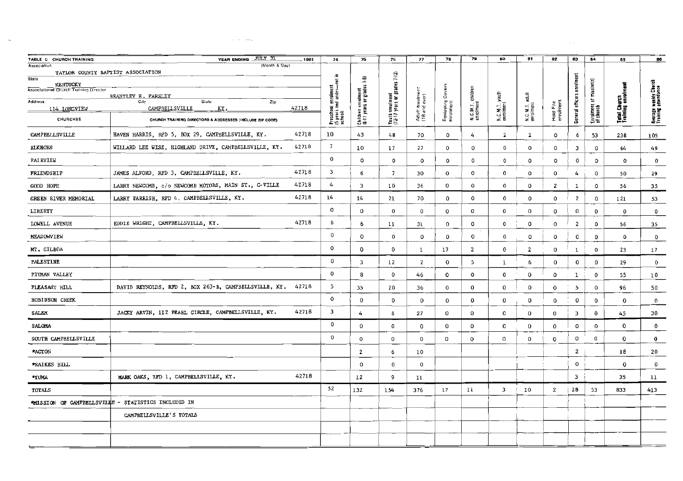| TABLE C CHURCH TRAINING                                            | YEAR ENOING JULY 31                                         | 1981  | 74                                                          | 75                                          | 76                                              | 77                     | 78                     | 79                    | 60                          | 81.                     | 82                     | 83                         | 84                                   | 85                                 | 86                                           |
|--------------------------------------------------------------------|-------------------------------------------------------------|-------|-------------------------------------------------------------|---------------------------------------------|-------------------------------------------------|------------------------|------------------------|-----------------------|-----------------------------|-------------------------|------------------------|----------------------------|--------------------------------------|------------------------------------|----------------------------------------------|
| <b>Association</b><br>TAYLOR COUNTY BAPTIST ASSOCIATION            | (Month & Day)                                               |       |                                                             |                                             |                                                 |                        |                        |                       |                             |                         |                        |                            |                                      |                                    |                                              |
| State<br><b>KENTUCKY</b><br>Associational Church Training Director |                                                             |       | ≘.                                                          | $\overline{1}$                              | Youth enrolment<br>(12-17 years or grades 7-12) |                        |                        |                       |                             |                         |                        | General officers enrolment |                                      |                                    |                                              |
|                                                                    | BRANTLEY H. PARSLEY                                         |       |                                                             |                                             |                                                 |                        | င့်                    | children              |                             | adull                   |                        |                            |                                      |                                    |                                              |
| Address<br>114 LONGVIEW                                            | State<br>Zip<br>City<br>42718<br>CAMPBELLSVILLE<br>KY.      |       |                                                             |                                             |                                                 | : enrolmer<br>ad over) |                        |                       |                             |                         |                        |                            |                                      |                                    |                                              |
| CHURCHES                                                           | CHURCH TRAINING DIRECTORS & ADDRESSES (INCLUDE ZIP CODE)    |       | Preschool enroiment<br>(5 years and under—not in<br>school) | Children enrolment<br>(6-11 years or grades |                                                 | Adult<br>(18 an        | Equipping<br>enrolment | N.C.M.T.<br>enrolment | N.C.M.T. youth<br>enrolment | N.C.M.T. a<br>enrolment | Hold File<br>enrolment |                            | Enrolment of mission(s)<br>of church | Total Church<br>Training enroiment | Average weekly Church<br>Training attendance |
| CAMPBELLSVILLE                                                     | HAVEN HARRIS, RFD 5, BOX 29, CAMPBELLSVILLE, KY.            | 42718 | 10                                                          | 43                                          | $48$                                            | 70                     | 0                      | 4                     | $\overline{\mathbf{2}}$     | $\mathbf{2}$            | 0                      | 6                          | 53                                   | 238                                | 105                                          |
| <b>ELKHORN</b>                                                     | WILLARD LEE WISE, HIGHLAND DRIVE, CAMPBELLSVILLE, KY.       | 42718 | 7                                                           | 10                                          | 17                                              | 27                     | 0                      | $\mathbf 0$           | $\mathbf 0$                 | 0                       | 0                      | 3                          | 0                                    | 64                                 | 49                                           |
| <b>FAIRVIEW</b>                                                    |                                                             |       | 0                                                           | $\mathbf{o}$                                | $^{\circ}$                                      | $^{\circ}$             | 0                      | $\mathbf 0$           | 0                           | $\circ$                 | $\circ$                | 0                          | O                                    | $\mathbf{0}$                       | $\Omega$                                     |
| FRIENDSHIP                                                         | JAMES ALFORD, RFD 3, CAMPBELLSVILLE, KY.                    | 42718 | 3                                                           | 6                                           | $\overline{7}$                                  | 30                     | 0                      | $\circ$               | 0                           | о                       | о                      | 4                          | $\mathbf 0$                          | 50                                 | 29                                           |
| GOOD HOPE                                                          | LARRY NEWCOMB, c/o NEWCOMB MOTORS, MAIN ST., C-VILLE        | 42718 | 4                                                           | 3                                           | 10                                              | 36                     | 0                      | $\circ$               | $\bf{0}$                    | 0                       | 2                      | 1                          | $\mathbf 0$                          | 56                                 | 35                                           |
| GREEN RIVER MEMORIAL                                               | LARRY PARRISH, RFD 4, CAMPBELLSVILLE, KY.                   | 42718 | 14                                                          | I4                                          | 21                                              | 70                     | 0                      | $\circ$               | $\mathbf 0$                 | 0                       | $\mathbf{o}$           | $\overline{2}$             | $\mathsf{o}$                         | 121                                | 53                                           |
| LIBERTY                                                            |                                                             |       | $\circ$                                                     | 0                                           | $\bf{0}$                                        | 0                      | $^{\circ}$             | $\circ$               | $\bf{0}$                    | 0                       | 0                      | $\mathsf{O}$               | $\mathbf 0$                          | $^{\circ}$                         | 0                                            |
| LOWELL AVENUE                                                      | EDDIE WR1GHT, CAMPBELLSVILLE, KY.                           | 42718 | 6                                                           | 6                                           | 11                                              | 31                     | 0                      | 0                     | 0                           | 0                       | $\mathbf 0$            | $\overline{2}$             | $^{\circ}$                           | 56                                 | 35                                           |
| NEADOWVIEW                                                         |                                                             |       | $\circ$                                                     | $\mathbf 0$                                 | 0                                               | 0                      | 0                      | $\mathbf 0$           | 0                           | 0                       | 0                      | 0                          | $^{\circ}$                           | 0                                  | 0                                            |
| MT. GILBOA                                                         |                                                             |       | $\mathbf{o}$                                                | $\mathbf 0$                                 | 0                                               | 1                      | 17                     | $\overline{2}$        | $^{\circ}$                  | $\overline{\mathbf{2}}$ | 0                      | $\,$ 1                     | $\pmb{0}$                            | 23                                 | 17                                           |
| PALESTINE                                                          |                                                             |       | 0                                                           | 3                                           | 12                                              | 2                      | $\mathbf 0$            | 5                     | $\mathbf{1}$                | 6                       | $\mathbf 0$            | 0                          | 0                                    | 29                                 | $\mathbf 0$                                  |
| PITMAN VALLEY                                                      |                                                             |       | $\circ$                                                     | 8                                           | 0                                               | 46                     | $\mathbf 0$            | $\circ$               | $\pmb{0}$                   | $\mathbf 0$             | $^{\circ}$             | $\mathbf{1}$               | 0                                    | 55                                 | 10                                           |
| PLEASANT HILL                                                      | DAVID REYNOLDS, RFD 2, BOX 263-B, CAMPBELLSVILLE, KY. 42718 |       | 5                                                           | 35                                          | 20                                              | 36                     | 0                      | 0                     | 0                           | 0                       | 0                      | 5                          | 0                                    | 96                                 | 50                                           |
| ROBINSON CREEK                                                     |                                                             |       | $\circ$                                                     | $\mathsf{O}\xspace$                         | 0                                               | 0                      | 0                      | $^{\circ}$            | 0                           | 0                       | 0                      | $\mathbf 0$                | 0                                    | $\mathbf 0$                        | 0                                            |
| SALEM                                                              | JACKY ARVIN, 112 PEARL GIRCLE, CAMPBELLSVILLE, KY.          | 42718 | 3                                                           | 4                                           | 8                                               | 27                     | 0                      | 0                     | 0                           | $\mathbf{0}$            | 0                      | 3                          | $\mathbf 0$                          | 45                                 | 30                                           |
| SALONA                                                             |                                                             |       | $\circ$                                                     | 0                                           | $\pmb{0}$                                       | $\mathbf 0$            | 0                      | 0                     | 0                           | $\mathbf 0$             | 0                      | $\mathbf{o}$               | $\mathbf 0$                          | $\mathbf 0$                        | $\mathbf{0}$                                 |
| SOUTH CAMPBELLSVILLE                                               |                                                             |       | $\circ$                                                     | $\circ$                                     | $^{\circ}$                                      | 0                      | $^{\circ}$             | $^{\circ}$            | 0                           | 0                       | 0                      | 0                          | $\mathbf 0$                          | $\mathbf 0$                        | $\mathbf 0$                                  |
| *ACTON                                                             |                                                             |       |                                                             | 2                                           | 6                                               | 10                     |                        |                       |                             |                         |                        | 2                          |                                      | 18                                 | 20                                           |
| *RAIKES HILL                                                       |                                                             |       |                                                             | $\circ$                                     | $\bf{0}$                                        | $\circ$                |                        |                       |                             |                         |                        | $\mathbf{o}$               |                                      | 0                                  | 0                                            |
| *YUMA                                                              | MARK OAKS, RFD 1, CAMPBELLSVILLE, KY.                       | 42718 |                                                             | 12                                          | 9                                               | 11                     |                        |                       |                             |                         |                        | 3                          |                                      | 35                                 | lī                                           |
| TOTALS                                                             |                                                             |       | 52                                                          | 132                                         | 154                                             | 376                    | 17                     | 11                    | 3                           | 10                      | 2                      | 28                         | 53                                   | 833                                | 413                                          |
|                                                                    | *HISSION OF CAMPBELLSVILLE - STATISTICS INCLUDED IN         |       |                                                             |                                             |                                                 |                        |                        |                       |                             |                         |                        |                            |                                      |                                    |                                              |
|                                                                    | CAMPBELLSVILLE'S TOTALS                                     |       |                                                             |                                             |                                                 |                        |                        |                       |                             |                         |                        |                            |                                      |                                    |                                              |
|                                                                    |                                                             |       |                                                             |                                             |                                                 |                        |                        |                       |                             |                         |                        |                            |                                      |                                    |                                              |
|                                                                    |                                                             |       |                                                             |                                             |                                                 |                        |                        |                       |                             |                         |                        |                            |                                      |                                    |                                              |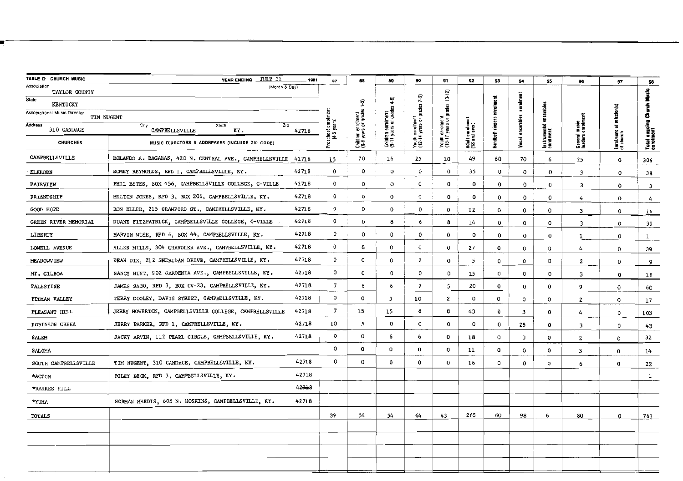| TABLE D CHURCH MUSIC                       | YEAR ENDING JULY 31                                     | 1981  | 87                          | 68                                         | 89                                          | 90                                   | 91                                   | 92                              | 93               | 94            | 95                          | 96                 | 97                     | 98                        |
|--------------------------------------------|---------------------------------------------------------|-------|-----------------------------|--------------------------------------------|---------------------------------------------|--------------------------------------|--------------------------------------|---------------------------------|------------------|---------------|-----------------------------|--------------------|------------------------|---------------------------|
| Association<br>TAYLOR COUNTY               | (Month & Day)                                           |       |                             |                                            |                                             |                                      |                                      |                                 |                  |               |                             |                    |                        | 4                         |
| State<br>KENTUCKY                          |                                                         |       |                             |                                            | 40                                          | $(-3)$                               | $10 - 12$                            |                                 |                  | enrolment     |                             |                    |                        |                           |
| Associational Music Director<br>TIM NUGENT |                                                         |       |                             |                                            |                                             | grades                               | grades                               |                                 |                  |               | ensemble                    |                    | $m$ ission(s)          | 8                         |
| Address<br>310 CANDACE                     | City<br>State<br>Zip<br>CAMPBELLSVILLE<br>KY.           | 42718 | chool enroli<br>(4-5 years) | Children enrolment<br>(6-6 years or grades | Calidren enrolment<br>(9-11 years or grades | Youth enrolment<br>(12-14 years or g | Youth enrolment<br>(15-17 years or g | Adult enrolmen<br>(18 and over) | Handbelt ringers | ensembles     |                             | music<br>enrolm    | ъ                      |                           |
| <b>CHURCHES</b>                            | MUSIC DIRECTORS & ADDRESSES (INCLUDE ZIP CODE)          |       |                             |                                            |                                             |                                      |                                      |                                 |                  | Yacai         | Instrumental «<br>enrolment | Ceneral<br>Ieaders | Enrolment<br>of church | Total ongoli<br>enrolment |
| CAMPBELLSVILLE                             | ROLANDO A. RAGANAS, 420 N. CENTRAL AVE., CAMPBELLSVILLE | 42718 | 15                          | 20                                         | 16                                          | 25                                   | 20                                   | 49                              | 60               | 70            | 6                           | 25                 | $\bf o$                | 306                       |
| <b>ELKHORN</b>                             | ROMEY REYNOLDS, RFD 1, CAMPBELLSVILLE, KY.              | 42718 | 0                           | 0                                          | o                                           | 0                                    | 0                                    | 35                              | $^{\circ}$       | $\mathbf 0$   | $\mathbf 0$                 | 3                  | 0                      | 38                        |
| FAIRVIEW                                   | PHIL ESTES, BOX 456, CAMPBELLSVILLE COLLEGE, C-VILLE    | 42718 | $\mathbf 0$                 | $\Omega$                                   | $\circ$                                     | 0                                    | 0                                    | $\bf{o}$                        | $\bf{0}$         | $\mathbf 0$   | $\bf{0}$                    | 3                  | $\Omega$               | 3                         |
| <b>FRIENDSHIP</b>                          | MILTON JONES, RFD 3, BOX 206, CAMPBELLSVILLE, KY.       | 42718 | $\mathbf 0$                 | $\mathbf 0$                                | $\bf o$                                     | 0                                    | 0                                    | $\bf o$                         | 0                | $\mathbf 0$   | $\mathbf 0$                 | 4                  | $\mathbf 0$            | 4                         |
| GOOD HOPE                                  | RON ELLER, 215 CRAWFORD ST., CAMPBELLSVILLE, KY.        | 42718 | 0                           | $\circ$                                    | 0                                           | $\bf o$                              | $\circ$                              | 12                              | $\mathbf 0$      | 0             | 0                           | 3                  | 0                      | 15                        |
| GREEN RIVER MEMORIAL                       | DUANE FITZPATRICK, CAMPBELLSVILLE COLLEGE, C-VILLE      | 42718 | $\mathbf 0$                 | $\mathbf 0$                                | 8                                           | 6                                    | 8                                    | 14                              | $\mathbf 0$      | $\circ$       | $\circ$                     | 3                  | $\circ$                | 39                        |
| LIBERTY                                    | MARVIN WISE, RFD 6, BOX 44, CAMPBELLSVILLE, KY.         | 42718 | $\mathbf 0$                 | $\mathbf 0$                                | 0                                           | 0                                    | $\bf{0}$                             | $\mathbf{o}$                    | $\mathsf 0$      | $\bf{0}$      | $\bf{0}$                    | 1                  | $\mathbf 0$            | $\mathbf{1}$              |
| LOWELL AVENUE                              | ALLEN MILLS, 304 CHANDLER AVE., CAMPBELLSVILLE, KY.     | 42718 | 0                           | 8                                          | 0                                           | $\mathbf 0$                          | $\circ$                              | 27                              | $\bf o$          | 0             | $\Omega$                    | 4                  | 0                      | 39                        |
| <b>MEADOWVIEW</b>                          | DEAN DIX, 212 SHERIDAN DRIVE, CAMPBELLSVILLE, KY.       | 42718 | 0                           | $\circ$                                    | 0                                           | $\overline{2}$                       | $\bf{0}$                             | 5                               | $\circ$          | 0             | $\Omega$                    | $\mathbf{z}$       | 0                      | 9                         |
| MT. GILBOA                                 | NANCY HUNT, 902 GARDENIA AVE., CAMPBELLSVILLE, KY.      | 42718 | $\circ$                     | $\bf{0}$                                   | 0                                           | $\circ$                              | $\mathbf 0$                          | 15                              | $\circ$          | 0             | о                           | 3                  | $\bf o$                | 18                        |
| PALESTINE                                  | JAMES SABO, RPD 3, BOX CV-23, CAMPBELLSVILLE, KY.       | 42718 | $\overline{7}$              | 6                                          | 6                                           | $\overline{\phantom{a}}$             | 5                                    | 20                              | $\bf o$          | $\bf{0}$      | $\mathbf 0$                 | 9                  | 0                      | 60                        |
| PITMAN VALLEY                              | TERRY DOOLEY, DAVIS STREET, CAMPBELLSVILLE, KY.         | 42718 | 0                           | $\mathbf{o}$                               | 3                                           | 10                                   | 2                                    | 0                               | 0                | $\mathbf 0$   | $\circ$                     | $\mathbf{2}$       | $\mathbf 0$            | 17                        |
| PLEASANT HILL                              | JERRY HOWERTON, CAMPBELLSVILLE COLLEGE, CAMPBELLSVILLE  | 42718 | $\overline{z}$              | 15                                         | 15                                          | 8                                    | 8                                    | 43                              | $\circ$          | з             | $\mathbf{0}$                | 4                  | $\Omega$               | 103                       |
| <b>ROBINSON CREEK</b>                      | JERRY PARKER, RFD 1, CAMPBELLSVILLE, KY.                | 42718 | 10                          | 5                                          | $\bf o$                                     | $\mathsf{o}\,$                       | $\circ$                              | 0                               | $\mathbf 0$      | 25            | 0                           | 3                  | 0                      | 43                        |
| <b>SALEM</b>                               | JACKY ARVIN, 112 PEARL CIRCLE, CAMPBELLSVILLE, KY.      | 42718 | $\circ$                     | $\Omega$                                   | 6                                           | 6                                    | $\bf{0}$                             | 18                              | 0                | 0             | $\mathbf 0$                 | $\overline{2}$     | 0                      | 32                        |
| SALOMA                                     |                                                         |       | 0                           | $\bf o$                                    | $\mathbf 0$                                 | $\bf o$                              | $\mathbf 0$                          | 11                              | 0                | $\mathfrak o$ | $^{\circ}$                  | 3                  | $\mathbf 0$            | 14                        |
| SOUTH CAMPBELLSVILLE                       | TIM NUGENT, 310 CANDACE, CAMPBELLSVILLE, KY.            | 42718 | 0                           | 0                                          | 0                                           | 0                                    | $\bf{0}$                             | 16                              | 0                | $\mathbf 0$   | $\circ$                     | 6                  | $\Omega$               | 22                        |
| *ACTON                                     | POLEY BECK, RFD 3, CAMPBELLSVILLE, KY.                  | 42718 |                             |                                            |                                             |                                      |                                      |                                 |                  |               |                             |                    |                        | $\mathbf{1}$              |
| *RAIKES HILL                               |                                                         | 42718 |                             |                                            |                                             |                                      |                                      |                                 |                  |               |                             |                    |                        |                           |
| <b>*YUMA</b>                               | NORMAN MARDIS, 605 N. HOSKINS, CAMPBELLSVILLE, KY.      | 42718 |                             |                                            |                                             |                                      |                                      |                                 |                  |               |                             |                    |                        |                           |
| TOTALS                                     |                                                         |       | 39                          | 54                                         | 54                                          | 64                                   | 43                                   | 265                             | 60               | 98            | 6                           | 80                 | 0                      | 763                       |
|                                            |                                                         |       |                             |                                            |                                             |                                      |                                      |                                 |                  |               |                             |                    |                        |                           |
|                                            |                                                         |       |                             |                                            |                                             |                                      |                                      |                                 |                  |               |                             |                    |                        |                           |
|                                            |                                                         |       |                             |                                            |                                             |                                      |                                      |                                 |                  |               |                             |                    |                        |                           |
|                                            |                                                         |       |                             |                                            |                                             |                                      |                                      |                                 |                  |               |                             |                    |                        |                           |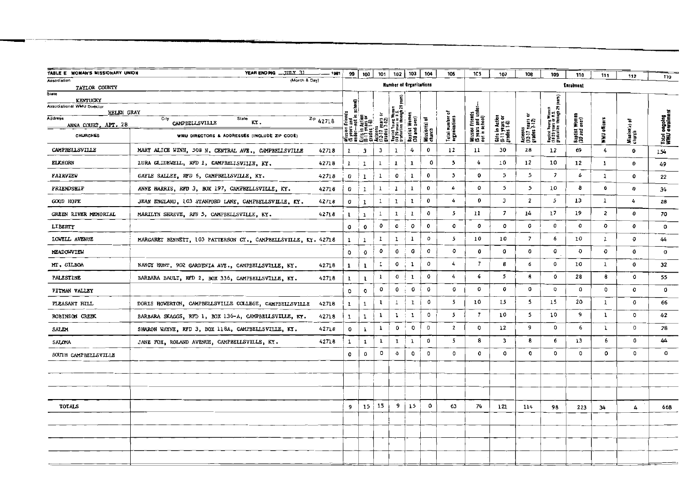| TABLE E WOMAN'S MISSIONARY UNION         | YEAR ENDING JULY 31                                            | $- 1981$ | 99               | 100                              | 101          | 102                                                      | 103                           | 104                     | 105                             | 1CS                                                    | 107                                              | 108                                     | 109                                                                   | 110                            |              |                        |                               |
|------------------------------------------|----------------------------------------------------------------|----------|------------------|----------------------------------|--------------|----------------------------------------------------------|-------------------------------|-------------------------|---------------------------------|--------------------------------------------------------|--------------------------------------------------|-----------------------------------------|-----------------------------------------------------------------------|--------------------------------|--------------|------------------------|-------------------------------|
| Association                              | (Month & Day)                                                  |          |                  |                                  |              | <b>Humber of Organizations</b>                           |                               |                         |                                 |                                                        |                                                  |                                         |                                                                       | <b>Enrolment</b>               | 111          | 112                    | 113                           |
| TAYLOR COUNTY<br>State                   |                                                                |          |                  |                                  |              |                                                          |                               |                         |                                 |                                                        |                                                  |                                         |                                                                       |                                |              |                        |                               |
| KENTUCKY                                 |                                                                |          |                  |                                  |              |                                                          |                               |                         |                                 |                                                        |                                                  |                                         |                                                                       |                                |              |                        |                               |
| Associational WMU Director<br>HELEN GRAY |                                                                |          | 鼠                |                                  |              |                                                          |                               |                         | ъ                               |                                                        |                                                  |                                         |                                                                       |                                |              |                        |                               |
| Address<br>ANNA COURT, APT. 28           | City<br>State<br>KY.<br>CAMPBELLSVILLE                         | 2.942718 | 運 鳥草             | in Action<br>years or<br>ss 1 6) | rars<br>112  |                                                          |                               |                         |                                 |                                                        |                                                  |                                         |                                                                       |                                |              | ъ                      |                               |
| <b>CHURCHES</b>                          | WMU DIRECTORS & ADDRESSES (INCLUDE ZIP CODE)                   |          |                  |                                  |              | Baptist Young W<br>18 29 years or 1<br>17 setuation thro | Baptist Wome<br>(30 and over) | Mission(s) of<br>church | Total number o<br>organizations | Wission Friends<br>(5 years and undi<br>not in school) | Girls in Action<br>(G-11 years or<br>grades 1-6) | Acteens<br>(12-17 years<br>grades 7-12) | Baptist Young Warnen<br>(1829 years or M.S.<br>gradualin through 29 y | Baptist Women<br>(30 and over) | WNU officers | Mission(s) ı<br>church | Total oagoing<br>WWW onroime: |
| CAMPBELLSVILLE                           | MARY ALICE WINN, 508 N. CENTRAL AVE., CAMPBELLSVILLE           | 42718    | $\mathbf{1}$     | 3                                | 3            | 1                                                        | 4                             | 0                       | 12                              | 11                                                     | 30                                               | 28                                      | 12                                                                    | 69                             | 4            | $\bf{0}$               | 154                           |
| <b>ELKHORN</b>                           | LURA GLIDEWELL, RFD 1, CAMPBELISVILLE, KY.                     | 42718    | $2 \cdot 2$      |                                  | ı            | $\mathbf{1}$                                             | $\mathbf{1}$                  | 0                       | 5                               | 4                                                      | 10                                               | 12                                      | 10                                                                    | 12                             | 1            | 0                      | 49                            |
| FAIRVIEW                                 | GAYLE SALLEE, RFD 6, CAMPBELLSVILLE, KY.                       | 42718    | $\boldsymbol{0}$ | $\mathbf{1}$                     | $\mathbf{1}$ | 0                                                        | $\mathbf{1}$                  | 0                       | $\mathbf{3}$                    | 0                                                      | з                                                | 5.                                      | $\overline{\phantom{a}}$                                              | 6                              | $\mathbf{1}$ | 0                      | 22                            |
| FRIENDSHIP                               | ANNE HARRIS, RFD 3, BOX 197, CAMPBELLSVILLE, KY.               | 42718    | 0                | $\mathbf{1}$                     | 1            | $\mathbf{1}$                                             | ı                             | 0                       | 4                               | 0                                                      | 5                                                | 5                                       | 10                                                                    | 8                              | 6            | 0                      | 34                            |
| <b>GOOD HOPE</b>                         | JEAN ENGLAND, 103 STANFORD LANE, CAMPBELLSVILLE, KY.           | 42718    | o                | $\mathbf{1}$                     | 1            | ı                                                        | ı                             | 0                       | 4                               | 0                                                      | $\overline{\mathbf{3}}$                          | $\overline{\mathbf{z}}$                 | 5                                                                     | 13                             | $\mathbf{1}$ | 4                      | 28                            |
| GREEN RIVER MEMORIAL                     | MARILYN SHREVE, RFD 5, CAMPBELLSVILLE, KY.                     | 42718    | ı                | 1                                | 1            | $\mathbf{1}$                                             | 1                             | $\pmb{o}$               | 5                               | 11                                                     | $\overline{z}$                                   | 14                                      | 17                                                                    | 19                             | $\mathbf{z}$ | $\mathbf o$            | 70                            |
| LIBERTY                                  |                                                                |          | O                | $\bf{0}$                         | $\pmb{o}$    | 0                                                        | o                             | 0                       | 0                               | 0                                                      | 0                                                | c                                       | 0                                                                     | 0                              | 0            | $\mathbf o$            | ٥                             |
| LOWELL AVENUE                            | MARGARET BENNETT, 103 PATTERSON CT., CAMPBELLSVILLE, KY. 42718 |          | 1                | $\mathbf{1}$                     | $\mathbf{1}$ | $\mathbf 1$                                              | $\mathbf 1$                   | o                       | 5                               | 10                                                     | 10                                               | $\overline{z}$                          | 6                                                                     | 10                             | $\mathbf{1}$ | $\mathbf o$            | 44                            |
| MEADOWVIEW                               |                                                                |          | $\circ$          | $\mathbf 0$                      | $\pmb{o}$    | $\mathbf 0$                                              | o                             | $\pmb{\mathcal{G}}$     | o                               | 0                                                      | 0                                                | 0                                       | o                                                                     | $\mathbf o$                    | o            | 0                      | $\mathbf 0$                   |
| MT. GILBOA                               | NANCY HUNT, 902 GARDENIA AVE., CAMPBELLSVILLE, KY.             | 42718    | 1                | ı                                | I.           | 0                                                        | 1                             | o                       | 4                               | $\overline{\phantom{a}}$                               | 8                                                | 6                                       | 0                                                                     | 10                             | $\mathbf{1}$ | 0                      | 32                            |
| PALESTINE                                | BARBARA BAULT, RFD 2, BOX 336, CAMPBELLSVILLE, KY.             | 42718    | ı                | $\mathbf 1$                      | $\mathbf 1$  | $\mathbf 0$                                              | 1                             | 0                       | 4                               | 6                                                      | 5                                                | 8                                       | 0                                                                     | 28                             | 8            | 0                      | 55                            |
| PITMAN VALLEY                            |                                                                |          | $\circ$          | O                                | 0            | 0                                                        | 0                             | 0                       | 0                               | 0                                                      | 0                                                | 0                                       | ٥                                                                     | $\circ$                        | ٥            | 0                      | $\mathbf{o}$                  |
| PLEASANT HILL                            | DORIS HOWERTON, CAMPBELLSVILLE COLLEGE, CAMPBELLSVILLE         | 42718    | ı                | $\mathbf{1}$                     | $\mathbf{1}$ | $1\,$                                                    | $\mathbf 1$                   | 0                       | 5                               | 10                                                     | 15                                               | 5                                       | 15                                                                    | 20                             | ı            | 0                      | 66                            |
| <b>ROBINSON CREEK</b>                    | BARBARA SKAGGS, RFD 1, BOX 136-A, CAMPBEILSVILLE, KY.          | 42718    | $\mathbf{1}$     | $\mathbf{1}$                     | 1            | $\mathbf 1$                                              | $\mathbf 1$                   | o                       | 5                               | $\overline{\phantom{a}}$                               | 10                                               | 5                                       | 10                                                                    | 9                              | ı            | о                      | 42                            |
| SALEM                                    | SHARON WAYNE, RFD 3, BOX 118A, CAMPBELLSVILLE, KY.             | 42718    | 0                | ı                                | 1            | 0                                                        | $\mathsf{o}$                  | o                       | $\mathbf{z}$                    | ٥                                                      | 12                                               | 9                                       | 0                                                                     | 6                              | ı            | $^{\circ}$             | 28                            |
| SALOMA                                   | JANE FOX, ROLAND AVENUE, CAMPBELLSVILLE, KY.                   | 42718    | 1                | $\mathbf 1$                      | 1            | 1                                                        | ı                             | 0                       | 5                               | 8                                                      | 3                                                | 8                                       | 6                                                                     | 13                             | 6            | $^{\circ}$             | 44                            |
| SOUTH CAMPBELLSVILLE                     |                                                                |          | 0                | 0                                | o            | $\mathbf o$                                              | $\circ$                       | $\circ$                 | o                               | 0                                                      | ٥                                                | $\circ$                                 | 0                                                                     | 0                              | o            | $\circ$                | ٥                             |
|                                          |                                                                |          |                  |                                  |              |                                                          |                               |                         |                                 |                                                        |                                                  |                                         |                                                                       |                                |              |                        |                               |
|                                          |                                                                |          |                  |                                  |              |                                                          |                               |                         |                                 |                                                        |                                                  |                                         |                                                                       |                                |              |                        |                               |
|                                          |                                                                |          |                  |                                  |              |                                                          |                               |                         |                                 |                                                        |                                                  |                                         |                                                                       |                                |              |                        |                               |
| <b>TOTALS</b>                            |                                                                |          | 9                | 15                               | 15           | 9                                                        | 15                            | ٥                       | 63                              | 74                                                     | 121                                              | 114                                     | 98                                                                    | 223                            | 34           | 4                      | 668                           |
|                                          |                                                                |          |                  |                                  |              |                                                          |                               |                         |                                 |                                                        |                                                  |                                         |                                                                       |                                |              |                        |                               |
|                                          |                                                                |          |                  |                                  |              |                                                          |                               |                         |                                 |                                                        |                                                  |                                         |                                                                       |                                |              |                        |                               |
|                                          |                                                                |          |                  |                                  |              |                                                          |                               |                         |                                 |                                                        |                                                  |                                         |                                                                       |                                |              |                        |                               |
|                                          |                                                                |          |                  |                                  |              |                                                          |                               |                         |                                 |                                                        |                                                  |                                         |                                                                       |                                |              |                        |                               |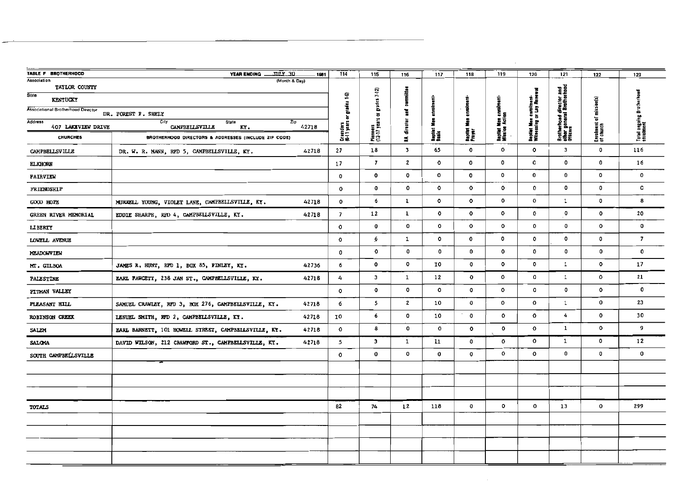| TABLE F BROTHERHOOD<br>Association        | JULY 30<br>YEAR ENDING<br>1981<br>(Month & Day)               | $\frac{1}{114}$             | 115                        | 116                     | 117          | 118               | 119                          | 120                                              | 121                                                               | 122                                  | 123                                   |
|-------------------------------------------|---------------------------------------------------------------|-----------------------------|----------------------------|-------------------------|--------------|-------------------|------------------------------|--------------------------------------------------|-------------------------------------------------------------------|--------------------------------------|---------------------------------------|
| TAYLOR COUNTY<br>State                    |                                                               | ፵                           |                            |                         |              |                   |                              |                                                  |                                                                   |                                      |                                       |
| <b>KENTUCKY</b>                           |                                                               | rrades                      | $grates 7-12$              | committee               |              |                   |                              |                                                  |                                                                   |                                      |                                       |
| <b>Associational Brotherhood Director</b> | DR. FOREST F. SHELY                                           | ៵                           | $\overline{a}$             | ĭ                       |              | enrolme           | n earelme<br>Ilan            |                                                  |                                                                   |                                      |                                       |
| <b>Address</b><br>407 LAKEVIEW DRIVE      | City<br>Zip<br><b>State</b><br>42718<br>CAMPBELLSVILLE<br>KY. | Crusaders<br>16   1 years o | Pioneers<br>{12-17 years : | director                | 흁            | į                 | Baptist Men<br>Mission Activ | Bepliat Men enrolment-<br>Wilnessing or Lay Rene | Brotherhoad director and<br>other general Brotherhood<br>Officers | Enrolment of mission(s)<br>of church | Total ongoing Brotherhou<br>enrolment |
| <b>CHURCHES</b>                           | BROTHERHOOD DIRECTORS & ADDRESSES (INCLUDE ZIP CODE)          |                             |                            | ă.                      | nati<br>Saak | Bapitet<br>Prayar |                              |                                                  |                                                                   |                                      |                                       |
| <b>CAMPBELLSVILLE</b>                     | DR. W. R. MANN, RFD 5, CAMPBELLSVILLE, KY.<br>42718           | 27                          | $18\,$                     | $\overline{\mathbf{3}}$ | 65           | $\bf{0}$          | $\mathbf{o}$                 | $\circ$                                          | $\mathbf{3}$                                                      | $\mathbf 0$                          | 116                                   |
| <b>ELKHORN</b>                            |                                                               | 17                          | $\overline{7}$             | $\mathbf{2}$            | $\circ$      | $\mathbf{o}$      | 0                            | o                                                | $\circ$                                                           | $\mathbf 0$                          | 16                                    |
| <b>FAIRVIEW</b>                           |                                                               | $\mathbf{o}$                | $\circ$                    | $\mathbf 0$             | ٥            | $\mathbf{o}$      | $\mathbf{o}$                 | 0                                                | $\mathbf 0$                                                       | $\mathbf{o}$                         | $\mathbf{o}$                          |
| <b>FRIENDSHIP</b>                         |                                                               | $\mathbf 0$                 | $\mathbf 0$                | $\mathbf{o}$            | $\mathbf{o}$ | $\circ$           | 0                            | 0                                                | $\circ$                                                           | 0                                    | $\mathbf{0}$                          |
| <b>GOOD HOPE</b>                          | MURRELL YOUNG, VIOLET LANE, CAMPBELLSVILLE, KY.<br>42718      | $\circ$                     | 6                          | $\mathbf{1}$            | $\circ$      | $\circ$           | $\mathbf{o}$                 | $\mathbf{o}$                                     | $\mathbf{1}$                                                      | 0                                    | 8                                     |
| <b>GREEN RIVER MEMORIAL</b>               | EDDIE SHARPE, RFD 4, CAMPBELLSVILLE, KY.<br>42718             | $\overline{\phantom{a}}$    | 12                         | $\mathbf{1}$            | $\circ$      | $\circ$           | $\mathbf{o}$                 | 0                                                | $\mathbf 0$                                                       | $\circ$                              | 20                                    |
| <b>LIBERTY</b>                            |                                                               | 0                           | $\circ$                    | $\mathbf{o}$            | 0            | $\circ$           | 0                            | $\circ$                                          | $\mathbf o$                                                       | $\circ$                              | $\mathbf 0$                           |
| LOWELL AVENUE                             |                                                               | $\mathbf{o}$                | $6^{6}$                    | 1                       | ٥            | 0                 | 0                            | 0                                                | $\mathbf{o}$                                                      | 0                                    | $\overline{7}$                        |
| MEADOWVIEW                                |                                                               | $\mathbf 0$                 | $\mathbf{o}$               | 0                       | $\mathbf 0$  | $\bf{0}$          | $\mathbf{o}$                 | 0                                                | 0                                                                 | $\circ$                              | $\mathbf 0$                           |
| MT. GILBOA                                | JAMES R. HUNT, RFD 1, BOX 85, FINLEY, KY.<br>42736            | 6                           | $\circ$                    | O                       | I0           | 0                 | $\circ$                      | $\circ$                                          | 1                                                                 | $\circ$                              | 17                                    |
| <b>PALESTINE</b>                          | 42718<br>EARL FAWCETT, 238 JAN ST., CAMPBELLSVILLE, KY.       | 4                           | э                          | $\mathbf{1}$            | 12           | $\circ$           | $\mathbf{o}$                 | O                                                | $1\,$                                                             | $\mathbf{o}$                         | 21                                    |
| PITMAN VALLEY                             |                                                               | $\circ$                     | $\circ$                    | $\mathbf 0$             | $\circ$      | $\mathbf o$       | $\mathbf{o}$                 | O                                                | $\mathbf 0$                                                       | $\circ$                              | $\mathbf 0$                           |
| PLEASANT HILL                             | SAMUEL CRAWLEY, RFD 3, BOX 276, CAMPBELLSVILLE, KY.<br>42718  | 6                           | 5                          | $\mathbf{z}$            | 10           | O                 | $\mathbf{o}$                 | o                                                | $\mathbf{1}$                                                      | 0                                    | 23                                    |
| <b>ROBINSON GREEK</b>                     | LENUEL SMITH, RFD 2, CAMPBELLSVILLE, KY.<br>42718             | 10                          | 6                          | $\mathbf o$             | 10           | $\mathbf 0$       | $\mathbf{o}$                 | ۰                                                | 4                                                                 | $\mathbf{o}$                         | 30                                    |
| SALEM                                     | EARL BARNETT, 101 HOWELL STREET, CAMPBELLSVILLE, KY.<br>42718 | $\mathbf{o}$                | 8                          | $\mathbf{o}$            | $\mathbf{o}$ | $\circ$           | $\circ$                      | $\circ$                                          | $\mathbf{1}$                                                      | $\circ$                              | 9                                     |
| <b>SALOMA</b>                             | 42718<br>DAVID WILSON, 212 CRAWFORD ST., CAMPBELLSVILLE, KY.  | $\overline{5}$              | э                          | 1                       | 11           | 0                 | $\mathbf{o}$                 | $\circ$                                          | $\mathbf{1}$                                                      | $\mathbf{o}$                         | 12                                    |
| SOUTH CAMPBELLSVILLE                      |                                                               | 0                           | $\circ$                    | $\mathbf 0$             | 0            | $\mathbf 0$       | $\mathbf{o}$                 | $\circ$                                          | $\mathbf 0$                                                       | 0                                    | $\mathbf o$                           |
|                                           |                                                               |                             |                            |                         |              |                   |                              |                                                  |                                                                   |                                      |                                       |
|                                           |                                                               |                             |                            |                         |              |                   |                              |                                                  |                                                                   |                                      |                                       |
|                                           |                                                               |                             |                            |                         |              |                   |                              |                                                  |                                                                   |                                      |                                       |
| <b>TOTALS</b>                             |                                                               | 82                          | 74                         | 12                      | 118          | 0                 | o                            | 0                                                | 13                                                                | 0                                    | 299                                   |
|                                           |                                                               |                             |                            |                         |              |                   |                              |                                                  |                                                                   |                                      |                                       |
|                                           |                                                               |                             |                            |                         |              |                   |                              |                                                  |                                                                   |                                      |                                       |
|                                           |                                                               |                             |                            |                         |              |                   |                              |                                                  |                                                                   |                                      |                                       |
|                                           |                                                               |                             |                            |                         |              |                   |                              |                                                  |                                                                   |                                      |                                       |
|                                           |                                                               |                             |                            |                         |              |                   |                              |                                                  |                                                                   |                                      |                                       |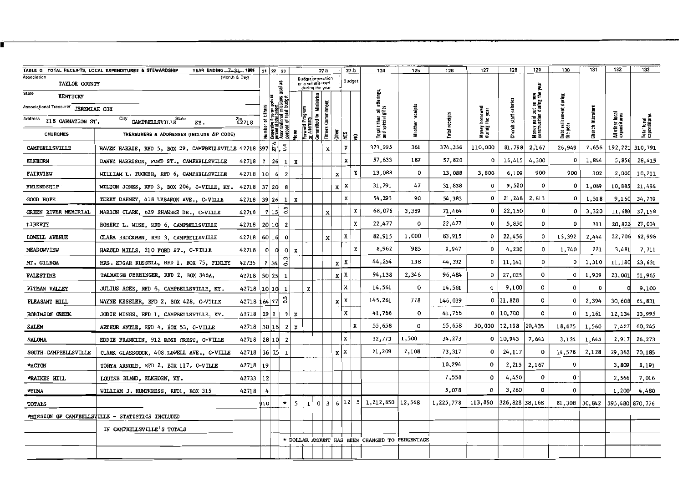|                                      | YEAR ENDING 7-31 1961<br>TABLE G TOTAL RECEIPTS, LOCAL EXPENDITURES & STEWARDSHIP |                    |            | 21 22 23                                                    |                             |                                                         | 27 a                    |                           |            | 27 <sub>b</sub> | 124                                            | 125      | 126            | 127                  | 128                   | 129                                              | 130                     | 131        | 132                             | 133                         |
|--------------------------------------|-----------------------------------------------------------------------------------|--------------------|------------|-------------------------------------------------------------|-----------------------------|---------------------------------------------------------|-------------------------|---------------------------|------------|-----------------|------------------------------------------------|----------|----------------|----------------------|-----------------------|--------------------------------------------------|-------------------------|------------|---------------------------------|-----------------------------|
| Association<br>TAYLOR COUNTY         | (Month & Day)                                                                     |                    |            | 益<br>圛                                                      |                             | Budget promotion<br>or emphasis used<br>during the year |                         |                           |            | Budget          |                                                |          |                |                      |                       | 휯                                                |                         |            |                                 |                             |
| State<br>KENTUCKY                    |                                                                                   |                    |            | g                                                           |                             |                                                         |                         |                           |            |                 | offerings,                                     |          |                |                      |                       |                                                  |                         |            |                                 |                             |
| Associational Treasurer JEREMIAH COX |                                                                                   |                    | of tithers |                                                             |                             | Program                                                 |                         |                           |            |                 |                                                | receipts |                |                      |                       |                                                  |                         | literature |                                 |                             |
| Address<br>218 CARNATION ST.         | City CAMPBELLSVILLE State<br>KY.                                                  | $^{2ip}_{42718}$   |            | nt of                                                       |                             |                                                         | Committed to Ministries | Commitment                |            |                 | Total tithes, all of<br>and special gifts      | other    | Total receipts | borrowed<br>the year | Church staff salaries | Money paid out on new<br>construction during the | Debt retire<br>the year |            | All other local<br>expenditures | Total local<br>expenditures |
| <b>CHURCHES</b>                      | TREASURERS & ADDRESSES (INCLUDE ZIP CODE)                                         |                    |            | Number<br>Cooperative<br>Persociati<br>Associati<br>Percent |                             | Forward<br>Of Altern                                    |                         | Tithers                   | 흄          | ⊊ا ≅ا           |                                                | ŧ        |                | Money<br>during      |                       |                                                  |                         | Church     |                                 |                             |
| CAMPBELLSVILLE                       | HAVEN HARRIS, RFD 5, BOX 29, CAMPBELLSVILLE 42718 397 N.                          |                    |            |                                                             |                             |                                                         |                         | x                         | x          |                 | 373,995                                        | 361      | 374,356        | 110,000              | 81,798                | 2,167                                            | 26,949                  | 7,656      | 192,221                         | 310,791                     |
| <b>ELKHORN</b>                       | DANNY HARRISON, FORD ST., CAMPBELLSVILLE                                          | $42718$   $7$   26 |            |                                                             | $1 \mid X$                  |                                                         |                         |                           | x          |                 | 57,633                                         | 187      | 57,820         | 0                    | 16,415                | 4,300                                            | 0                       | 1,844      | 5,856                           | 28,415                      |
| <b>FAIRVIEW</b>                      | WILLIAM L. TUCKER, RFD 6, CAMPBELLSVILLE                                          | 42718 10           |            | $6 \vert$<br>$\overline{2}$                                 |                             |                                                         |                         |                           | x          | x               | 13,088                                         | 0        | 13,088         | 3,800                | 6,109                 | 900                                              | 900                     | 302        |                                 | 2,000 10,211                |
| FRIENDSHIP                           | MILTON JONES, RFD 3, BOX 206, C-VILLE, KY. 42718 37 20 8                          |                    |            |                                                             |                             |                                                         |                         |                           | $x \mid x$ |                 | 31,791                                         | 47       | 31,838         | 0                    | 9,520                 | $\Omega$                                         | 0                       | 1,089      | 10,885                          | 21,494                      |
| GOOD HOPE                            | TERRY DABNEY, 418 LEBANON AVE., C-VILLE                                           | 42718              | 39 26      | 1                                                           | $\boldsymbol{x}$            |                                                         |                         |                           | x          |                 | 54,293                                         | 90       | 54,383         | 0                    | 21, 248               | 2,813                                            | 0                       | 1,518      | 9,160                           | 34,739                      |
| GREEN RIVER MEMORIAL                 | MARION CLARK, 629 SHAWNEE DR., C-VILLE                                            | 42718              | 7 15       | ី                                                           |                             |                                                         |                         | $\boldsymbol{\mathsf{x}}$ |            | x               | 68,076                                         | 3,389    | 71,464         | 0                    | 22,150                | 0                                                | 0                       | 3,320      | 11,689                          | 37,158                      |
| LIBERTY                              | ROBERT L. WISE, RFD 6, CAMPBELLSVILLE                                             | 42718              | 20 10      | $\mathbf{2}$                                                |                             |                                                         |                         |                           |            | x               | 22,477                                         | 0        | 22,477         | 0                    | 5,850                 | 0                                                | $\mathbf{0}$            | 311        | 20,873                          | 27,034                      |
| LOWELL AVENUE                        | CLARA BROCKMAN, RFD 3, CAMPBELLSVILLE                                             | 42718 60 16        |            | $\mathbf 0$                                                 |                             |                                                         |                         | x                         | x          |                 | 82,915                                         | 1,000    | 83,915         | 0                    | 22,456                | 0                                                | 15,392                  | 2,444      | 22,706                          | 62,998                      |
| <b>MEADOWVIEW</b>                    | HAROLD MILLS, 210 FORD ST., C-VILLE                                               | 42718              | $\Omega$   | o                                                           | $\circ$<br>$\boldsymbol{x}$ |                                                         |                         |                           |            | X               | 8,962                                          | 985      | 9,947          | 0                    | 4,230                 | 0                                                | 1,740                   | 221        | 3,481                           | 7,711                       |
| MT. GILBOA                           | MRS. EDGAR RUSSELL, RFD 1, BOX 75, FINLEY                                         | 42736              | 2 34       | 0.3                                                         |                             |                                                         |                         |                           | $x \mid x$ |                 | 44,254                                         | 138      | 44,392         | 0                    | 11,141                | 0                                                | 0                       | 1,310      | 11,180                          | 23,631                      |
| <b>PALESTINE</b>                     | TALMADGE DERRINGER, RFD 2, BOX 346A,                                              | 42718 50 25        |            | $\mathbf{1}$                                                |                             |                                                         |                         |                           | $x \mid x$ |                 | 94,138                                         | 2,346    | 96,484         | 0                    | 27,025                | o                                                | $\mathbf 0$             | 1,939      | 23,001                          | 51,965                      |
| PITMAN VALLEY                        | JULIUS AGEE, RFD 6, CAMPBELLSVILLE, KY.                                           | 42718 10 10        |            | 1                                                           |                             | $\mathbf x$                                             |                         |                           | x          |                 | 14,561                                         | 0        | 14,561         | 0                    | 9,100                 | 0                                                | 0                       | 0          |                                 | 9,100                       |
| PLEASANT HILL                        | WAYNE KESSLER, RFD 2, BOX 428, C-VILLE                                            | 42718 164 27       |            | ះ                                                           |                             |                                                         |                         |                           | $x \mid x$ |                 | 145,261                                        | 778      | 146,039        | $\circ$              | 31,828                | 0                                                | 0                       | 2,394      | 30,608                          | 64,831                      |
| ROBINSON CREEK                       | JODIE MINGS, RFD 1, CAMPBELISVILLE, KY.                                           | $42718$ 29 7       |            |                                                             | $2$ $\overline{x}$          |                                                         |                         |                           | x          |                 | 41,766                                         | 0        | 41,766         |                      | $0$   10,700          | 0                                                | $\mathbf{0}$            | 1,161      | 12,134                          | 23,995                      |
| SALEM                                | ARTHUR ANTLE, RFD 4, BOX 53, C-VILLE                                              | 42718 30 16        |            |                                                             | 2 <br>x                     |                                                         |                         |                           |            | X               | 55,658                                         | 0        | 55,658         | 50,000               | 12,198                | 20,435                                           | 18,625                  | 1,560      | 7,427                           | 60, 245                     |
| <b>SALOMA</b>                        | EDDIE FRANKLIN, 912 ROSE CREST, C-VILLE                                           | 42718 28 10        |            | $\overline{2}$                                              |                             |                                                         |                         |                           | х          |                 | 32,773                                         | 1,500    | 34,273         |                      | 0   10,943            | 7,643                                            | 3,124                   | 1,645      | 2,917                           | 26,273                      |
| SOUTH CAMPBELLSVILLE                 | CLARK GLASSCOCK, 408 LOWELL AVE., C-VILLE                                         | 42718 36 75 1      |            |                                                             |                             |                                                         |                         |                           | $x \mid x$ |                 | 71,209                                         | 2,108    | 73,317         | 0                    | 24,117                | 0                                                | 14,578                  | 2,128      | 29,362                          | 70,185                      |
| *ACTON                               | TONYA ARNOLD, RFD 2, BOX 117, C-VILLE                                             | 42718 19           |            |                                                             |                             |                                                         |                         |                           |            |                 |                                                |          | 10,294         | O                    |                       | $2,215$ 2,167                                    | 0                       |            | 3,809                           | 8,191                       |
| *RAIKES HILL                         | LOUISE BLAND, ELKHORN, KY.                                                        | 42733              | 12         |                                                             |                             |                                                         |                         |                           |            |                 |                                                |          | 7,558          | 0                    | 4,450                 | 0                                                | 0                       |            | 2,566                           | 7,016                       |
| *YUMA                                | WILLIAM J. HUMPHRESS, RFD1, BOX 315                                               | 42718              |            |                                                             |                             |                                                         |                         |                           |            |                 |                                                |          | 5,078          | 0                    | 3,280                 | 0                                                | $\mathbf 0$             |            | 1,200                           | 4,480                       |
| TOTALS                               |                                                                                   |                    | 910        | $\star$                                                     | 5                           | $\mathbf{1}$                                            | $\mathbf 0$             | 3                         |            |                 | 6 12 5 1,212,850                               | 12,568   | 1,225,778      | 113,850              | 326,828 38,168        |                                                  | 81,308                  |            | 30,842 395,480 870,776          |                             |
|                                      | MISSION OF CAMPBELLSVILLE - STATISTICS INCLUDED                                   |                    |            |                                                             |                             |                                                         |                         |                           |            |                 |                                                |          |                |                      |                       |                                                  |                         |            |                                 |                             |
|                                      | IN CAMPBELLSVILLE'S TOTALS                                                        |                    |            |                                                             |                             |                                                         |                         |                           |            |                 |                                                |          |                |                      |                       |                                                  |                         |            |                                 |                             |
|                                      |                                                                                   |                    |            |                                                             |                             |                                                         |                         |                           |            |                 | * DOLLAR AMOUNT HAS BEEN CHANGED TO PERCENTAGE |          |                |                      |                       |                                                  |                         |            |                                 |                             |
|                                      |                                                                                   |                    |            |                                                             |                             |                                                         |                         |                           |            |                 |                                                |          |                |                      |                       |                                                  |                         |            |                                 |                             |
|                                      |                                                                                   |                    |            |                                                             |                             |                                                         |                         |                           |            |                 |                                                |          |                |                      |                       |                                                  |                         |            |                                 |                             |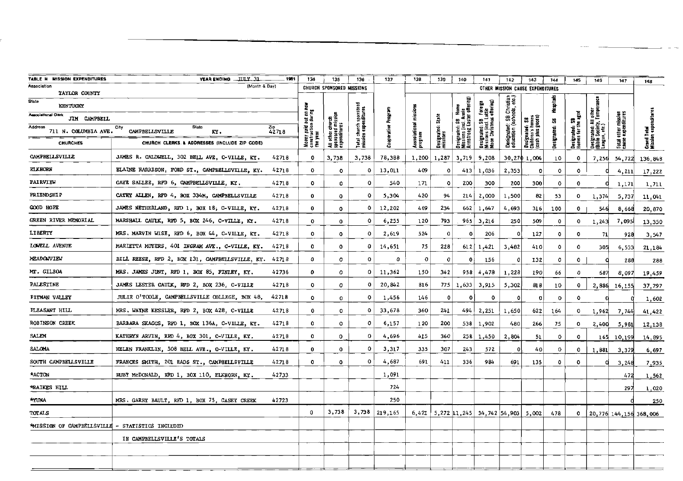|                                            |                                                                         |                     | 134                                               |                                                       |                                                |                     |                             |                                |                                                                         |                                                                                                                               |                                                      |                                                                           |              |                                       |                                                                      |                                           |                                   |
|--------------------------------------------|-------------------------------------------------------------------------|---------------------|---------------------------------------------------|-------------------------------------------------------|------------------------------------------------|---------------------|-----------------------------|--------------------------------|-------------------------------------------------------------------------|-------------------------------------------------------------------------------------------------------------------------------|------------------------------------------------------|---------------------------------------------------------------------------|--------------|---------------------------------------|----------------------------------------------------------------------|-------------------------------------------|-----------------------------------|
| MISSION EXPENDITURES<br><b>TABLE H</b>     | <b>YEAR ENDING  IIII.Y. 31.</b><br>1981<br>(Month & Day)<br>Association |                     |                                                   | 135                                                   | 136                                            | 137                 | 138                         | 139                            | 140                                                                     | 141                                                                                                                           | 142                                                  | 143                                                                       | 144          | 145                                   | 146                                                                  | 147                                       | 148                               |
| TAYLOR COUNTY                              |                                                                         |                     |                                                   | CHURCH SPONSORED MISSIONS                             |                                                |                     |                             |                                |                                                                         |                                                                                                                               |                                                      | OTHER MISSION CAUSE EXPENDITURES                                          |              |                                       |                                                                      |                                           |                                   |
| <b>State</b><br><b>KENTUCKY</b>            |                                                                         |                     |                                                   |                                                       |                                                |                     |                             |                                | offering)                                                               |                                                                                                                               | Designated: SB Christian<br>education (schools, etc. |                                                                           | Hospitals    |                                       | Designated: All other<br>(Bible Society, Temperance<br>League, etc.) |                                           |                                   |
| <b>Associational Clerk</b><br>JIM CAMPBELL |                                                                         |                     |                                                   |                                                       |                                                |                     | mission                     |                                |                                                                         |                                                                                                                               |                                                      |                                                                           | å,           |                                       |                                                                      |                                           |                                   |
| Address<br>711 N. COLUMBIA AVE.            | Sinte<br>City<br>CAMPBELLSVILLE<br>KY.                                  | $\frac{2ip}{42718}$ | Money paid out o<br>construction duri<br>the year | All other church<br>sponsored mission<br>expenditures | Total church sponsore<br> mission expenditures | Cooperative Program | Associational 1<br> Arogram | Designated: State<br> missions | MISSIONS (INCI, MIN<br>Armstrong Easter<br>Designated:<br>Missions (inc | gnated: SB Foreign<br>ions (incl. Lottie<br>n Christmas offering)<br>Designated: SB<br>IMissions (incl. Lo<br>IMoon Christmas |                                                      | plus goods)<br>  Designated: SB<br> Children's homes<br> Cash plus goods) | Designated:  | Designated: SB<br> Komes for the aged |                                                                      | Total other mission<br>cause expenditures | Grand Total<br>Mission expenditor |
| <b>CHURCHES</b>                            | CHURCH CLERKS & ADDRESSES (INCLUDE ZIP CODE)                            |                     |                                                   |                                                       |                                                |                     |                             |                                |                                                                         |                                                                                                                               |                                                      |                                                                           |              |                                       |                                                                      |                                           |                                   |
| <b>CAMPBELLSVILLE</b>                      | JAMES R. CALDWELL, 302 BELL AVE, C-VILLE, KY.                           | 42718               | $\mathbf{o}$                                      | 3,738                                                 | 3,738                                          | 78,388              | 1,200                       | 1,287                          | 3,719                                                                   | 9,208                                                                                                                         |                                                      | 30,270 1,004                                                              | 10           | $\Omega$                              | 7.256                                                                | 54,722                                    | 136,848                           |
| <b>ELKHORN</b>                             | ELAINE HARRISON, FORD ST., CAMPBELLSVILLE, KY.                          | 42718               | 0                                                 | $\circ$                                               | ٥                                              | 13,011              | 409                         | $\mathbf{o}$                   | 413                                                                     | 1,036                                                                                                                         | 2,353                                                | 0                                                                         | $\circ$      | ٥                                     |                                                                      | 4,211                                     | 17,222                            |
| <b><i>PAIRVIEW</i></b>                     | GAYE SALIEE, RFD 6, CAMPBELLSVILLE, KY.                                 | 42718               | $\mathbf{o}$                                      | 0                                                     | $\circ$                                        | 540                 | 171                         | $\circ$                        | 200                                                                     | 300                                                                                                                           | 200                                                  | 300                                                                       | $\circ$      | $\mathbf 0$                           |                                                                      | 1,171                                     | 1,711                             |
| <b>FRIENDSHIP</b>                          | CATHY ALLEN, RFD 4, BOX 334M, CAMPBELLSVILLE                            | 42718               | 0                                                 | $\circ$                                               | $\mathbf{o}$                                   | 5,304               | 420                         | 94                             | 214                                                                     | 2,000                                                                                                                         | 1,500                                                | 82                                                                        | 53           | $\mathbf 0$                           | 1,374                                                                | 5,737                                     | 11,041                            |
| COOD HOPE                                  | JAMES NETHERLAND, RFD 1, BOX 18, C-VILLE, KY.                           | 42718               | 0                                                 | $\circ$                                               | $\circ$                                        | 12,202              | 469                         | 234                            | 662                                                                     | 1,647                                                                                                                         | 4,693                                                | 316                                                                       | 100          | $^{\circ}$                            | 546                                                                  | 8,668                                     | 20,870                            |
| GREEN RIVER MEMORIAL                       | MARSHALL CAUIX, RFD 5, BOX 246, C-VILLE, KY.                            | 42718               | 0                                                 | $\circ$                                               | o                                              | 6,255               | 120                         | 793                            | 965                                                                     | 3,216                                                                                                                         | 250                                                  | 509                                                                       | $\mathbf{o}$ | $\circ$                               | 1,243                                                                | 7,095                                     | 13,350                            |
| LIBERTY                                    | MRS. MARVIN WISE, RED 6, BOX 44, C-VILLE, KY.                           | 42718               | 0                                                 | $\circ$                                               | $\circ$                                        | 2,619               | 524                         | $\mathbf 0$                    | ٥                                                                       | 206                                                                                                                           | $\mathbf{o}$                                         | 127                                                                       | $\mathbf 0$  | $\Omega$                              | 71                                                                   | 928                                       | 3,547                             |
| LOWELL AVENUE                              | MARIETTA MOYERS, 401 INGRAM AVE., C-VILLE, KY.                          | 42718               | 0                                                 | $^{\circ}$                                            | 0                                              | 14,651              | 75                          | 228                            | 612                                                                     | 1,421                                                                                                                         | 3,482                                                | 410                                                                       | $\mathbf{o}$ | $\Omega$                              | 305                                                                  | 6,533                                     | 21,184                            |
| MEADOWVIEW                                 | BILL REESE, RFD 2, BOX 131, CAMPBELLSVILLE, KY.                         | 42718               | û                                                 | 0                                                     | $\circ$                                        | Q                   | 0                           | $\mathbf{0}$                   | 0                                                                       | 156                                                                                                                           | $\Omega$                                             | 132                                                                       | $\circ$      | $\mathbf 0$                           |                                                                      | 288                                       | 288                               |
| MT. GILBOA                                 | MRS. JAMES JUNT, RFD 1, BOX 85, FINLEY, KY.                             | 42736               | 0                                                 | 0                                                     | 0                                              | 11,362              | 150                         | 342                            | 958                                                                     | 4,478                                                                                                                         | 1,228                                                | 190                                                                       | 66           | $\circ$                               | 687                                                                  | 8,097                                     | 19,459                            |
| <b>PALESTINE</b>                           | JAMES LESTER CAULK, RFD 2, BOX 236, C-VILLE                             | 42718               | $\Omega$                                          | $\circ$                                               | $\circ$                                        | 20,842              | 816                         |                                | $775$ 1,633                                                             | 3,915                                                                                                                         | 5,302                                                | 818                                                                       | 10           | $\mathbf 0$                           |                                                                      | 2,886 16,155                              | 37,797                            |
| PITMAN VALLEY                              | JULIE O'TOOLE, CAMPBELLSVILLE COLLEGE, BOX 48,                          | 42718               | 0                                                 | 0                                                     | $\mathbf{o}$                                   | 1,456               | 146                         | $\mathbf{0}$                   | ۰                                                                       | $\circ$                                                                                                                       | $\Omega$                                             | 0                                                                         | 0            | $^{\circ}$                            | O                                                                    |                                           | 1,602                             |
| PLEASANT HILL                              | MRS. WAYNE KESSLER, RFD 2, BOX 428, C-VILLE                             | 42718               | $^{\circ}$                                        | $\circ$                                               | 0                                              | 33,678              | 360                         | 241                            | 494                                                                     | 2,251                                                                                                                         | 1,650                                                | 622                                                                       | 164          | $\circ$                               | 1,962                                                                | 7,744                                     | 41,422                            |
| <b>ROBINSON CREEK</b>                      | BARBARA SKAGGS, RFD 1, BOX 136A, C-VILLE, KY.                           | 42718               | 0                                                 | $\mathbf{o}$                                          | $\Omega$                                       | 6,157               | 120                         | 200                            | 538                                                                     | 1,902                                                                                                                         | 480                                                  | 266                                                                       | 75           | $\circ$                               | 2.400                                                                | 5.981                                     | 12,138                            |
| <b>SALEM</b>                               | KATHRYN ARVIN, RED 4, BOX 301, C-VILLE, KY.                             | 42718               | 0                                                 | 0                                                     | $\Omega$                                       | 4,696               | 415                         | 360                            | 258                                                                     | 1,450                                                                                                                         | 2,804                                                | 51                                                                        | 0            | $\mathbf 0$                           | 165                                                                  | 10.199                                    | 14,895                            |
| SALOMA                                     | HELEN FRANKLIN, 508 BELL AVE., C-VILLE, KY.                             | 42718               | $\mathbf{o}$                                      | $\circ$                                               | $\Omega$                                       | 3,317               | 335                         | 307                            | 243                                                                     | 572                                                                                                                           | $\Omega$                                             | 40                                                                        | 0            | $\circ$                               | 1,881                                                                | 3,379                                     | 6,697                             |
| SOUTH CAMPBELLSVILLE                       | FRANCES SMITH, 201 EADS ST., CAMPSELLSVILLE                             | 42718               | 0                                                 | $\mathbf{o}$                                          | 0                                              | 4,687               | 691                         | 411                            | 336                                                                     | 984                                                                                                                           | 691                                                  | 135                                                                       | $\mathbf{o}$ | $\mathbf 0$                           | Ω                                                                    | 3,248                                     | 7,935                             |
| <b>ACTON</b>                               | RUBY McDONALD, RFD 1, BOX 110, ELKHORN, KY.                             | 42733               |                                                   |                                                       |                                                | 1,091               |                             |                                |                                                                         |                                                                                                                               |                                                      |                                                                           |              |                                       |                                                                      | 472                                       | 1,562                             |
| *RAIKES HILL                               |                                                                         |                     |                                                   |                                                       |                                                | 724                 |                             |                                |                                                                         |                                                                                                                               |                                                      |                                                                           |              |                                       |                                                                      | 297                                       | 1,020                             |
| <b>*YUNA</b>                               | MRS. GARRY BAULT, RFD 1, BOX 75, CASEY CREEK                            | 42723               |                                                   |                                                       |                                                | 250                 |                             |                                |                                                                         |                                                                                                                               |                                                      |                                                                           |              |                                       |                                                                      |                                           | 250                               |
| <b>TOTALS</b>                              |                                                                         |                     | $\mathbf{0}$                                      | 3,738                                                 | 3,738                                          | 219,165             |                             |                                |                                                                         | $6,421$   5,272 11,245   34,742   54,903   5,002                                                                              |                                                      |                                                                           | 478          | $\circ$                               |                                                                      |                                           | 20, 776 144, 156 368, 006         |
| <b>MISSION OF CAMPBELLSVILLE</b>           | - STATISTICS INCLUDED                                                   |                     |                                                   |                                                       |                                                |                     |                             |                                |                                                                         |                                                                                                                               |                                                      |                                                                           |              |                                       |                                                                      |                                           |                                   |
|                                            | IN CAMPBELLSVILLE'S TOTALS                                              |                     |                                                   |                                                       |                                                |                     |                             |                                |                                                                         |                                                                                                                               |                                                      |                                                                           |              |                                       |                                                                      |                                           |                                   |
|                                            |                                                                         |                     |                                                   |                                                       |                                                |                     |                             |                                |                                                                         |                                                                                                                               |                                                      |                                                                           |              |                                       |                                                                      |                                           |                                   |
|                                            |                                                                         |                     |                                                   |                                                       |                                                |                     |                             |                                |                                                                         |                                                                                                                               |                                                      |                                                                           |              |                                       |                                                                      |                                           |                                   |
|                                            |                                                                         |                     |                                                   |                                                       |                                                |                     |                             |                                |                                                                         |                                                                                                                               |                                                      |                                                                           |              |                                       |                                                                      |                                           |                                   |

------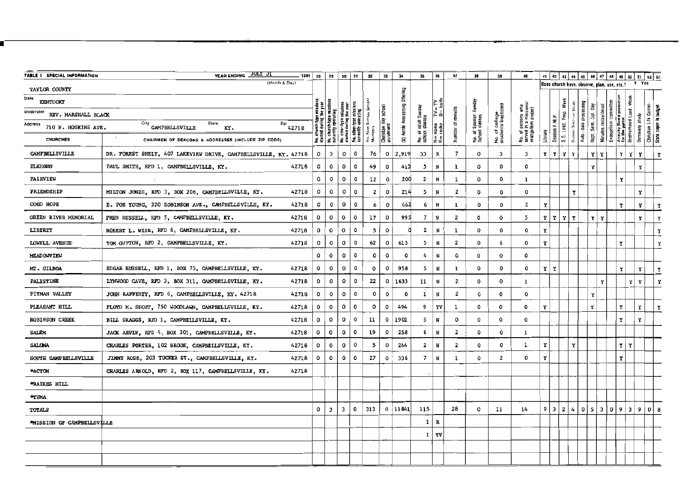| TABLE I SPECIAL INFORMATION      | YEAR ENDING JULY 31                                                 | $- 1981$ 28               | 29           | 30                                                                                  |              | 31                                | 32                      | 33                     | $\bf{34}$                     | 35                                    | 36            | 37                      | 38                 | 39                                  | 40                                        |              |               |             |             |             |                                      |                                             |                                         | 41 42 43 44 45 46 47 48 49 50 51 52 53 |                     |                       |
|----------------------------------|---------------------------------------------------------------------|---------------------------|--------------|-------------------------------------------------------------------------------------|--------------|-----------------------------------|-------------------------|------------------------|-------------------------------|---------------------------------------|---------------|-------------------------|--------------------|-------------------------------------|-------------------------------------------|--------------|---------------|-------------|-------------|-------------|--------------------------------------|---------------------------------------------|-----------------------------------------|----------------------------------------|---------------------|-----------------------|
| TAYLOR COUNTY                    | (Month & Day)                                                       |                           |              |                                                                                     |              |                                   |                         |                        |                               |                                       |               |                         |                    |                                     |                                           |              |               |             |             |             |                                      | Does church have, observe, plan, use, etc.? |                                         |                                        | Y Yes               |                       |
| State<br>KENTUCKY                |                                                                     |                           |              |                                                                                     |              |                                   |                         |                        | (\$) Annie Armstrong Offering |                                       |               |                         |                    |                                     |                                           |              |               | Week        |             |             |                                      |                                             |                                         |                                        |                     |                       |
| Moderator<br>REV. MARSHALL BLACK |                                                                     | oe missions<br>: the year |              |                                                                                     |              | missions<br>ating                 | $\frac{3}{2}$           | school                 |                               |                                       | ≥ ใ           |                         | Sunday             |                                     | sons who<br>I missions<br>I project       |              |               | Prep.       |             | processing  |                                      | committee                                   |                                         |                                        |                     |                       |
| Address<br>710 N. HOSKINS AVE.   | City CAMPBELLSVILLE<br>State<br>$\frac{z_{\text{p}}}{42718}$<br>KY. |                           |              | No. church-type missions<br>currently operating<br>No. other type<br>started during |              | No. other-type<br>currently oper; | $S_{\rm M}$             | 4ay                    |                               | No. of adult Sunday<br>school classes | none<br>radio | Number of revivals      | Spanish<br>classes | No. of college<br>sludents baptized |                                           |              | Deacon F.M.P. |             |             | data        | Sem. Col. Day<br>Minutes microfilmed | Evangelism                                  | Annuity Board protect<br>for the pastor | Brotherhood Lead.<br>Seminary study    | Christian Life Comm | State paper in budget |
| <b>CHURCHES</b>                  | CHAIRMEN OF DEACONS & ADDRESSES (INCLUDE ZIP CODE)                  |                           |              |                                                                                     |              |                                   | No. New<br>Members      | Christian<br>enrolment |                               |                                       | L L           |                         | No. of S           |                                     | No. of perso<br>served in a<br>evangelism | Ubrary       |               | S.S. Lead.  | ň           | Auto.       | Bapt.                                |                                             |                                         |                                        |                     |                       |
| CAMPBELLSVILLE                   | DR. FOREST SHELY, 407 LAKEVIEW DRIVE, CAMPBELLSVILLE, KY. 42718     | $\mathbf{o}$              | 3            |                                                                                     | $\mathbf{o}$ | 0                                 | 76                      | $\circ$                | 2,919                         | 33                                    | R             | 7                       | $\mathbf{o}$       | 3                                   | 3                                         | $\mathbf{r}$ |               | YYY         |             |             | YIY                                  |                                             | ΥI                                      | Y                                      | Y                   | Y                     |
| <b>ELKHORN</b>                   | PAUL SMITH, RFD 1, CAMPBELLSVILLE, KY.<br>42718                     | $\mathbf{o}$              |              | $\circ$                                                                             | o            | 0                                 | 49                      | $\circ$                | 413                           | 5                                     | N             | 1                       | 0                  | 0                                   | 0                                         |              |               |             |             |             | Y                                    |                                             |                                         |                                        | Υ                   |                       |
| <b>FAIRVIEW</b>                  |                                                                     | ٥                         |              | $\mathbf{o}$                                                                        | o            | $\circ$                           | 12                      | $\circ$                | 200                           | $\mathbf{2}$                          | N             | 1                       | $\circ$            | 0                                   | $\mathbf{1}$                              |              |               |             |             |             |                                      |                                             | Y                                       |                                        |                     |                       |
| <b>FRIENDSHIP</b>                | MILTON JONES, RFD 3, BOX 206, CAMPBELLSVILLE, KY.<br>42718          | o                         |              | ٥                                                                                   | $\mathbf{o}$ | $\mathbf{o}$                      | $\overline{\mathbf{2}}$ | $\mathbf{o}$           | 214                           | 5                                     | N             | $\overline{2}$          | 0                  | 0                                   | $\mathbf{o}$                              |              |               |             | Y           |             |                                      |                                             |                                         |                                        | Y                   |                       |
| <b>COOD HOPE</b>                 | E. POE YOUNG, 320 ROBINSON AVE., CAMPBELLSVILLE, KY.<br>42718       | ٥                         |              | $\mathbf{o}$                                                                        | o            | $\mathbf{o}$                      | 6                       | $\mathbf{o}$           | 662                           | 6                                     | N             | 1                       | $\mathbf 0$        | $\mathbf{o}$                        | $\mathbf{2}$                              | Y            |               |             |             |             |                                      |                                             | Y                                       |                                        | Y                   | Y                     |
| GREEN RIVER MEMORIAL             | FRED RUSSELL, RFD 5, CAMPBELLSVILLE, KY.<br>42718                   | $\circ$                   | 0            | $\mathbf{o}$                                                                        |              | $\mathbf{o}$                      | 17                      | $\mathbf{o}$           | 995                           | $\overline{7}$                        | N             | $\overline{2}$          | $\mathbf{o}$       | $\mathbf{o}$                        | 5                                         | Y            | Y             | YY          |             |             | rΙγ                                  |                                             |                                         |                                        | Y                   |                       |
| <b>LIBERTY</b>                   | ROBERT L. WISE, RFD 6, CAMPBELLSVILLE, KY.<br>42718                 | ٥                         | 0            | 0                                                                                   |              | o                                 | 5                       | $\circ$                |                               | $\mathbf{2}$                          | N             | 1                       | $\mathbf 0$        | $\mathbf 0$                         | $\mathbf 0$                               | Y            |               |             |             |             |                                      |                                             |                                         |                                        |                     | Y                     |
| LOWELL AVENUE-                   | TOM GUPTON, RFD 2, CAMPBELLSVILLE, KY.<br>42718                     | $\circ$                   |              | 0<br>0                                                                              |              | 0                                 | 62                      | $\circ$                | 613                           | 5                                     | N             | $\overline{\mathbf{2}}$ | $\mathbf 0$        | 6                                   | 0                                         | Y            |               |             |             |             |                                      |                                             | Y                                       |                                        |                     | Ÿ                     |
| NEADOWVIEW                       |                                                                     | 0                         |              | 0                                                                                   | o            | 0                                 | о                       | $\mathbf{o}$           | $\mathbf{o}$                  | 4                                     | N             | $\circ$                 | 0                  | 0                                   | 0                                         |              |               |             |             |             |                                      |                                             |                                         |                                        |                     |                       |
| MT. GILBOA                       | EDGAR RUSSELL, RFD 1, BOX 75, CAMPBELLSVILLE, KY.<br>42718          | 0                         | $\mathbf{o}$ |                                                                                     | o            | $\mathbf{o}$                      | ٥                       | $\mathbf{o}$           | 958                           | 5                                     | N             | 1                       | 0                  | $\mathbf{o}$                        | 0                                         | Y            | Y             |             |             |             |                                      |                                             | Y                                       |                                        | Y                   | Y                     |
| <b>PALESTINE</b>                 | LYNWOOD CAVE, RFD 3, BOX 311, CAMPBELLSVILLE, KY.<br>42718          | $\mathbf{o}$              |              | $\mathbf{o}$<br>$\circ$                                                             |              | 0                                 | 22                      | $\circ$                | 1633                          | 11                                    | N             | $\overline{\mathbf{2}}$ | $\mathbf{o}$       | $\mathbf{o}$                        | $\mathbf{1}$                              |              |               |             |             |             | Y                                    |                                             |                                         | Y.                                     | Y                   | Y                     |
| PITMAN VALLEY                    | JOHN RAFFERTY, RFD 6, CAMPBELLSVILIE, KY. 42718<br>42718            | 0                         |              | $\mathbf{o}$                                                                        | o            | 0                                 | o                       | $\mathbf{o}$           | $\Omega$                      | $\mathbf 1$                           | $_{\rm N}$    | $\overline{\mathbf{2}}$ | 0                  | $\mathbf{o}$                        | $\circ$                                   |              |               |             |             |             | Y                                    |                                             |                                         |                                        |                     |                       |
| PLEASANT HILL                    | FLOYD M. SHORT, 750 WOODLAWN, CAMPBELISVILLE, KY.<br>42718          | $\mathbf{o}$              | $\mathbf 0$  |                                                                                     | 0            | $\circ$                           | $\mathbf 0$             | $\mathsf{o}\,$         | 494                           | 9                                     | rv            | 1                       | 0                  | 0                                   | 0                                         | Y            |               |             |             |             | Y                                    |                                             | Y                                       |                                        | Y                   | Y                     |
| ROBINSON CREEK                   | 42718<br>BILL SKAGGS, RFD 1, CAMPBELLSVILLE, KY.                    | 0                         | $\mathbf{o}$ | $\circ$                                                                             |              | 0                                 | 11                      | $\mathbf o$            | 1902                          | 5                                     | N             | $\circ$                 | 0                  | 0                                   | 0                                         |              |               |             |             |             |                                      |                                             | Y                                       |                                        | Y                   |                       |
| <b>SALEM</b>                     | JACK ARVIN, RFD 4, BOX 301, CAMPBELLSVILLE, KY.<br>42718            | $\mathsf{o}\,$            | $\mathbf{o}$ | $\mathbf{o}$                                                                        |              | $\circ$                           | 19                      | $\circ$                | 258                           | 6                                     | N             | $\overline{2}$          | $\mathbf{o}$       | 0                                   | 1                                         |              |               |             |             |             |                                      |                                             |                                         |                                        |                     |                       |
| <b>SALOMA</b>                    | CHARLES PORTER, 102 BROOK, CAMPBELLSVILLE, KY.<br>42718             | $\mathsf{o}\,$            | $\mathbf 0$  | $\mathbf{o}$                                                                        |              | $\mathbf{o}$                      | 5                       | $\mathbf{o}$           | 244                           | $\overline{2}$                        | N             | $\overline{\mathbf{2}}$ | $\circ$            | 0                                   | 1                                         | Y            |               |             | $\mathbf x$ |             |                                      |                                             | YIY                                     |                                        |                     |                       |
| SOUTH CAMPBELLSVILLE             | JIMMY ROSE, 203 TUCKER ST., CAMPBELLSVILLE, KY.<br>42718            | $\mathbf o$               | $\circ$      |                                                                                     | $\mathbf{o}$ | $\mathbf{o}$                      | 27                      | $\mathbf{o}$           | 336                           | $\overline{7}$                        | N             | $\mathbf{1}$            | $\circ$            | $\mathbf{z}$                        | $\mathbf{o}$                              | Y            |               |             |             |             |                                      |                                             | Y                                       |                                        |                     |                       |
| *ACTON                           | 42718<br>CHARLES ARNOLD, RFD 2, BOX 117, CAMPBELLSVILLE, KY.        |                           |              |                                                                                     |              |                                   |                         |                        |                               |                                       |               |                         |                    |                                     |                                           |              |               |             |             |             |                                      |                                             |                                         |                                        |                     |                       |
| *RAIKES HILL                     |                                                                     |                           |              |                                                                                     |              |                                   |                         |                        |                               |                                       |               |                         |                    |                                     |                                           |              |               |             |             |             |                                      |                                             |                                         |                                        |                     |                       |
| *YUNA                            |                                                                     |                           |              |                                                                                     |              |                                   |                         |                        |                               |                                       |               |                         |                    |                                     |                                           |              |               |             |             |             |                                      |                                             |                                         |                                        |                     |                       |
| <b>TOTALS</b>                    |                                                                     | 0                         | 3            | $\overline{\mathbf{3}}$                                                             |              | $\circ$                           | 313                     |                        | 011841                        | 115                                   |               | 28                      | 0                  | 11                                  | 14                                        |              | $9 \mid 3$    | $\mathbf 2$ | 4           | $\mathbf 0$ | 5<br>$\overline{\mathbf{3}}$         | l o l                                       | 9                                       | $-3$                                   | 9<br>$\circ$        |                       |
| *MISSION OF CAMPBELLSVILLE       |                                                                     |                           |              |                                                                                     |              |                                   |                         |                        |                               |                                       | $1 \mid R$    |                         |                    |                                     |                                           |              |               |             |             |             |                                      |                                             |                                         |                                        |                     |                       |
|                                  |                                                                     |                           |              |                                                                                     |              |                                   |                         |                        |                               |                                       | $1$ TV        |                         |                    |                                     |                                           |              |               |             |             |             |                                      |                                             |                                         |                                        |                     |                       |
|                                  |                                                                     |                           |              |                                                                                     |              |                                   |                         |                        |                               |                                       |               |                         |                    |                                     |                                           |              |               |             |             |             |                                      |                                             |                                         |                                        |                     |                       |
|                                  |                                                                     |                           |              |                                                                                     |              |                                   |                         |                        |                               |                                       |               |                         |                    |                                     |                                           |              |               |             |             |             |                                      |                                             |                                         |                                        |                     |                       |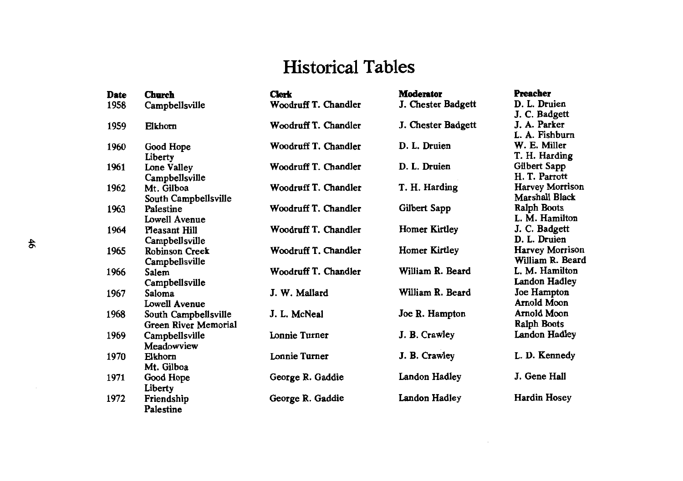# **Historical Tables**

| <b>Date</b> | <b>Church</b>         | <b>Clerk</b>         | <b>Moderator</b>     | <b>Preacher</b>        |
|-------------|-----------------------|----------------------|----------------------|------------------------|
| 1958        | Campbellsville        | Woodruff T. Chandler | J. Chester Badgett   | D. L. Druien           |
|             |                       |                      |                      | J. C. Badgett          |
| 1959        | Elkhorn               | Woodruff T. Chandler | J. Chester Badgett   | J. A. Parker           |
|             |                       |                      |                      | L. A. Fishburn         |
| 1960        | Good Hope             | Woodruff T. Chandler | D. L. Druien         | W. E. Miller           |
|             | Liberty               |                      |                      | T. H. Harding          |
| 1961        | Lone Valley           | Woodruff T. Chandler | D. L. Druien         | Gilbert Sapp           |
|             | Campbellsville        |                      |                      | H. T. Parrott          |
| 1962        | Mt. Gilboa            | Woodruff T. Chandler | T. H. Harding        | <b>Harvey Morrison</b> |
|             | South Campbellsville  |                      |                      | Marshall Black         |
| 1963        | Palestine             | Woodruff T. Chandler | Gilbert Sapp         | <b>Ralph Boots</b>     |
|             | Lowell Avenue         |                      |                      | L. M. Hamilton         |
| 1964        | <b>Pleasant Hill</b>  | Woodruff T. Chandler | <b>Homer Kirtley</b> | J. C. Badgett          |
|             | Campbellsville        |                      |                      | D. L. Druien           |
| 1965        | <b>Robinson Creek</b> | Woodruff T. Chandler | <b>Homer Kirtley</b> | Harvey Morrison        |
|             | Campbellsville        |                      |                      | William R. Beard       |
| 1966        | Salem                 | Woodruff T. Chandler | William R. Beard     | L. M. Hamilton         |
|             | Campbellsville        |                      |                      | Landon Hadley          |
| 1967        | Saloma                | J. W. Mallard        | William R. Beard     | Joe Hampton            |
|             | <b>Lowell Avenue</b>  |                      |                      | Arnold Moon            |
| 1968        | South Campbellsville  | J. L. McNeal         | Joe R. Hampton       | Arnold Moon            |
|             | Green River Memorial  |                      |                      | Ralph Boots            |
| 1969        | Campbellsville        | Lonnie Turner        | J. B. Crawley        | Landon Hadley          |
|             | Meadowview            |                      |                      |                        |
| 1970        | Elkhorn               | Lonnie Turner        | J. B. Crawley        | L. D. Kennedy          |
|             | Mt. Gilboa            |                      |                      |                        |
| 1971        | Good Hope             | George R. Gaddie     | Landon Hadley        | J. Gene Hall           |
|             | Liberty               |                      |                      |                        |
| 1972        | Friendship            | George R. Gaddie     | Landon Hadley        | <b>Hardin Hosey</b>    |
|             | Palestine             |                      |                      |                        |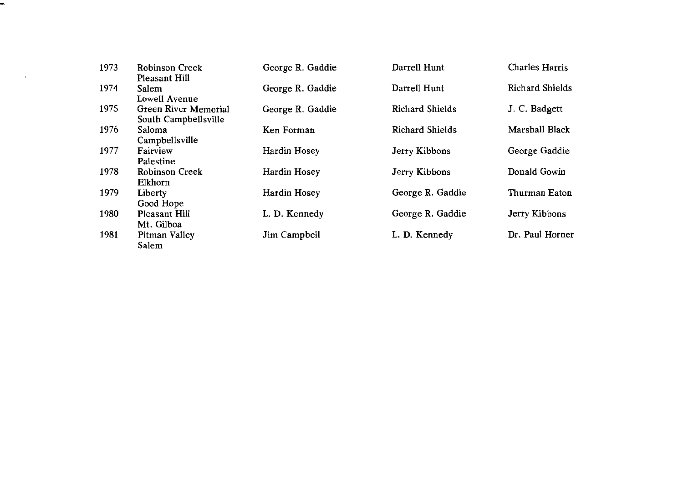| 1973 | <b>Robinson Creek</b> | George R. Gaddie | Darrell Hunt           | Charles Harris         |
|------|-----------------------|------------------|------------------------|------------------------|
|      | Pleasant Hill         |                  |                        |                        |
| 1974 | Salem                 | George R. Gaddie | Darrell Hunt           | <b>Richard Shields</b> |
|      | Lowell Avenue         |                  |                        |                        |
| 1975 | Green River Memorial  | George R. Gaddie | Richard Shields        | J. C. Badgett          |
|      | South Campbellsville  |                  |                        |                        |
| 1976 | Saloma                | Ken Forman       | <b>Richard Shields</b> | Marshall Black         |
|      | Campbellsville        |                  |                        |                        |
| 1977 | Fairview              | Hardin Hosey     | Jerry Kibbons          | George Gaddie          |
|      | Palestine             |                  |                        |                        |
| 1978 | Robinson Creek        | Hardin Hosey     | Jerry Kibbons          | Donald Gowin           |
|      | Elkhorn               |                  |                        |                        |
| 1979 | Liberty               | Hardin Hosey     | George R. Gaddie       | Thurman Eaton          |
|      | Good Hope             |                  |                        |                        |
| 1980 | Pleasant Hill         | L. D. Kennedy    | George R. Gaddie       | Jerry Kibbons          |
|      | Mt. Gilboa            |                  |                        |                        |
| 1981 | Pitman Valley         | Jim Campbell     | L. D. Kennedy          | Dr. Paul Horner        |
|      | Salem                 |                  |                        |                        |

 $\sim$